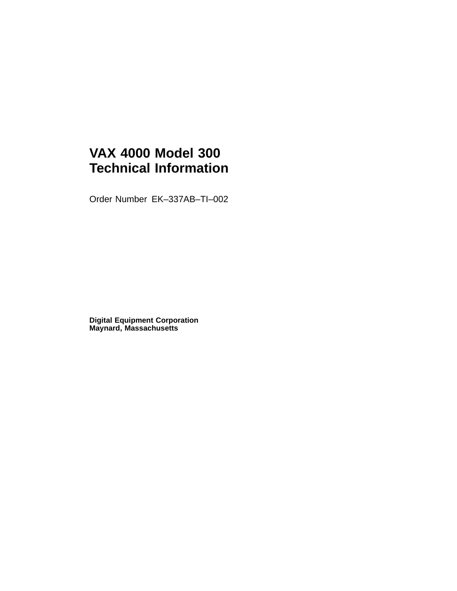# **VAX 4000 Model 300 Technical Information**

Order Number EK–337AB–TI–002

**Digital Equipment Corporation Maynard, Massachusetts**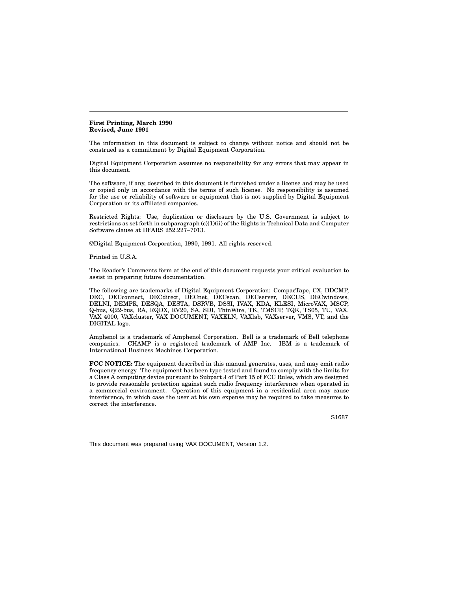**First Printing, March 1990 Revised, June 1991**

The information in this document is subject to change without notice and should not be construed as a commitment by Digital Equipment Corporation.

Digital Equipment Corporation assumes no responsibility for any errors that may appear in this document.

The software, if any, described in this document is furnished under a license and may be used or copied only in accordance with the terms of such license. No responsibility is assumed for the use or reliability of software or equipment that is not supplied by Digital Equipment Corporation or its affiliated companies.

Restricted Rights: Use, duplication or disclosure by the U.S. Government is subject to restrictions as set forth in subparagraph (c)(1)(ii) of the Rights in Technical Data and Computer Software clause at DFARS 252.227–7013.

©Digital Equipment Corporation, 1990, 1991. All rights reserved.

Printed in U.S.A.

The Reader's Comments form at the end of this document requests your critical evaluation to assist in preparing future documentation.

The following are trademarks of Digital Equipment Corporation: CompacTape, CX, DDCMP, DEC, DECconnect, DECdirect, DECnet, DECscan, DECserver, DECUS, DECwindows, DELNI, DEMPR, DESQA, DESTA, DSRVB, DSSI, IVAX, KDA, KLESI, MicroVAX, MSCP, Q-bus, Q22-bus, RA, RQDX, RV20, SA, SDI, ThinWire, TK, TMSCP, TQK, TS05, TU, VAX, VAX 4000, VAXcluster, VAX DOCUMENT, VAXELN, VAXlab, VAXserver, VMS, VT, and the DIGITAL logo.

Amphenol is a trademark of Amphenol Corporation. Bell is a trademark of Bell telephone companies. CHAMP is a registered trademark of AMP Inc. IBM is a trademark of International Business Machines Corporation.

**FCC NOTICE:** The equipment described in this manual generates, uses, and may emit radio frequency energy. The equipment has been type tested and found to comply with the limits for a Class A computing device pursuant to Subpart J of Part 15 of FCC Rules, which are designed to provide reasonable protection against such radio frequency interference when operated in a commercial environment. Operation of this equipment in a residential area may cause interference, in which case the user at his own expense may be required to take measures to correct the interference.

S1687

This document was prepared using VAX DOCUMENT, Version 1.2.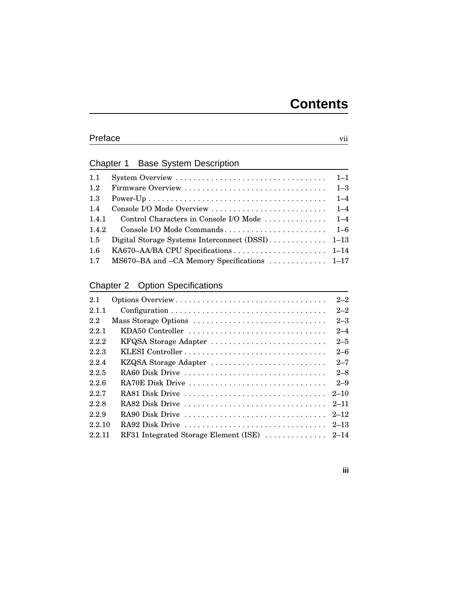### Preface vii

### Chapter 1 Base System Description

| 1.1     |                                              |  |
|---------|----------------------------------------------|--|
| 1.2     |                                              |  |
| $1.3\,$ |                                              |  |
| 1.4     |                                              |  |
| 1.4.1   |                                              |  |
| 1.4.2   |                                              |  |
| $1.5\,$ |                                              |  |
| $1.6\,$ |                                              |  |
| 1.7     | MS670–BA and –CA Memory Specifications  1–17 |  |

### Chapter 2 Option Specifications

| 2.1    | Options Overview      | $2 - 2$  |
|--------|-----------------------|----------|
| 2.1.1  |                       | $2 - 2$  |
| 2.2    | Mass Storage Options  | $2 - 3$  |
| 2.2.1  | KDA50 Controller      | $2 - 4$  |
| 2.2.2  | KFQSA Storage Adapter | $2 - 5$  |
| 2.2.3  |                       | $2 - 6$  |
| 2.2.4  | KZQSA Storage Adapter | $2 - 7$  |
| 2.2.5  | RA60 Disk Drive       | $2 - 8$  |
| 2.2.6  | RA70E Disk Drive      | $2 - 9$  |
| 227    | RA81 Disk Drive       | $2 - 10$ |
| 2.2.8  | RA82 Disk Drive       | $2 - 11$ |
| 229    | RA90 Disk Drive       | $2 - 12$ |
| 2.2.10 | RA92 Disk Drive       | $2 - 13$ |
| 2.2.11 |                       |          |

### **iii**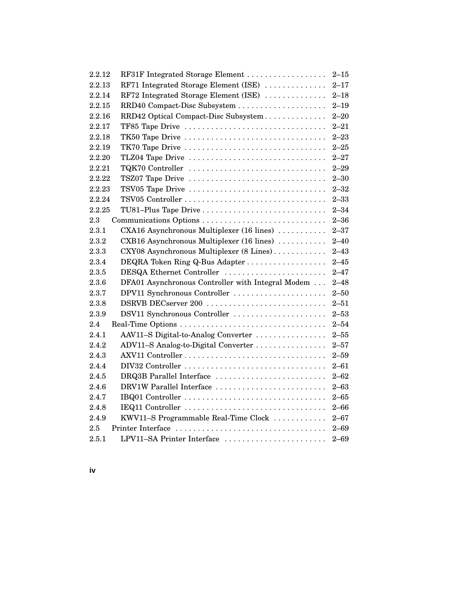| RF31F Integrated Storage Element<br>2.2.12<br>$2 - 15$ |                                                   |          |
|--------------------------------------------------------|---------------------------------------------------|----------|
| RF71 Integrated Storage Element (ISE)<br>2.2.13        |                                                   | $2 - 17$ |
| RF72 Integrated Storage Element (ISE)<br>2.2.14        |                                                   | $2 - 18$ |
| 2.2.15                                                 |                                                   | $2 - 19$ |
| 2.2.16                                                 | RRD42 Optical Compact-Disc Subsystem              | $2 - 20$ |
| 2.2.17                                                 | TF85 Tape Drive                                   | $2 - 21$ |
| 2.2.18                                                 | TK50 Tape Drive                                   | $2 - 23$ |
| 2.2.19                                                 | TK70 Tape Drive                                   | $2 - 25$ |
| 2.2.20                                                 | TLZ04 Tape Drive                                  | $2 - 27$ |
| 2.2.21                                                 | TQK70 Controller                                  | $2 - 29$ |
| 2.2.22                                                 | TSZ07 Tape Drive                                  | $2 - 30$ |
| 2.2.23                                                 | TSV05 Tape Drive                                  | $2 - 32$ |
| 2.2.24                                                 |                                                   | $2 - 33$ |
| 2.2.25                                                 | TU81-Plus Tape Drive                              | $2 - 34$ |
| 2.3                                                    | Communications Options                            | $2 - 36$ |
| 2.3.1                                                  | CXA16 Asynchronous Multiplexer (16 lines)         | $2 - 37$ |
| 2.3.2                                                  | CXB16 Asynchronous Multiplexer (16 lines)         | $2 - 40$ |
| 2.3.3                                                  | CXY08 Asynchronous Multiplexer (8 Lines)          | $2 - 43$ |
| 2.3.4                                                  |                                                   | $2 - 45$ |
| DESQA Ethernet Controller<br>2.3.5                     |                                                   | $2 - 47$ |
| 2.3.6                                                  | DFA01 Asynchronous Controller with Integral Modem | $2 - 48$ |
| 2.3.7                                                  | DPV11 Synchronous Controller                      | $2 - 50$ |
| 2.3.8                                                  | DSRVB DECserver 200                               | $2 - 51$ |
| 2.3.9                                                  | DSV11 Synchronous Controller                      | $2 - 53$ |
| 2.4                                                    |                                                   | $2 - 54$ |
| 2.4.1                                                  | AAV11-S Digital-to-Analog Converter               | $2 - 55$ |
| 2.4.2                                                  | ADV11-S Analog-to-Digital Converter               | $2 - 57$ |
| 2.4.3                                                  |                                                   | $2 - 59$ |
| 2.4.4                                                  |                                                   | $2 - 61$ |
| 2.4.5                                                  | DRQ3B Parallel Interface                          | $2 - 62$ |
| 2.4.6                                                  | DRV1W Parallel Interface                          | $2 - 63$ |
| 2.4.7                                                  |                                                   | $2 - 65$ |
| 2.4.8                                                  | IEQ11 Controller                                  | $2 - 66$ |
| 2.4.9                                                  | KWV11-S Programmable Real-Time Clock              | $2 - 67$ |
| 2.5                                                    | Printer Interface                                 | $2 - 69$ |
| 2.5.1                                                  | LPV11-SA Printer Interface                        | $2 - 69$ |

**iv**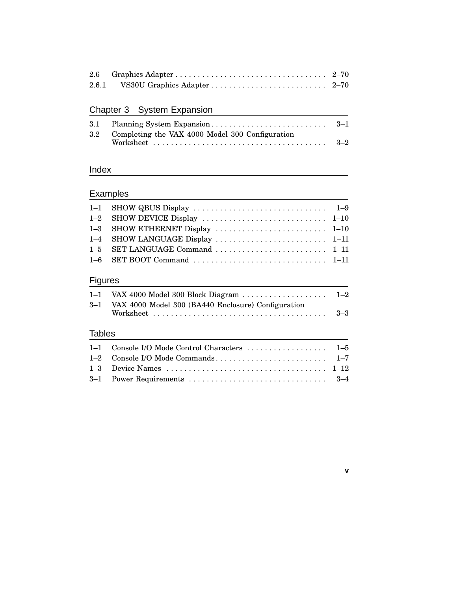## Chapter 3 System Expansion

| 3.2 Completing the VAX 4000 Model 300 Configuration |  |
|-----------------------------------------------------|--|
|                                                     |  |

### Index

## **Examples**

### Figures

|               | 3-1 VAX 4000 Model 300 (BA440 Enclosure) Configuration |  |
|---------------|--------------------------------------------------------|--|
|               |                                                        |  |
| <b>Tables</b> |                                                        |  |
|               |                                                        |  |

**v**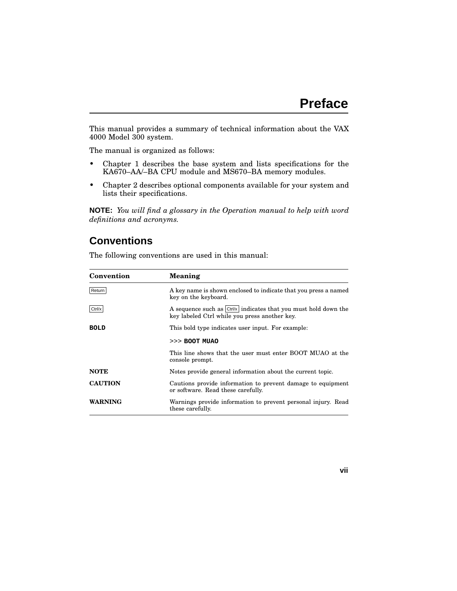This manual provides a summary of technical information about the VAX 4000 Model 300 system.

The manual is organized as follows:

- Chapter 1 describes the base system and lists specifications for the KA670–AA/–BA CPU module and MS670–BA memory modules.
- Chapter 2 describes optional components available for your system and lists their specifications.

**NOTE:** *You will find a glossary in the Operation manual to help with word definitions and acronyms.*

### **Conventions**

| Convention     | <b>Meaning</b>                                                                                                   |  |
|----------------|------------------------------------------------------------------------------------------------------------------|--|
| Return         | A key name is shown enclosed to indicate that you press a named<br>key on the keyboard.                          |  |
| Ctrl/x         | A sequence such as Ctrl/x indicates that you must hold down the<br>key labeled Ctrl while you press another key. |  |
| <b>BOLD</b>    | This bold type indicates user input. For example:                                                                |  |
|                | $>>$ BOOT MUAO                                                                                                   |  |
|                | This line shows that the user must enter BOOT MUAO at the<br>console prompt.                                     |  |
| <b>NOTE</b>    | Notes provide general information about the current topic.                                                       |  |
| <b>CAUTION</b> | Cautions provide information to prevent damage to equipment<br>or software. Read these carefully.                |  |
| WARNING        | Warnings provide information to prevent personal injury. Read<br>these carefully.                                |  |

The following conventions are used in this manual:

#### **vii**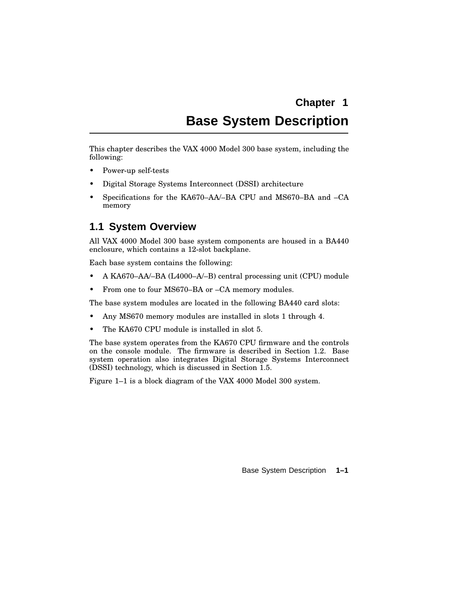# **Chapter 1 Base System Description**

This chapter describes the VAX 4000 Model 300 base system, including the following:

- Power-up self-tests
- Digital Storage Systems Interconnect (DSSI) architecture
- Specifications for the KA670–AA/–BA CPU and MS670–BA and –CA memory

### **1.1 System Overview**

All VAX 4000 Model 300 base system components are housed in a BA440 enclosure, which contains a 12-slot backplane.

Each base system contains the following:

- A KA670–AA/–BA (L4000–A/–B) central processing unit (CPU) module
- From one to four MS670–BA or –CA memory modules.

The base system modules are located in the following BA440 card slots:

- Any MS670 memory modules are installed in slots 1 through 4.
- The KA670 CPU module is installed in slot 5.

The base system operates from the KA670 CPU firmware and the controls on the console module. The firmware is described in Section 1.2. Base system operation also integrates Digital Storage Systems Interconnect (DSSI) technology, which is discussed in Section 1.5.

Figure 1–1 is a block diagram of the VAX 4000 Model 300 system.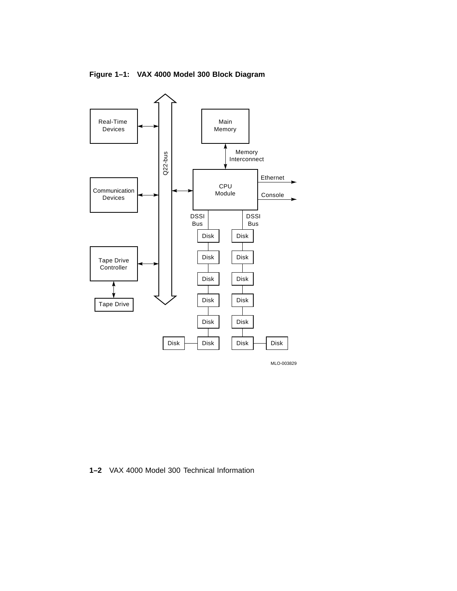

**Figure 1–1: VAX 4000 Model 300 Block Diagram**

**1–2** VAX 4000 Model 300 Technical Information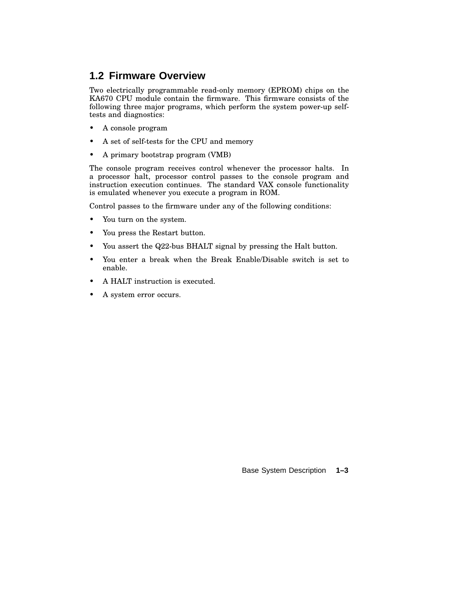### **1.2 Firmware Overview**

Two electrically programmable read-only memory (EPROM) chips on the KA670 CPU module contain the firmware. This firmware consists of the following three major programs, which perform the system power-up selftests and diagnostics:

- A console program
- A set of self-tests for the CPU and memory
- A primary bootstrap program (VMB)

The console program receives control whenever the processor halts. In a processor halt, processor control passes to the console program and instruction execution continues. The standard VAX console functionality is emulated whenever you execute a program in ROM.

Control passes to the firmware under any of the following conditions:

- You turn on the system.
- You press the Restart button.
- You assert the Q22-bus BHALT signal by pressing the Halt button.
- You enter a break when the Break Enable/Disable switch is set to enable.
- A HALT instruction is executed.
- A system error occurs.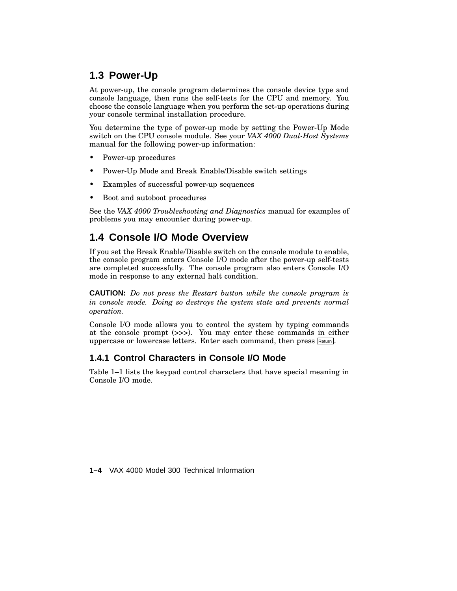### **1.3 Power-Up**

At power-up, the console program determines the console device type and console language, then runs the self-tests for the CPU and memory. You choose the console language when you perform the set-up operations during your console terminal installation procedure.

You determine the type of power-up mode by setting the Power-Up Mode switch on the CPU console module. See your *VAX 4000 Dual-Host Systems* manual for the following power-up information:

- Power-up procedures
- Power-Up Mode and Break Enable/Disable switch settings
- Examples of successful power-up sequences
- Boot and autoboot procedures

See the *VAX 4000 Troubleshooting and Diagnostics* manual for examples of problems you may encounter during power-up.

### **1.4 Console I/O Mode Overview**

If you set the Break Enable/Disable switch on the console module to enable, the console program enters Console I/O mode after the power-up self-tests are completed successfully. The console program also enters Console I/O mode in response to any external halt condition.

**CAUTION:** *Do not press the Restart button while the console program is in console mode. Doing so destroys the system state and prevents normal operation.*

Console I/O mode allows you to control the system by typing commands at the console prompt (>>>). You may enter these commands in either uppercase or lowercase letters. Enter each command, then press Return.

### **1.4.1 Control Characters in Console I/O Mode**

Table 1–1 lists the keypad control characters that have special meaning in Console I/O mode.

**1–4** VAX 4000 Model 300 Technical Information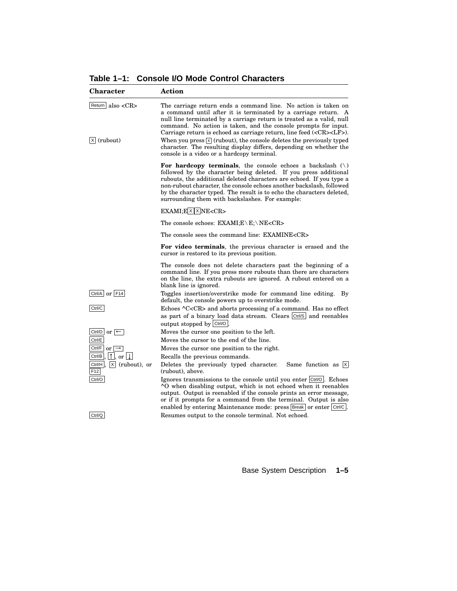**Character Action** Return also <CR> The carriage return ends a command line. No action is taken on a command until after it is terminated by a carriage return. A null line terminated by a carriage return is treated as a valid, null command. No action is taken, and the console prompts for input. Carriage return is echoed as carriage return, line feed (<CR><LF>).  $[\overline{x}]$  (rubout) When you press  $[\overline{x}]$  (rubout), the console deletes the previously typed character. The resulting display differs, depending on whether the console is a video or a hardcopy terminal. **For hardcopy terminals**, the console echoes a backslash (\) followed by the character being deleted. If you press additional rubouts, the additional deleted characters are echoed. If you type a non-rubout character, the console echoes another backslash, followed by the character typed. The result is to echo the characters deleted, surrounding them with backslashes. For example:  $EXAMI; E \times X NE < CR$ The console echoes: EXAMI;E\E;\NE<CR> The console sees the command line: EXAMINE<CR> **For video terminals**, the previous character is erased and the cursor is restored to its previous position. The console does not delete characters past the beginning of a command line. If you press more rubouts than there are characters on the line, the extra rubouts are ignored. A rubout entered on a blank line is ignored.  $\boxed{\text{Ctrl/A}}$  or  $\boxed{\text{F14}}$  Toggles insertion/overstrike mode for command line editing. By default, the console powers up to overstrike mode. Ctrl/C Echoes ^C<CR> and aborts processing of a command. Has no effect as part of a binary load data stream. Clears Ctrl/S and reenables output stopped by Ctrl/O . Ctrl/D  $\text{or}$   $\leftarrow$ Moves the cursor one position to the left. Ctrl/E Moves the cursor to the end of the line. Ctrl/F or  $\rightarrow$ Moves the cursor one position to the right. <u>Ctrl/B , I 1 ,</u> or <u>I l</u> Recalls the previous commands. Ctrl/H,  $X$  (rubout), or F12 Deletes the previously typed character. Same function as  $\overline{X}$ (rubout), above. Ctrl/O **Ignores transmissions to the console until you enter Ctrl/O . Echoes** ^O when disabling output, which is not echoed when it reenables output. Output is reenabled if the console prints an error message, or if it prompts for a command from the terminal. Output is also enabled by entering Maintenance mode: press Break or enter Ctrl/C. Ctrl/Q Resumes output to the console terminal. Not echoed.

**Table 1–1: Console I/O Mode Control Characters**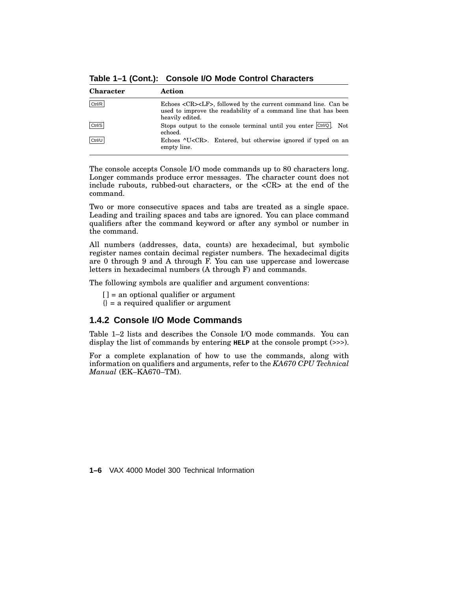**Table 1–1 (Cont.): Console I/O Mode Control Characters**

| <b>Character</b> | Action                                                                                                                                                          |
|------------------|-----------------------------------------------------------------------------------------------------------------------------------------------------------------|
| Ctrl/R           | Echoes <cr><lf>, followed by the current command line. Can be<br/>used to improve the readability of a command line that has been<br/>heavily edited.</lf></cr> |
| Ctrl/S           | Stops output to the console terminal until you enter $\vert$ Ctrl/Q. Not<br>echoed.                                                                             |
| Ctrl/U           | Echoes ^U <cr>. Entered, but otherwise ignored if typed on an<br/>empty line.</cr>                                                                              |

The console accepts Console I/O mode commands up to 80 characters long. Longer commands produce error messages. The character count does not include rubouts, rubbed-out characters, or the <CR> at the end of the command.

Two or more consecutive spaces and tabs are treated as a single space. Leading and trailing spaces and tabs are ignored. You can place command qualifiers after the command keyword or after any symbol or number in the command.

All numbers (addresses, data, counts) are hexadecimal, but symbolic register names contain decimal register numbers. The hexadecimal digits are 0 through 9 and A through F. You can use uppercase and lowercase letters in hexadecimal numbers (A through F) and commands.

The following symbols are qualifier and argument conventions:

[] = an optional qualifier or argument

 $\{\}$  = a required qualifier or argument

### **1.4.2 Console I/O Mode Commands**

Table 1–2 lists and describes the Console I/O mode commands. You can display the list of commands by entering **HELP** at the console prompt (>>>).

For a complete explanation of how to use the commands, along with information on qualifiers and arguments, refer to the *KA670 CPU Technical Manual* (EK–KA670–TM).

**1–6** VAX 4000 Model 300 Technical Information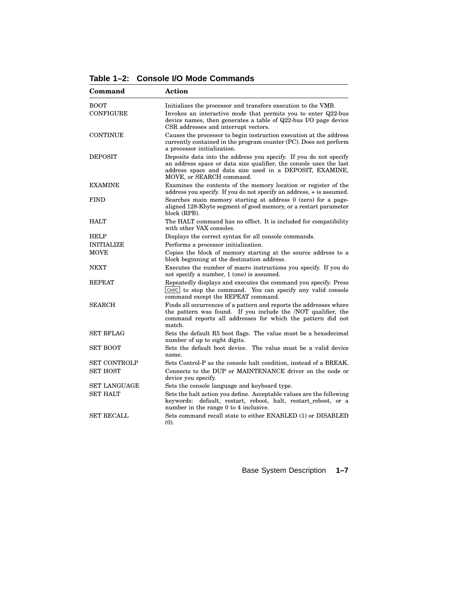**Table 1–2: Console I/O Mode Commands**

| Command                         | <b>Action</b>                                                                                                                                                                                                                             |
|---------------------------------|-------------------------------------------------------------------------------------------------------------------------------------------------------------------------------------------------------------------------------------------|
| <b>BOOT</b><br><b>CONFIGURE</b> | Initializes the processor and transfers execution to the VMB.<br>Invokes an interactive mode that permits you to enter Q22-bus<br>device names, then generates a table of Q22-bus I/O page device<br>CSR addresses and interrupt vectors. |
| <b>CONTINUE</b>                 | Causes the processor to begin instruction execution at the address<br>currently contained in the program counter (PC). Does not perform<br>a processor initialization.                                                                    |
| <b>DEPOSIT</b>                  | Deposits data into the address you specify. If you do not specify<br>an address space or data size qualifier, the console uses the last<br>address space and data size used in a DEPOSIT, EXAMINE,<br>MOVE, or SEARCH command.            |
| <b>EXAMINE</b>                  | Examines the contents of the memory location or register of the<br>address you specify. If you do not specify an address, + is assumed.                                                                                                   |
| <b>FIND</b>                     | Searches main memory starting at address 0 (zero) for a page-<br>aligned 128-Kbyte segment of good memory, or a restart parameter<br>block (RPB).                                                                                         |
| <b>HALT</b>                     | The HALT command has no effect. It is included for compatibility<br>with other VAX consoles.                                                                                                                                              |
| <b>HELP</b>                     | Displays the correct syntax for all console commands.                                                                                                                                                                                     |
| <b>INITIALIZE</b>               | Performs a processor initialization.                                                                                                                                                                                                      |
| <b>MOVE</b>                     | Copies the block of memory starting at the source address to a<br>block beginning at the destination address.                                                                                                                             |
| <b>NEXT</b>                     | Executes the number of macro instructions you specify. If you do<br>not specify a number, 1 (one) is assumed.                                                                                                                             |
| <b>REPEAT</b>                   | Repeatedly displays and executes the command you specify. Press<br>Ctrl/C to stop the command. You can specify any valid console<br>command except the REPEAT command.                                                                    |
| <b>SEARCH</b>                   | Finds all occurrences of a pattern and reports the addresses where<br>the pattern was found. If you include the /NOT qualifier, the<br>command reports all addresses for which the pattern did not<br>match.                              |
| <b>SET BFLAG</b>                | Sets the default R5 boot flags. The value must be a hexadecimal<br>number of up to eight digits.                                                                                                                                          |
| <b>SET BOOT</b>                 | Sets the default boot device. The value must be a valid device<br>name.                                                                                                                                                                   |
| <b>SET CONTROLP</b>             | Sets Control-P as the console halt condition, instead of a BREAK.                                                                                                                                                                         |
| <b>SET HOST</b>                 | Connects to the DUP or MAINTENANCE driver on the node or<br>device you specify.                                                                                                                                                           |
| <b>SET LANGUAGE</b>             | Sets the console language and keyboard type.                                                                                                                                                                                              |
| <b>SET HALT</b>                 | Sets the halt action you define. Acceptable values are the following<br>keywords: default, restart, reboot, halt, restart_reboot, or a<br>number in the range 0 to 4 inclusive.                                                           |
| <b>SET RECALL</b>               | Sets command recall state to either ENABLED (1) or DISABLED<br>(0).                                                                                                                                                                       |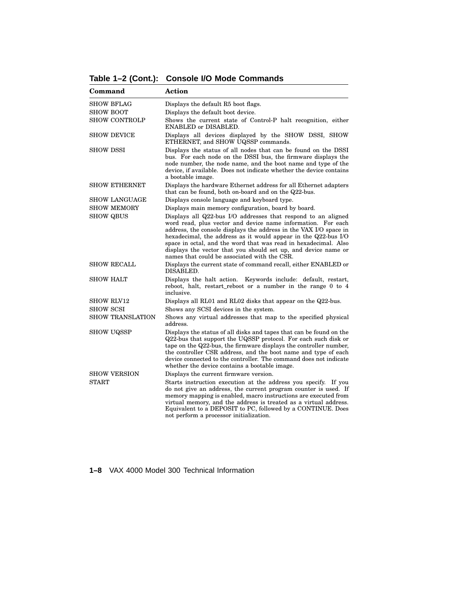**Table 1–2 (Cont.): Console I/O Mode Commands**

| Command                 | <b>Action</b>                                                                                                                                                                                                                                                                                                                                                                                                                                             |
|-------------------------|-----------------------------------------------------------------------------------------------------------------------------------------------------------------------------------------------------------------------------------------------------------------------------------------------------------------------------------------------------------------------------------------------------------------------------------------------------------|
| <b>SHOW BFLAG</b>       | Displays the default R5 boot flags.                                                                                                                                                                                                                                                                                                                                                                                                                       |
| <b>SHOW BOOT</b>        | Displays the default boot device.                                                                                                                                                                                                                                                                                                                                                                                                                         |
| <b>SHOW CONTROLP</b>    | Shows the current state of Control-P halt recognition, either<br>ENABLED or DISABLED.                                                                                                                                                                                                                                                                                                                                                                     |
| <b>SHOW DEVICE</b>      | Displays all devices displayed by the SHOW DSSI, SHOW<br>ETHERNET, and SHOW UQSSP commands.                                                                                                                                                                                                                                                                                                                                                               |
| <b>SHOW DSSI</b>        | Displays the status of all nodes that can be found on the DSSI<br>bus. For each node on the DSSI bus, the firmware displays the<br>node number, the node name, and the boot name and type of the<br>device, if available. Does not indicate whether the device contains<br>a bootable image.                                                                                                                                                              |
| <b>SHOW ETHERNET</b>    | Displays the hardware Ethernet address for all Ethernet adapters<br>that can be found, both on-board and on the Q22-bus.                                                                                                                                                                                                                                                                                                                                  |
| <b>SHOW LANGUAGE</b>    | Displays console language and keyboard type.                                                                                                                                                                                                                                                                                                                                                                                                              |
| <b>SHOW MEMORY</b>      | Displays main memory configuration, board by board.                                                                                                                                                                                                                                                                                                                                                                                                       |
| <b>SHOW QBUS</b>        | Displays all Q22-bus I/O addresses that respond to an aligned<br>word read, plus vector and device name information. For each<br>address, the console displays the address in the VAX I/O space in<br>hexadecimal, the address as it would appear in the Q22-bus I/O<br>space in octal, and the word that was read in hexadecimal. Also<br>displays the vector that you should set up, and device name or<br>names that could be associated with the CSR. |
| <b>SHOW RECALL</b>      | Displays the current state of command recall, either ENABLED or<br>DISABLED.                                                                                                                                                                                                                                                                                                                                                                              |
| <b>SHOW HALT</b>        | Displays the halt action.<br>Keywords include: default, restart,<br>reboot, halt, restart_reboot or a number in the range 0 to 4<br>inclusive.                                                                                                                                                                                                                                                                                                            |
| <b>SHOW RLV12</b>       | Displays all RL01 and RL02 disks that appear on the Q22-bus.                                                                                                                                                                                                                                                                                                                                                                                              |
| <b>SHOW SCSI</b>        | Shows any SCSI devices in the system.                                                                                                                                                                                                                                                                                                                                                                                                                     |
| <b>SHOW TRANSLATION</b> | Shows any virtual addresses that map to the specified physical<br>address.                                                                                                                                                                                                                                                                                                                                                                                |
| <b>SHOW UQSSP</b>       | Displays the status of all disks and tapes that can be found on the<br>Q22-bus that support the UQSSP protocol. For each such disk or<br>tape on the Q22-bus, the firmware displays the controller number,<br>the controller CSR address, and the boot name and type of each<br>device connected to the controller. The command does not indicate<br>whether the device contains a bootable image.                                                        |
| <b>SHOW VERSION</b>     | Displays the current firmware version.                                                                                                                                                                                                                                                                                                                                                                                                                    |
| <b>START</b>            | Starts instruction execution at the address you specify. If you<br>do not give an address, the current program counter is used. If<br>memory mapping is enabled, macro instructions are executed from<br>virtual memory, and the address is treated as a virtual address.<br>Equivalent to a DEPOSIT to PC, followed by a CONTINUE. Does<br>not perform a processor initialization.                                                                       |

**1–8** VAX 4000 Model 300 Technical Information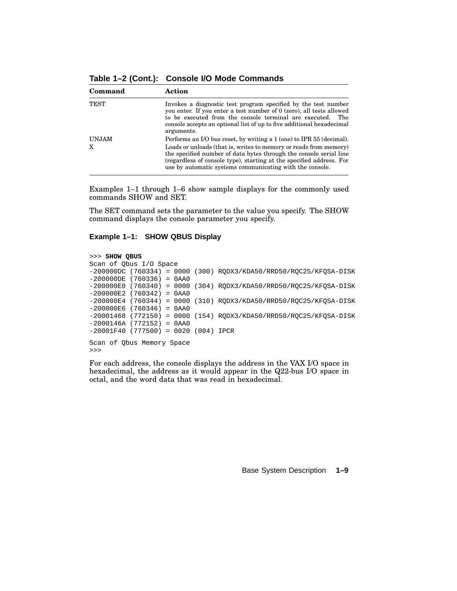**Command Action** TEST Invokes a diagnostic test program specified by the test number you enter. If you enter a test number of 0 (zero), all tests allowed to be executed from the console terminal are executed. The console accepts an optional list of up to five additional hexadecimal arguments. UNJAM Performs an I/O bus reset, by writing a 1 (one) to IPR 55 (decimal). X Loads or unloads (that is, writes to memory or reads from memory) the specified number of data bytes through the console serial line (regardless of console type), starting at the specified address. For use by automatic systems communicating with the console.

**Table 1–2 (Cont.): Console I/O Mode Commands**

Examples 1–1 through 1–6 show sample displays for the commonly used commands SHOW and SET.

The SET command sets the parameter to the value you specify. The SHOW command displays the console parameter you specify.

#### **Example 1–1: SHOW QBUS Display**

```
>>> SHOW QBUS
Scan of Qbus I/O Space
-200000DC (760334) = 0000 (300) RQDX3/KDA50/RRD50/RQC25/KFQSA-DISK
-200000DE (760336) = 0AA0
-200000E0 (760340) = 0000 (304) RQDX3/KDA50/RRD50/RQC25/KFQSA-DISK
-200000E2 (760342) = 0AA0
-200000E4 (760344) = 0000 (310) RQDX3/KDA50/RRD50/RQC25/KFQSA-DISK
-200000E6 (760346) = 0AA0
-20001468 (772150) = 0000 (154) RQDX3/KDA50/RRD50/RQC25/KFQSA-DISK
-2000146A (772152) = 0AA0
-20001F40 (777500) = 0020 (004) IPCR
Scan of Qbus Memory Space
>>>
```
For each address, the console displays the address in the VAX I/O space in hexadecimal, the address as it would appear in the Q22-bus I/O space in octal, and the word data that was read in hexadecimal.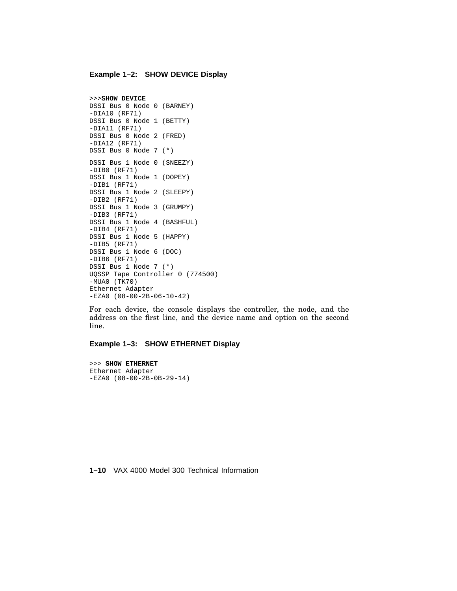#### **Example 1–2: SHOW DEVICE Display**

```
>>>SHOW DEVICE
DSSI Bus 0 Node 0 (BARNEY)
-DIA10 (RF71)
DSSI Bus 0 Node 1 (BETTY)
-DIA11 (RF71)
DSSI Bus 0 Node 2 (FRED)
-DIA12 (RF71)
DSSI Bus 0 Node 7 (*)
DSSI Bus 1 Node 0 (SNEEZY)
-DIB0 (RF71)
DSSI Bus 1 Node 1 (DOPEY)
-DIB1 (RF71)
DSSI Bus 1 Node 2 (SLEEPY)
-DIB2 (RF71)
DSSI Bus 1 Node 3 (GRUMPY)
-DIB3 (RF71)
DSSI Bus 1 Node 4 (BASHFUL)
-DIB4 (RF71)
DSSI Bus 1 Node 5 (HAPPY)
-DIB5 (RF71)
DSSI Bus 1 Node 6 (DOC)
-DIB6 (RF71)
DSSI Bus 1 Node 7 (*)
UQSSP Tape Controller 0 (774500)
-MUA0 (TK70)
Ethernet Adapter
-EZA0 (08-00-2B-06-10-42)
```
For each device, the console displays the controller, the node, and the address on the first line, and the device name and option on the second line.

#### **Example 1–3: SHOW ETHERNET Display**

```
>>> SHOW ETHERNET
Ethernet Adapter
-EZA0 (08-00-2B-0B-29-14)
```
**1–10** VAX 4000 Model 300 Technical Information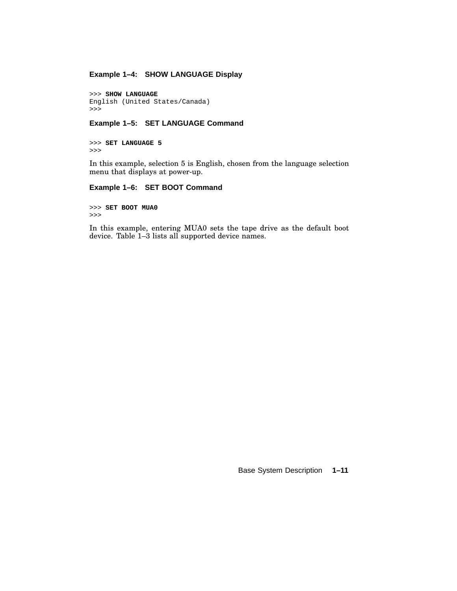#### **Example 1–4: SHOW LANGUAGE Display**

```
>>> SHOW LANGUAGE
English (United States/Canada)
>>>
```
#### **Example 1–5: SET LANGUAGE Command**

>>> **SET LANGUAGE 5** >>>

In this example, selection 5 is English, chosen from the language selection menu that displays at power-up.

#### **Example 1–6: SET BOOT Command**

>>> **SET BOOT MUA0** >>>

In this example, entering MUA0 sets the tape drive as the default boot device. Table 1–3 lists all supported device names.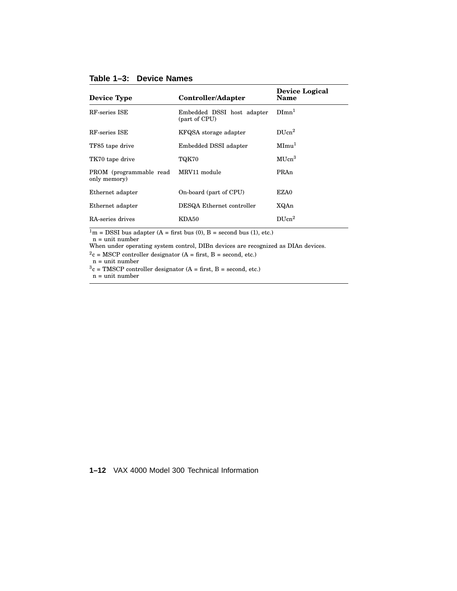#### **Table 1–3: Device Names**

| <b>Device Type</b>                      | Controller/Adapter                          | Device Logical<br>Name |
|-----------------------------------------|---------------------------------------------|------------------------|
| RF-series ISE                           | Embedded DSSI host adapter<br>(part of CPU) | $DImn^1$               |
| RF-series ISE                           | KFQSA storage adapter                       | $DI$ Icn <sup>2</sup>  |
| TF85 tape drive                         | Embedded DSSI adapter                       | MImu <sup>1</sup>      |
| TK70 tape drive                         | TQK70                                       | $\rm MIIcm^{3}$        |
| PROM (programmable read<br>only memory) | MRV11 module                                | PRAn                   |
| Ethernet adapter                        | On-board (part of CPU)                      | EZA0                   |
| Ethernet adapter                        | DESQA Ethernet controller                   | XQAn                   |
| RA-series drives                        | KDA50                                       | $DI$ Icn <sup>2</sup>  |

 $1<sup>m</sup>$  = DSSI bus adapter (A = first bus (0), B = second bus (1), etc.)

n = unit number

When under operating system control, DIBn devices are recognized as DIAn devices.

 $2c = MSCP$  controller designator (A = first, B = second, etc.)

 $n =$  unit number

 $3c = TMSCP$  controller designator (A = first, B = second, etc.)

n = unit number

**1–12** VAX 4000 Model 300 Technical Information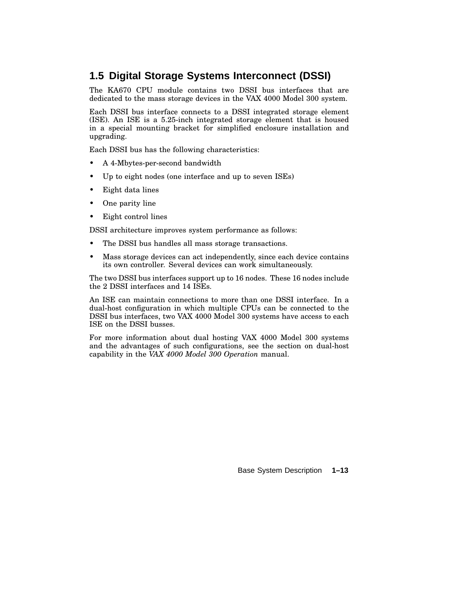### **1.5 Digital Storage Systems Interconnect (DSSI)**

The KA670 CPU module contains two DSSI bus interfaces that are dedicated to the mass storage devices in the VAX 4000 Model 300 system.

Each DSSI bus interface connects to a DSSI integrated storage element (ISE). An ISE is a 5.25-inch integrated storage element that is housed in a special mounting bracket for simplified enclosure installation and upgrading.

Each DSSI bus has the following characteristics:

- A 4-Mbytes-per-second bandwidth
- Up to eight nodes (one interface and up to seven ISEs)
- Eight data lines
- One parity line
- Eight control lines

DSSI architecture improves system performance as follows:

- The DSSI bus handles all mass storage transactions.
- Mass storage devices can act independently, since each device contains its own controller. Several devices can work simultaneously.

The two DSSI bus interfaces support up to 16 nodes. These 16 nodes include the 2 DSSI interfaces and 14 ISEs.

An ISE can maintain connections to more than one DSSI interface. In a dual-host configuration in which multiple CPUs can be connected to the DSSI bus interfaces, two VAX 4000 Model 300 systems have access to each ISE on the DSSI busses.

For more information about dual hosting VAX 4000 Model 300 systems and the advantages of such configurations, see the section on dual-host capability in the *VAX 4000 Model 300 Operation* manual.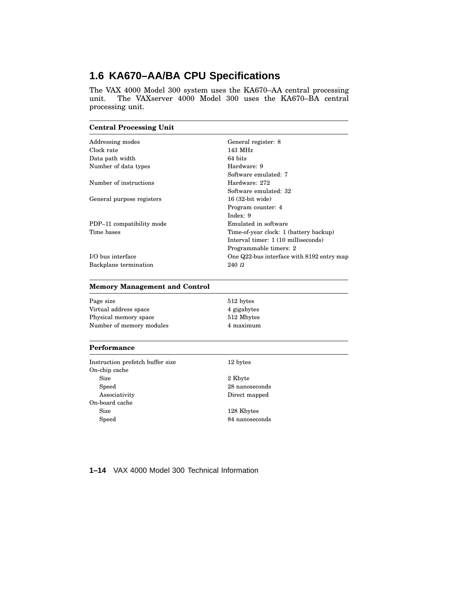### **1.6 KA670–AA/BA CPU Specifications**

The VAX 4000 Model 300 system uses the KA670–AA central processing unit. The VAXserver 4000 Model 300 uses the KA670–BA central processing unit.

#### **Central Processing Unit**

| Addressing modes          | General register: 8                       |
|---------------------------|-------------------------------------------|
| Clock rate                | 143 MHz                                   |
| Data path width           | 64 bits                                   |
| Number of data types      | Hardware: 9                               |
|                           | Software emulated: 7                      |
| Number of instructions    | Hardware: 272                             |
|                           | Software emulated: 32                     |
| General purpose registers | 16 (32-bit wide)                          |
|                           | Program counter: 4                        |
|                           | Index: $9$                                |
| PDP-11 compatibility mode | Emulated in software                      |
| Time bases                | Time-of-year clock: 1 (battery backup)    |
|                           | Interval timer: 1 (10 milliseconds)       |
|                           | Programmable timers: 2                    |
| I/O bus interface         | One Q22-bus interface with 8192 entry map |
| Backplane termination     | 240 $\Omega$                              |

#### **Memory Management and Control**

| Page size                | 512 bytes   |
|--------------------------|-------------|
| Virtual address space    | 4 gigabytes |
| Physical memory space    | 512 Mbytes  |
| Number of memory modules | 4 maximum   |

#### **Performance**

Instruction prefetch buffer size 12 bytes On-chip cache Size 2 Kbyte Speed 28 nanoseconds Associativity Direct mapped On-board cache Size 128 Kbytes Speed 84 nanoseconds

**1–14** VAX 4000 Model 300 Technical Information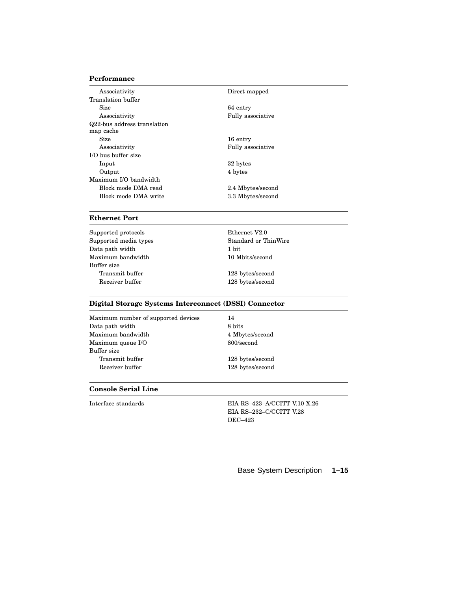#### **Performance**

| Associativity               | Direct mapped     |
|-----------------------------|-------------------|
| Translation buffer          |                   |
| <b>Size</b>                 | 64 entry          |
| Associativity               | Fully associative |
| Q22-bus address translation |                   |
| map cache                   |                   |
| <b>Size</b>                 | 16 entry          |
| Associativity               | Fully associative |
| I/O bus buffer size         |                   |
| Input                       | 32 bytes          |
| Output                      | 4 bytes           |
| Maximum I/O bandwidth       |                   |
| Block mode DMA read         | 2.4 Mbytes/second |
| Block mode DMA write        | 3.3 Mbytes/second |

#### **Ethernet Port**

Supported protocols Ethernet V2.0 Supported media types Standard or ThinWire Data path width 1 bit Maximum bandwidth 10 Mbits/second Buffer size Transmit buffer 128 bytes/second Receiver buffer 128 bytes/second

#### **Digital Storage Systems Interconnect (DSSI) Connector**

Maximum number of supported devices 14 Data path width 8 bits 8 bits Maximum bandwidth 4 Mbytes/second Maximum queue I/O 800/second Buffer size Transmit buffer 128 bytes/second Receiver buffer 128 bytes/second

#### **Console Serial Line**

Interface standards EIA RS–423–A/CCITT V.10 X.26 EIA RS–232–C/CCITT V.28 DEC–423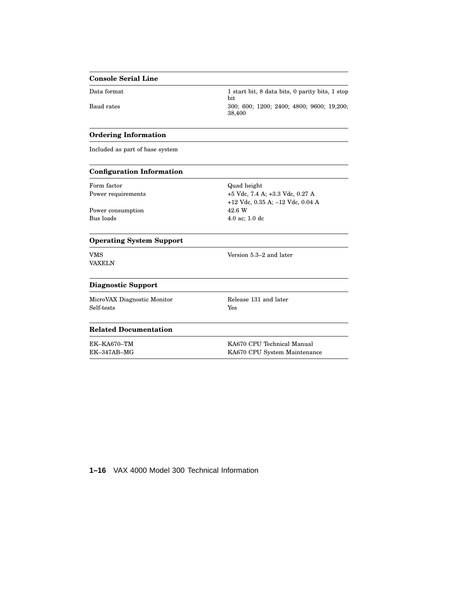#### **Console Serial Line**

Data format 1 start bit, 8 data bits, 0 parity bits, 1 stop bit Baud rates 300; 600; 1200; 2400; 4800; 9600; 19,200; 4800; 9600; 19,200; 38,400

#### **Ordering Information**

Included as part of base system

#### **Configuration Information**

Form factor **COVID-2008** Quad height

Power consumption 42.6 W Bus loads 4.0 ac; 1.0 dc

Power requirements +5 Vdc, 7.4 A; +3.3 Vdc, 0.27 A +12 Vdc, 0.35 A; –12 Vdc, 0.04 A

#### **Operating System Support**

VAXELN

VMS Version 5.3–2 and later

#### **Diagnostic Support**

MicroVAX Diagnostic Monitor Release 131 and later Self-tests Yes

#### **Related Documentation**

EK–KA670–TM KA670 CPU Technical Manual EK–347AB–MG KA670 CPU System Maintenance

**1–16** VAX 4000 Model 300 Technical Information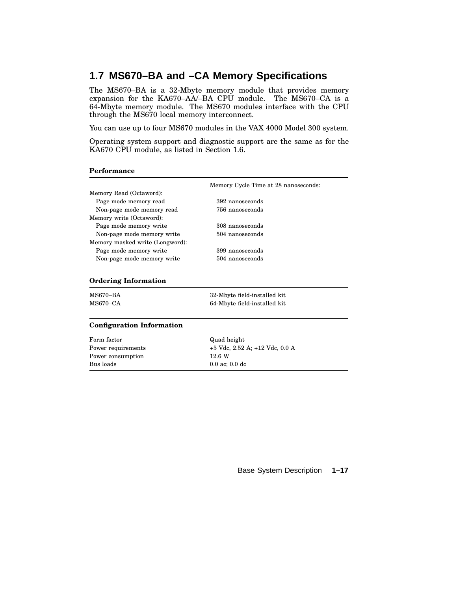### **1.7 MS670–BA and –CA Memory Specifications**

The MS670–BA is a 32-Mbyte memory module that provides memory expansion for the KA670–AA/–BA CPU module. The MS670–CA is a 64-Mbyte memory module. The MS670 modules interface with the CPU through the MS670 local memory interconnect.

You can use up to four MS670 modules in the VAX 4000 Model 300 system.

Operating system support and diagnostic support are the same as for the KA670 CPU module, as listed in Section 1.6.

| Performance                      |                                      |  |
|----------------------------------|--------------------------------------|--|
|                                  | Memory Cycle Time at 28 nanoseconds: |  |
| Memory Read (Octaword):          |                                      |  |
| Page mode memory read            | 392 nanoseconds                      |  |
| Non-page mode memory read        | 756 nanoseconds                      |  |
| Memory write (Octaword):         |                                      |  |
| Page mode memory write           | 308 nanoseconds                      |  |
| Non-page mode memory write       | 504 nanoseconds                      |  |
| Memory masked write (Longword):  |                                      |  |
| Page mode memory write           | 399 nanoseconds                      |  |
| Non-page mode memory write       | 504 nanoseconds                      |  |
| <b>Ordering Information</b>      |                                      |  |
| <b>MS670-BA</b>                  | 32-Mbyte field-installed kit         |  |
| $MS670 - CA$                     | 64-Mbyte field-installed kit         |  |
| <b>Configuration Information</b> |                                      |  |
| Form factor                      | Quad height                          |  |
| Power requirements               | +5 Vdc, 2.52 A; +12 Vdc, 0.0 A       |  |
| Power consumption                | 12.6 W                               |  |
| Bus loads                        | $0.0$ ac; $0.0$ dc                   |  |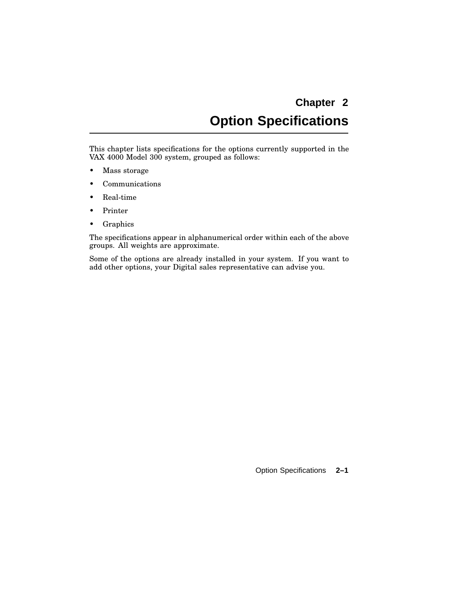# **Chapter 2 Option Specifications**

This chapter lists specifications for the options currently supported in the VAX 4000 Model 300 system, grouped as follows:

- Mass storage
- Communications
- Real-time
- Printer
- Graphics

The specifications appear in alphanumerical order within each of the above groups. All weights are approximate.

Some of the options are already installed in your system. If you want to add other options, your Digital sales representative can advise you.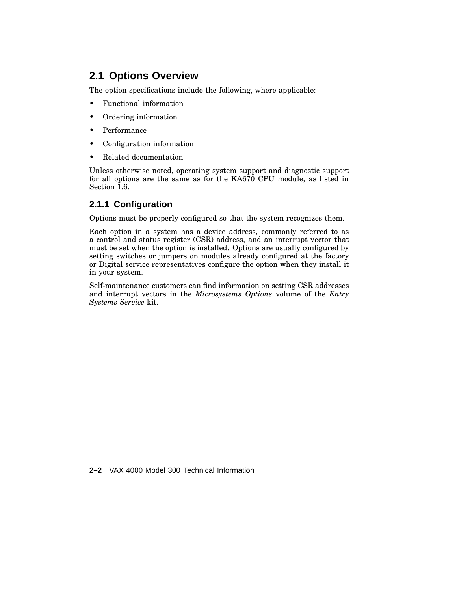### **2.1 Options Overview**

The option specifications include the following, where applicable:

- Functional information
- Ordering information
- Performance
- Configuration information
- Related documentation

Unless otherwise noted, operating system support and diagnostic support for all options are the same as for the KA670 CPU module, as listed in Section 1.6.

### **2.1.1 Configuration**

Options must be properly configured so that the system recognizes them.

Each option in a system has a device address, commonly referred to as a control and status register (CSR) address, and an interrupt vector that must be set when the option is installed. Options are usually configured by setting switches or jumpers on modules already configured at the factory or Digital service representatives configure the option when they install it in your system.

Self-maintenance customers can find information on setting CSR addresses and interrupt vectors in the *Microsystems Options* volume of the *Entry Systems Service* kit.

**2–2** VAX 4000 Model 300 Technical Information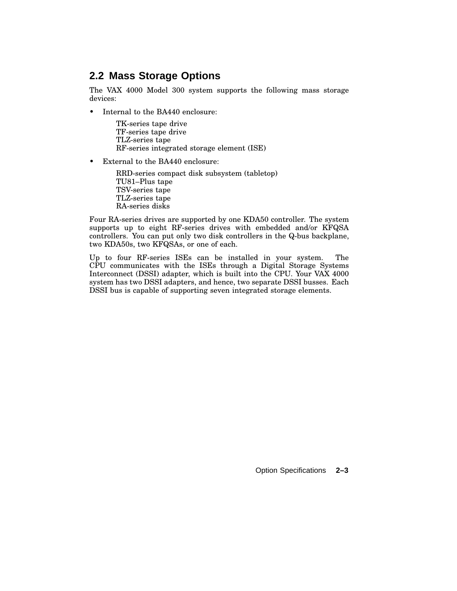### **2.2 Mass Storage Options**

The VAX 4000 Model 300 system supports the following mass storage devices:

• Internal to the BA440 enclosure:

TK-series tape drive TF-series tape drive TLZ-series tape RF-series integrated storage element (ISE)

• External to the BA440 enclosure:

RRD-series compact disk subsystem (tabletop) TU81–Plus tape TSV-series tape TLZ-series tape RA-series disks

Four RA-series drives are supported by one KDA50 controller. The system supports up to eight RF-series drives with embedded and/or KFQSA controllers. You can put only two disk controllers in the Q-bus backplane, two KDA50s, two KFQSAs, or one of each.

Up to four RF-series ISEs can be installed in your system. The CPU communicates with the ISEs through a Digital Storage Systems Interconnect (DSSI) adapter, which is built into the CPU. Your VAX 4000 system has two DSSI adapters, and hence, two separate DSSI busses. Each DSSI bus is capable of supporting seven integrated storage elements.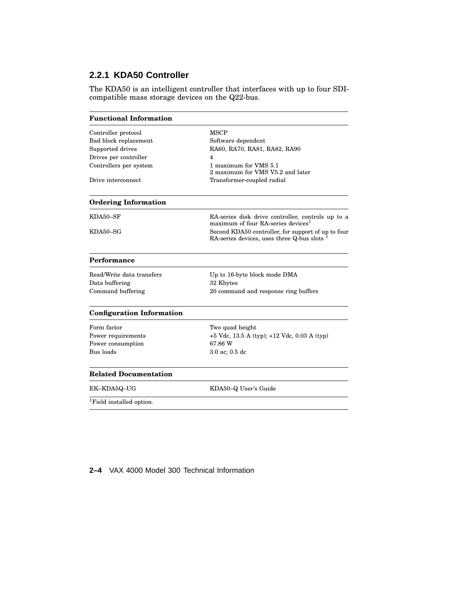### **2.2.1 KDA50 Controller**

The KDA50 is an intelligent controller that interfaces with up to four SDIcompatible mass storage devices on the Q22-bus.

| <b>Functional Information</b>        |                                                                                                     |
|--------------------------------------|-----------------------------------------------------------------------------------------------------|
| Controller protocol                  | <b>MSCP</b>                                                                                         |
| Bad block replacement                | Software dependent                                                                                  |
| Supported drives                     | RA60, RA70, RA81, RA82, RA90                                                                        |
| Drives per controller                | 4                                                                                                   |
| Controllers per system               | 1 maximum for VMS 5.1<br>2 maximum for VMS V5.2 and later                                           |
| Drive interconnect                   | Transformer-coupled radial                                                                          |
| <b>Ordering Information</b>          |                                                                                                     |
| KDA50-SF                             | RA-series disk drive controller, controls up to a<br>maximum of four RA-series devices <sup>1</sup> |
| KDA50-SG                             | Second KDA50 controller, for support of up to four<br>RA-series devices, uses three Q-bus slots     |
| Performance                          |                                                                                                     |
| Read/Write data transfers            | Up to 16-byte block mode DMA                                                                        |
| Data buffering                       | 32 Kbytes                                                                                           |
| Command buffering                    | 20 command and response ring buffers                                                                |
| <b>Configuration Information</b>     |                                                                                                     |
| Form factor                          | Two quad height                                                                                     |
| Power requirements                   | +5 Vdc, 13.5 A (typ); +12 Vdc, 0.03 A (typ)                                                         |
| Power consumption                    | 67.86 W                                                                                             |
| Bus loads                            | $3.0$ ac; $0.5$ dc                                                                                  |
| <b>Related Documentation</b>         |                                                                                                     |
| EK-KDA5Q-UG                          | KDA50-Q User's Guide                                                                                |
| <sup>1</sup> Field installed option. |                                                                                                     |
|                                      |                                                                                                     |

### **2–4** VAX 4000 Model 300 Technical Information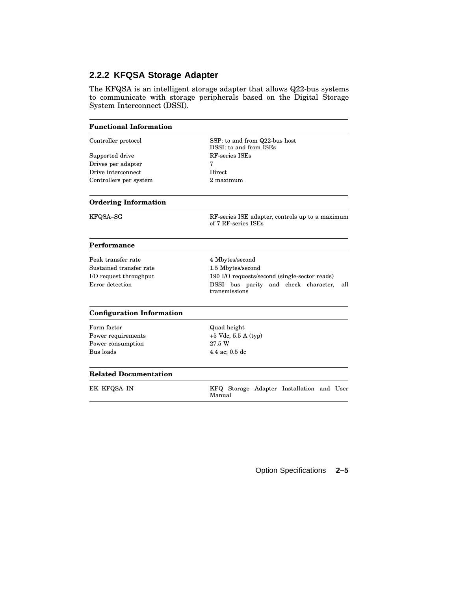### **2.2.2 KFQSA Storage Adapter**

The KFQSA is an intelligent storage adapter that allows Q22-bus systems to communicate with storage peripherals based on the Digital Storage System Interconnect (DSSI).

| <b>Functional Information</b>    |                                                                        |  |
|----------------------------------|------------------------------------------------------------------------|--|
| Controller protocol              | SSP: to and from Q22-bus host<br>DSSI: to and from ISEs                |  |
| Supported drive                  | RF-series ISEs                                                         |  |
| Drives per adapter               | 7                                                                      |  |
| Drive interconnect               | Direct                                                                 |  |
| Controllers per system           | 2 maximum                                                              |  |
| <b>Ordering Information</b>      |                                                                        |  |
| KFQSA-SG                         | RF-series ISE adapter, controls up to a maximum<br>of 7 RF-series ISEs |  |
| Performance                      |                                                                        |  |
| Peak transfer rate               | 4 Mbytes/second                                                        |  |
| Sustained transfer rate          | 1.5 Mbytes/second                                                      |  |
| I/O request throughput           | 190 I/O requests/second (single-sector reads)                          |  |
| Error detection                  | DSSI bus parity and check character,<br>all<br>transmissions           |  |
| <b>Configuration Information</b> |                                                                        |  |
| Form factor                      | Quad height                                                            |  |
| Power requirements               | $+5$ Vdc, 5.5 A (typ)                                                  |  |
| Power consumption                | 27.5 W                                                                 |  |
| Bus loads                        | 4.4 ac; 0.5 dc                                                         |  |
| <b>Related Documentation</b>     |                                                                        |  |
| <b>EK-KFQSA-IN</b>               | KFQ Storage Adapter Installation and User<br>Manual                    |  |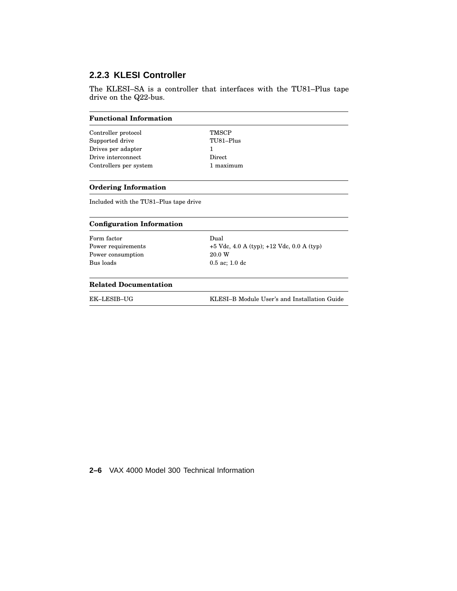### **2.2.3 KLESI Controller**

The KLESI–SA is a controller that interfaces with the TU81–Plus tape drive on the Q22-bus.

| <b>Functional Information</b> |              |
|-------------------------------|--------------|
| Controller protocol           | <b>TMSCP</b> |
| Supported drive               | TU81-Plus    |
| Drives per adapter            |              |
| Drive interconnect            | Direct       |
| Controllers per system        | maximum      |

#### **Ordering Information**

Included with the TU81–Plus tape drive

| <b>Configuration Information</b> |  |
|----------------------------------|--|
|----------------------------------|--|

| Dual                                          |
|-----------------------------------------------|
| $+5$ Vdc, 4.0 A (typ); $+12$ Vdc, 0.0 A (typ) |
| 20.0 W                                        |
| $0.5$ ac: 1.0 dc                              |
|                                               |
|                                               |

#### **Related Documentation**

| EK-LESIB-UG | KLESI-B Module User's and Installation Guide |
|-------------|----------------------------------------------|
|             |                                              |

**2–6** VAX 4000 Model 300 Technical Information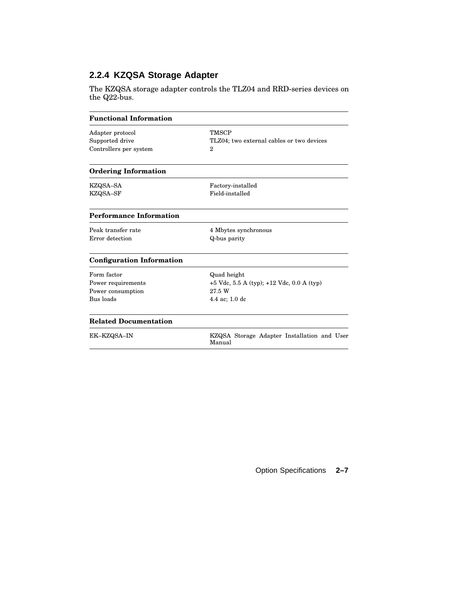### **2.2.4 KZQSA Storage Adapter**

The KZQSA storage adapter controls the TLZ04 and RRD-series devices on the Q22-bus.

| <b>Functional Information</b>    |                                                       |
|----------------------------------|-------------------------------------------------------|
| Adapter protocol                 | <b>TMSCP</b>                                          |
| Supported drive                  | TLZ04; two external cables or two devices             |
| Controllers per system           | $\overline{2}$                                        |
| <b>Ordering Information</b>      |                                                       |
| KZQSA–SA                         | Factory-installed                                     |
| KZQSA-SF                         | Field-installed                                       |
| <b>Performance Information</b>   |                                                       |
| Peak transfer rate               | 4 Mbytes synchronous                                  |
| Error detection                  | Q-bus parity                                          |
| <b>Configuration Information</b> |                                                       |
| Form factor                      | Quad height                                           |
| Power requirements               | $+5$ Vdc, 5.5 A (typ); $+12$ Vdc, 0.0 A (typ)         |
| Power consumption                | 27.5 W                                                |
| Bus loads                        | 4.4 ac; 1.0 dc                                        |
| <b>Related Documentation</b>     |                                                       |
| EK-KZQSA-IN                      | KZQSA Storage Adapter Installation and User<br>Manual |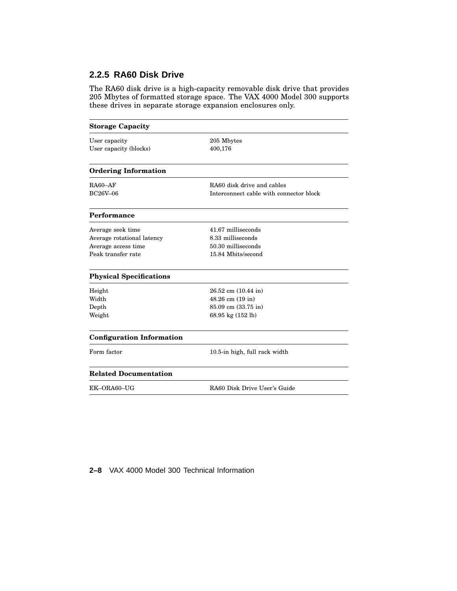### **2.2.5 RA60 Disk Drive**

The RA60 disk drive is a high-capacity removable disk drive that provides 205 Mbytes of formatted storage space. The VAX 4000 Model 300 supports these drives in separate storage expansion enclosures only.

| <b>Storage Capacity</b>          |                                         |  |
|----------------------------------|-----------------------------------------|--|
| User capacity                    | 205 Mbytes                              |  |
| User capacity (blocks)           | 400,176                                 |  |
| <b>Ordering Information</b>      |                                         |  |
| $RA60 - AF$                      | RA60 disk drive and cables              |  |
| BC26V-06                         | Interconnect cable with connector block |  |
| Performance                      |                                         |  |
| Average seek time                | 41.67 milliseconds                      |  |
| Average rotational latency       | 8.33 milliseconds                       |  |
| Average access time              | 50.30 milliseconds                      |  |
| Peak transfer rate               | 15.84 Mbits/second                      |  |
| <b>Physical Specifications</b>   |                                         |  |
| Height                           | $26.52$ cm $(10.44$ in)                 |  |
| Width                            | 48.26 cm (19 in)                        |  |
| Depth                            | 85.09 cm (33.75 in)                     |  |
| Weight                           | 68.95 kg (152 lb)                       |  |
| <b>Configuration Information</b> |                                         |  |
| Form factor                      | 10.5-in high, full rack width           |  |
| <b>Related Documentation</b>     |                                         |  |
| EK-ORA60-UG                      | RA60 Disk Drive User's Guide            |  |

**2–8** VAX 4000 Model 300 Technical Information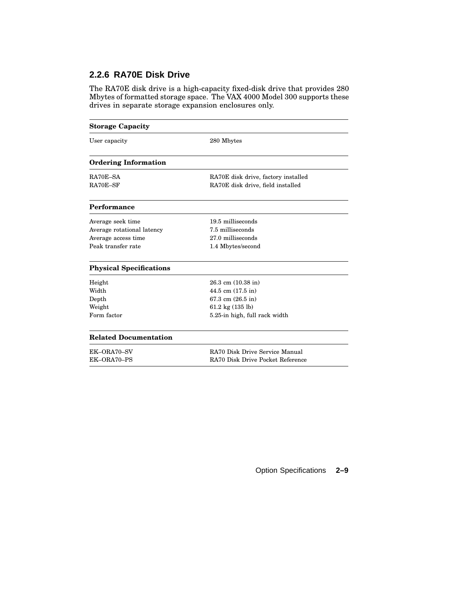### **2.2.6 RA70E Disk Drive**

The RA70E disk drive is a high-capacity fixed-disk drive that provides 280 Mbytes of formatted storage space. The VAX 4000 Model 300 supports these drives in separate storage expansion enclosures only.

| <b>Storage Capacity</b>        |                                                                          |  |
|--------------------------------|--------------------------------------------------------------------------|--|
| User capacity                  | 280 Mbytes                                                               |  |
| <b>Ordering Information</b>    |                                                                          |  |
| RA70E-SA<br>RA70E-SF           | RA70E disk drive, factory installed<br>RA70E disk drive, field installed |  |
| Performance                    |                                                                          |  |
| Average seek time              | 19.5 milliseconds                                                        |  |
| Average rotational latency     | 7.5 milliseconds                                                         |  |
| Average access time            | 27.0 milliseconds                                                        |  |
| Peak transfer rate             | 1.4 Mbytes/second                                                        |  |
| <b>Physical Specifications</b> |                                                                          |  |
| Height                         | $26.3$ cm $(10.38$ in)                                                   |  |
| Width                          | 44.5 cm $(17.5 \text{ in})$                                              |  |
| Depth                          | $67.3$ cm $(26.5$ in)                                                    |  |
| Weight                         | 61.2 kg $(135 \text{ lb})$                                               |  |
| Form factor                    | 5.25-in high, full rack width                                            |  |
| <b>Related Documentation</b>   |                                                                          |  |
| EK-ORA70-SV                    | RA70 Disk Drive Service Manual                                           |  |
| EK-ORA70-PS                    | RA70 Disk Drive Pocket Reference                                         |  |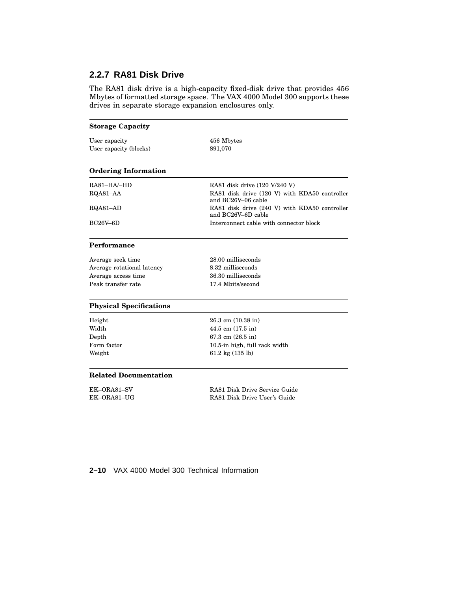### **2.2.7 RA81 Disk Drive**

The RA81 disk drive is a high-capacity fixed-disk drive that provides 456 Mbytes of formatted storage space. The VAX 4000 Model 300 supports these drives in separate storage expansion enclosures only.

| <b>Storage Capacity</b>        |                                                                     |  |
|--------------------------------|---------------------------------------------------------------------|--|
| User capacity                  | 456 Mbytes                                                          |  |
| User capacity (blocks)         | 891,070                                                             |  |
| <b>Ordering Information</b>    |                                                                     |  |
| $RA81-HA/HD$                   | RA81 disk drive (120 V/240 V)                                       |  |
| RQA81-AA                       | RA81 disk drive (120 V) with KDA50 controller<br>and BC26V-06 cable |  |
| RQA81-AD                       | RA81 disk drive (240 V) with KDA50 controller<br>and BC26V-6D cable |  |
| $BC26V-6D$                     | Interconnect cable with connector block                             |  |
| Performance                    |                                                                     |  |
| Average seek time              | 28.00 milliseconds                                                  |  |
| Average rotational latency     | 8.32 milliseconds                                                   |  |
| Average access time            | 36.30 milliseconds                                                  |  |
| Peak transfer rate             | 17.4 Mbits/second                                                   |  |
| <b>Physical Specifications</b> |                                                                     |  |
| Height                         | $26.3$ cm $(10.38$ in)                                              |  |
| Width                          | $44.5$ cm $(17.5$ in)                                               |  |
| Depth                          | $67.3 \text{ cm}$ (26.5 in)                                         |  |
| Form factor                    | 10.5-in high, full rack width                                       |  |
| Weight                         | 61.2 kg $(135 \text{ lb})$                                          |  |
| <b>Related Documentation</b>   |                                                                     |  |
| EK-ORA81-SV                    | RA81 Disk Drive Service Guide                                       |  |
| EK-ORA81-UG                    | RA81 Disk Drive User's Guide                                        |  |

### **2–10** VAX 4000 Model 300 Technical Information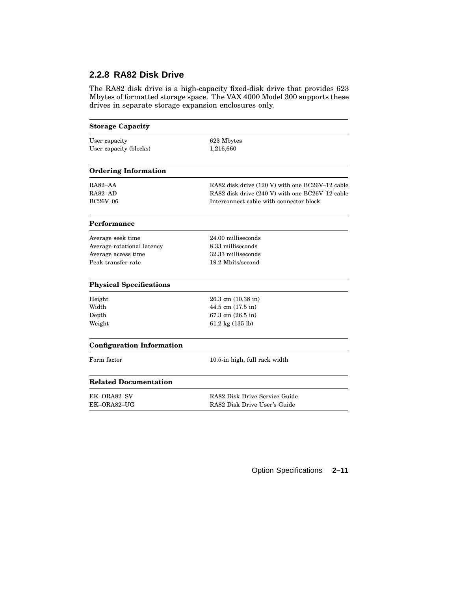### **2.2.8 RA82 Disk Drive**

The RA82 disk drive is a high-capacity fixed-disk drive that provides 623 Mbytes of formatted storage space. The VAX 4000 Model 300 supports these drives in separate storage expansion enclosures only.

| <b>Storage Capacity</b>          |                                                 |  |
|----------------------------------|-------------------------------------------------|--|
| User capacity                    | 623 Mbytes                                      |  |
| User capacity (blocks)           | 1,216,660                                       |  |
| <b>Ordering Information</b>      |                                                 |  |
| RA82-AA                          | RA82 disk drive (120 V) with one BC26V-12 cable |  |
| RA82-AD                          | RA82 disk drive (240 V) with one BC26V-12 cable |  |
| <b>BC26V-06</b>                  | Interconnect cable with connector block         |  |
| Performance                      |                                                 |  |
| Average seek time                | 24.00 milliseconds                              |  |
| Average rotational latency       | 8.33 milliseconds                               |  |
| Average access time              | 32.33 milliseconds                              |  |
| Peak transfer rate               | 19.2 Mbits/second                               |  |
| <b>Physical Specifications</b>   |                                                 |  |
| Height                           | $26.3$ cm $(10.38$ in)                          |  |
| Width                            | 44.5 cm (17.5 in)                               |  |
| $\operatorname{Depth}$           | 67.3 cm (26.5 in)                               |  |
| Weight                           | 61.2 kg $(135 \text{ lb})$                      |  |
| <b>Configuration Information</b> |                                                 |  |
| Form factor                      | 10.5-in high, full rack width                   |  |
| <b>Related Documentation</b>     |                                                 |  |
| EK–ORA82–SV                      | RA82 Disk Drive Service Guide                   |  |
| EK-ORA82-UG                      | RA82 Disk Drive User's Guide                    |  |
|                                  |                                                 |  |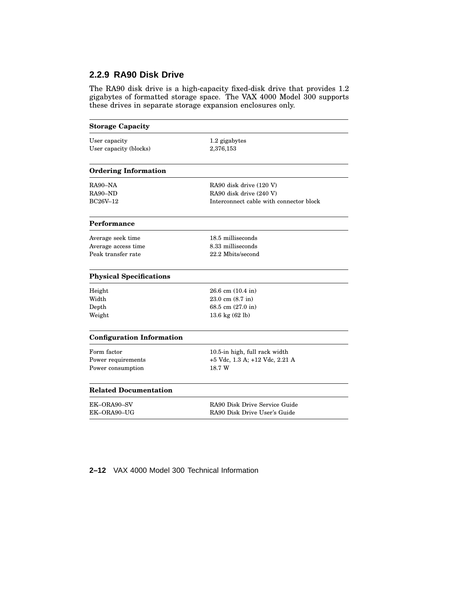### **2.2.9 RA90 Disk Drive**

The RA90 disk drive is a high-capacity fixed-disk drive that provides 1.2 gigabytes of formatted storage space. The VAX 4000 Model 300 supports these drives in separate storage expansion enclosures only.

| <b>Storage Capacity</b>          |                                         |  |
|----------------------------------|-----------------------------------------|--|
| User capacity                    | 1.2 gigabytes                           |  |
| User capacity (blocks)           | 2,376,153                               |  |
|                                  |                                         |  |
| <b>Ordering Information</b>      |                                         |  |
| RA90–NA                          | RA90 disk drive (120 V)                 |  |
| RA90-ND                          | RA90 disk drive (240 V)                 |  |
| BC26V-12                         | Interconnect cable with connector block |  |
| Performance                      |                                         |  |
| Average seek time                | 18.5 milliseconds                       |  |
| Average access time              | 8.33 milliseconds                       |  |
| Peak transfer rate               | 22.2 Mbits/second                       |  |
| <b>Physical Specifications</b>   |                                         |  |
| Height                           | $26.6$ cm $(10.4$ in)                   |  |
| Width                            | $23.0 \text{ cm } (8.7 \text{ in})$     |  |
| Depth                            | 68.5 cm (27.0 in)                       |  |
| Weight                           | 13.6 kg $(62 \text{ lb})$               |  |
| <b>Configuration Information</b> |                                         |  |
| Form factor                      | 10.5-in high, full rack width           |  |
| Power requirements               | +5 Vdc, 1.3 A; +12 Vdc, 2.21 A          |  |
| Power consumption                | 18.7 W                                  |  |
| <b>Related Documentation</b>     |                                         |  |
| EK-ORA90-SV                      | RA90 Disk Drive Service Guide           |  |
| EK-ORA90-UG                      | RA90 Disk Drive User's Guide            |  |

**2–12** VAX 4000 Model 300 Technical Information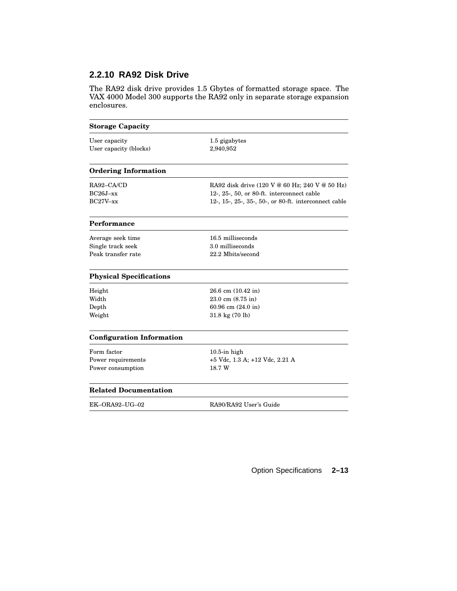### **2.2.10 RA92 Disk Drive**

The RA92 disk drive provides 1.5 Gbytes of formatted storage space. The VAX 4000 Model 300 supports the RA92 only in separate storage expansion enclosures.

| <b>Storage Capacity</b>          |                                                       |  |  |
|----------------------------------|-------------------------------------------------------|--|--|
| User capacity                    | 1.5 gigabytes                                         |  |  |
| User capacity (blocks)           | 2,940,952                                             |  |  |
| <b>Ordering Information</b>      |                                                       |  |  |
| RA92-CA/CD                       | RA92 disk drive (120 V @ 60 Hz; 240 V @ 50 Hz)        |  |  |
| $BC26J - xx$                     | 12-, 25-, 50, or 80-ft. interconnect cable            |  |  |
| $BC27V - xx$                     | 12-, 15-, 25-, 35-, 50-, or 80-ft. interconnect cable |  |  |
| Performance                      |                                                       |  |  |
| Average seek time                | 16.5 milliseconds                                     |  |  |
| Single track seek                | 3.0 milliseconds                                      |  |  |
| Peak transfer rate               | 22.2 Mbits/second                                     |  |  |
| <b>Physical Specifications</b>   |                                                       |  |  |
| Height                           | $26.6$ cm $(10.42$ in)                                |  |  |
| Width                            | 23.0 cm (8.75 in)                                     |  |  |
| Depth                            | 60.96 cm (24.0 in)                                    |  |  |
| Weight                           | $31.8 \text{ kg} (70 \text{ lb})$                     |  |  |
| <b>Configuration Information</b> |                                                       |  |  |
| Form factor                      | $10.5$ -in high                                       |  |  |
| Power requirements               | +5 Vdc, 1.3 A; +12 Vdc, 2.21 A                        |  |  |
| Power consumption                | 18.7 W                                                |  |  |
| <b>Related Documentation</b>     |                                                       |  |  |
| EK-ORA92-UG-02                   | RA90/RA92 User's Guide                                |  |  |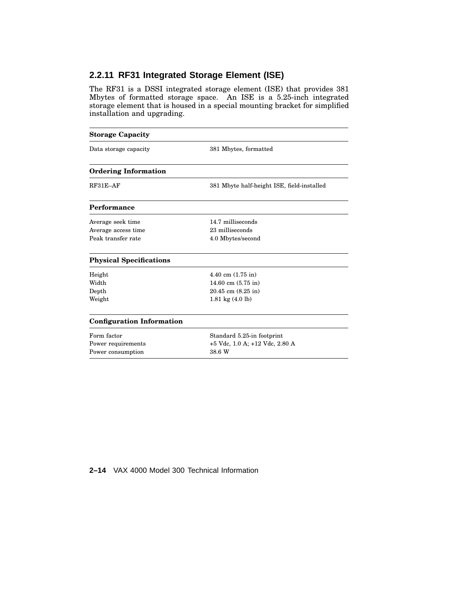# **2.2.11 RF31 Integrated Storage Element (ISE)**

The RF31 is a DSSI integrated storage element (ISE) that provides 381 Mbytes of formatted storage space. An ISE is a 5.25-inch integrated storage element that is housed in a special mounting bracket for simplified installation and upgrading.

| <b>Storage Capacity</b>          |                                            |  |
|----------------------------------|--------------------------------------------|--|
| Data storage capacity            | 381 Mbytes, formatted                      |  |
| <b>Ordering Information</b>      |                                            |  |
| $RF31E-AF$                       | 381 Mbyte half-height ISE, field-installed |  |
| Performance                      |                                            |  |
| Average seek time                | 14.7 milliseconds                          |  |
| Average access time              | 23 milliseconds                            |  |
| Peak transfer rate               | 4.0 Mbytes/second                          |  |
| <b>Physical Specifications</b>   |                                            |  |
| Height                           | $4.40 \text{ cm } (1.75 \text{ in})$       |  |
| Width                            | 14.60 cm $(5.75$ in)                       |  |
| Depth                            | $20.45$ cm $(8.25$ in)                     |  |
| Weight                           | 1.81 kg $(4.0 \text{ lb})$                 |  |
| <b>Configuration Information</b> |                                            |  |
| Form factor                      | Standard 5.25-in footprint                 |  |
| Power requirements               | +5 Vdc, 1.0 A; +12 Vdc, 2.80 A             |  |
| Power consumption                | 38.6 W                                     |  |

## **2–14** VAX 4000 Model 300 Technical Information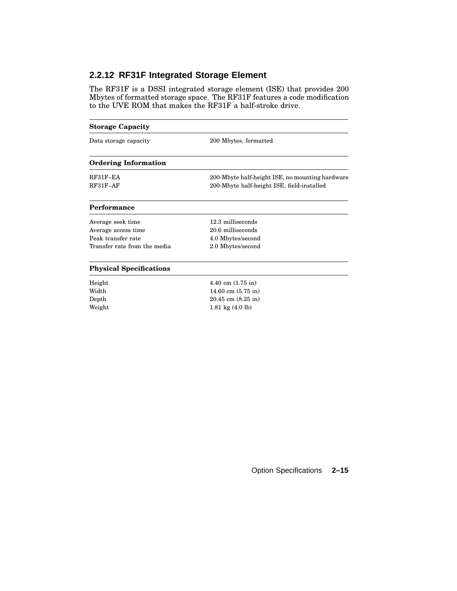# **2.2.12 RF31F Integrated Storage Element**

Weight 1.81 kg (4.0 lb)

The RF31F is a DSSI integrated storage element (ISE) that provides 200 Mbytes of formatted storage space. The RF31F features a code modification to the UVE ROM that makes the RF31F a half-stroke drive.

# **Storage Capacity** Data storage capacity 200 Mbytes, formatted **Ordering Information** RF31F–EA 200-Mbyte half-height ISE, no mounting hardware RF31F–AF 200-Mbyte half-height ISE, field-installed **Performance** Average seek time 12.3 milliseconds Average access time 20.6 milliseconds Peak transfer rate 4.0 Mbytes/second Transfer rate from the media 2.0 Mbytes/second **Physical Specifications** Height 4.40 cm (1.75 in) Width 14.60 cm (5.75 in) Depth 20.45 cm (8.25 in)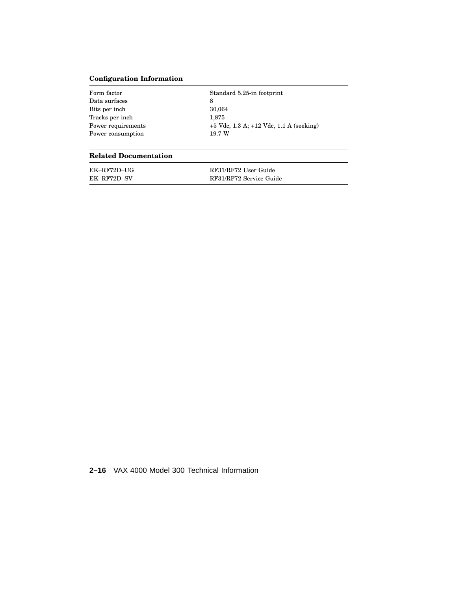# **Configuration Information**

| Form factor        | Standard 5.25-in footprint                  |
|--------------------|---------------------------------------------|
| Data surfaces      | 8                                           |
| Bits per inch      | 30,064                                      |
| Tracks per inch    | 1.875                                       |
| Power requirements | $+5$ Vdc, 1.3 A; $+12$ Vdc, 1.1 A (seeking) |
| Power consumption  | 19.7 W                                      |

## **Related Documentation**

| EK-RF72D-UG | RF31/RF72 User Guide    |
|-------------|-------------------------|
| EK-RF72D-SV | RF31/RF72 Service Guide |

**2–16** VAX 4000 Model 300 Technical Information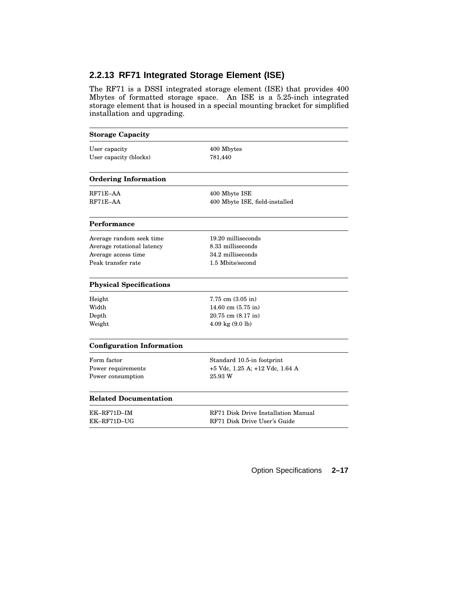# **2.2.13 RF71 Integrated Storage Element (ISE)**

The RF71 is a DSSI integrated storage element (ISE) that provides 400 Mbytes of formatted storage space. An ISE is a 5.25-inch integrated storage element that is housed in a special mounting bracket for simplified installation and upgrading.

| <b>Storage Capacity</b>          |                                     |
|----------------------------------|-------------------------------------|
| User capacity                    | 400 Mbytes                          |
| User capacity (blocks)           | 781,440                             |
| <b>Ordering Information</b>      |                                     |
| $RF71E-AA$                       | 400 Mbyte ISE                       |
| $RF71E-AA$                       | 400 Mbyte ISE, field-installed      |
| Performance                      |                                     |
| Average random seek time         | 19.20 milliseconds                  |
| Average rotational latency       | 8.33 milliseconds                   |
| Average access time              | 34.2 milliseconds                   |
| Peak transfer rate               | 1.5 Mbits/second                    |
| <b>Physical Specifications</b>   |                                     |
| Height                           | $7.75$ cm $(3.05$ in)               |
| Width                            | 14.60 cm $(5.75 \text{ in})$        |
| Depth                            | 20.75 cm (8.17 in)                  |
| Weight                           | $4.09 \text{ kg} (9.0 \text{ lb})$  |
| <b>Configuration Information</b> |                                     |
| Form factor                      | Standard 10.5-in footprint          |
| Power requirements               | +5 Vdc, 1.25 A; +12 Vdc, 1.64 A     |
| Power consumption                | 25.93 W                             |
| <b>Related Documentation</b>     |                                     |
| $EK-RF71D-IM$                    | RF71 Disk Drive Installation Manual |
| EK-RF71D-UG                      | RF71 Disk Drive User's Guide        |
|                                  |                                     |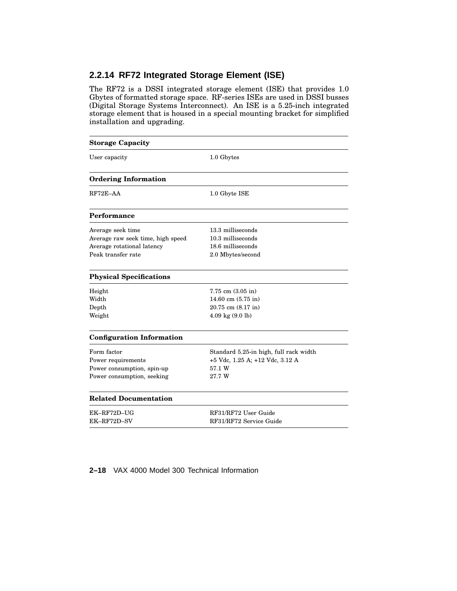# **2.2.14 RF72 Integrated Storage Element (ISE)**

The RF72 is a DSSI integrated storage element (ISE) that provides 1.0 Gbytes of formatted storage space. RF-series ISEs are used in DSSI busses (Digital Storage Systems Interconnect). An ISE is a 5.25-inch integrated storage element that is housed in a special mounting bracket for simplified installation and upgrading.

| <b>Storage Capacity</b>           |                                        |  |
|-----------------------------------|----------------------------------------|--|
| User capacity                     | 1.0 Gbytes                             |  |
| <b>Ordering Information</b>       |                                        |  |
| $RF72E-AA$                        | 1.0 Gbyte ISE                          |  |
| Performance                       |                                        |  |
| Average seek time                 | 13.3 milliseconds                      |  |
| Average raw seek time, high speed | 10.3 milliseconds                      |  |
| Average rotational latency        | 18.6 milliseconds                      |  |
| Peak transfer rate                | 2.0 Mbytes/second                      |  |
| <b>Physical Specifications</b>    |                                        |  |
| Height                            | $7.75$ cm $(3.05$ in)                  |  |
| Width                             | $14.60 \text{ cm } (5.75 \text{ in})$  |  |
| Depth                             | 20.75 cm (8.17 in)                     |  |
| Weight                            | $4.09 \text{ kg} (9.0 \text{ lb})$     |  |
| <b>Configuration Information</b>  |                                        |  |
| Form factor                       | Standard 5.25-in high, full rack width |  |
| Power requirements                | +5 Vdc, 1.25 A; +12 Vdc, 3.12 A        |  |
| Power consumption, spin-up        | 57.1 W                                 |  |
| Power consumption, seeking        | 27.7 W                                 |  |
| <b>Related Documentation</b>      |                                        |  |
| EK-RF72D-UG                       | RF31/RF72 User Guide                   |  |
| EK-RF72D-SV                       | RF31/RF72 Service Guide                |  |

**2–18** VAX 4000 Model 300 Technical Information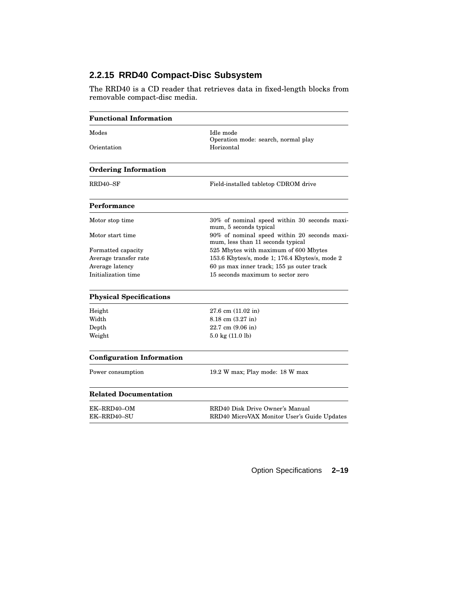# **2.2.15 RRD40 Compact-Disc Subsystem**

The RRD40 is a CD reader that retrieves data in fixed-length blocks from removable compact-disc media.

| <b>Functional Information</b>    |                                                                                   |
|----------------------------------|-----------------------------------------------------------------------------------|
| Modes<br>Orientation             | Idle mode<br>Operation mode: search, normal play<br>Horizontal                    |
|                                  |                                                                                   |
| <b>Ordering Information</b>      |                                                                                   |
| RRD40–SF                         | Field-installed tabletop CDROM drive                                              |
| Performance                      |                                                                                   |
| Motor stop time                  | 30% of nominal speed within 30 seconds maxi-<br>mum, 5 seconds typical            |
| Motor start time                 | 90% of nominal speed within 20 seconds maxi-<br>mum, less than 11 seconds typical |
| Formatted capacity               | 525 Mbytes with maximum of 600 Mbytes                                             |
| Average transfer rate            | 153.6 Kbytes/s, mode 1; 176.4 Kbytes/s, mode 2                                    |
| Average latency                  | 60 us max inner track; 155 us outer track                                         |
| Initialization time              | 15 seconds maximum to sector zero                                                 |
| <b>Physical Specifications</b>   |                                                                                   |
| Height                           | $27.6$ cm $(11.02$ in)                                                            |
| Width                            | 8.18 cm (3.27 in)                                                                 |
| Depth                            | $22.7 \text{ cm } (9.06 \text{ in})$                                              |
| Weight                           | $5.0 \text{ kg} (11.0 \text{ lb})$                                                |
| <b>Configuration Information</b> |                                                                                   |
| Power consumption                | 19.2 W max; Play mode: 18 W max                                                   |
| <b>Related Documentation</b>     |                                                                                   |
| EK-RRD40-OM                      | RRD40 Disk Drive Owner's Manual                                                   |
| EK-RRD40-SU                      | RRD40 MicroVAX Monitor User's Guide Updates                                       |
|                                  |                                                                                   |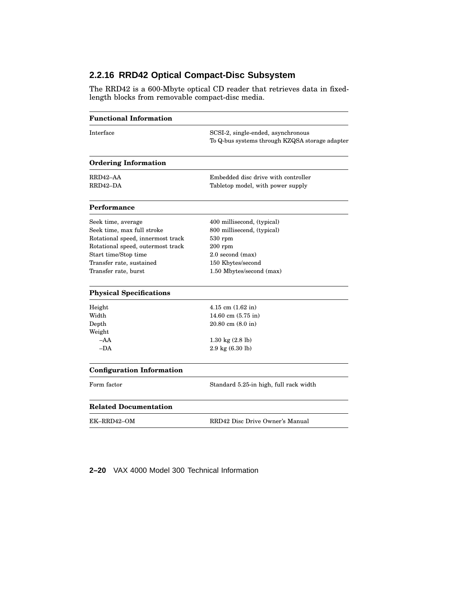# **2.2.16 RRD42 Optical Compact-Disc Subsystem**

The RRD42 is a 600-Mbyte optical CD reader that retrieves data in fixedlength blocks from removable compact-disc media.

| <b>Functional Information</b>                                                                                                                                                                          |                                                                                                                                                         |
|--------------------------------------------------------------------------------------------------------------------------------------------------------------------------------------------------------|---------------------------------------------------------------------------------------------------------------------------------------------------------|
| Interface                                                                                                                                                                                              | SCSI-2, single-ended, asynchronous<br>To Q-bus systems through KZQSA storage adapter                                                                    |
| <b>Ordering Information</b>                                                                                                                                                                            |                                                                                                                                                         |
| RRD42-AA<br>RRD42-DA                                                                                                                                                                                   | Embedded disc drive with controller<br>Tabletop model, with power supply                                                                                |
| Performance                                                                                                                                                                                            |                                                                                                                                                         |
| Seek time, average<br>Seek time, max full stroke<br>Rotational speed, innermost track<br>Rotational speed, outermost track<br>Start time/Stop time<br>Transfer rate, sustained<br>Transfer rate, burst | 400 millisecond, (typical)<br>800 millisecend, (typical)<br>$530$ rpm<br>$200$ rpm<br>2.0 second (max)<br>150 Kbytes/second<br>1.50 Mbytes/second (max) |
| <b>Physical Specifications</b>                                                                                                                                                                         |                                                                                                                                                         |
| Height<br>Width<br>Depth<br>Weight<br>$-AA$<br>$-DA$                                                                                                                                                   | $4.15$ cm $(1.62$ in)<br>14.60 cm $(5.75 \text{ in})$<br>$20.80$ cm $(8.0 \text{ in})$<br>$1.30 \text{ kg} (2.8 \text{ lb})$<br>2.9 kg (6.30 lb)        |
| <b>Configuration Information</b>                                                                                                                                                                       |                                                                                                                                                         |
| Form factor                                                                                                                                                                                            | Standard 5.25-in high, full rack width                                                                                                                  |
| <b>Related Documentation</b>                                                                                                                                                                           |                                                                                                                                                         |
| EK–RRD42–OM                                                                                                                                                                                            | RRD42 Disc Drive Owner's Manual                                                                                                                         |

**2–20** VAX 4000 Model 300 Technical Information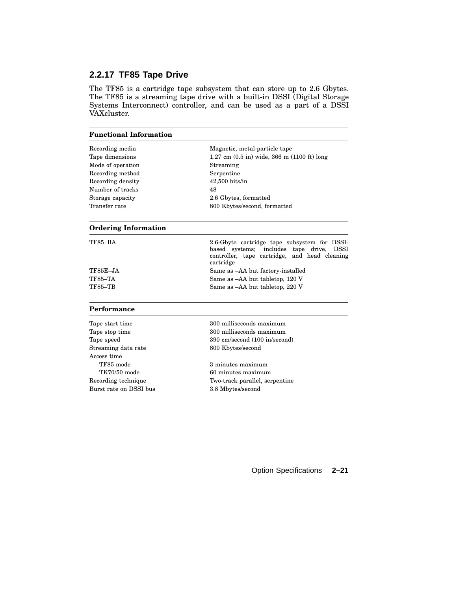# **2.2.17 TF85 Tape Drive**

The TF85 is a cartridge tape subsystem that can store up to 2.6 Gbytes. The TF85 is a streaming tape drive with a built-in DSSI (Digital Storage Systems Interconnect) controller, and can be used as a part of a DSSI VAXcluster.

| <b>Functional Information</b> |                                                                                                                                                                     |
|-------------------------------|---------------------------------------------------------------------------------------------------------------------------------------------------------------------|
| Recording media               | Magnetic, metal-particle tape                                                                                                                                       |
| Tape dimensions               | $1.27 \text{ cm } (0.5 \text{ in})$ wide, 366 m (1100 ft) long                                                                                                      |
| Mode of operation             | Streaming                                                                                                                                                           |
| Recording method              | Serpentine                                                                                                                                                          |
| Recording density             | $42,500$ bits/in                                                                                                                                                    |
| Number of tracks              | 48                                                                                                                                                                  |
| Storage capacity              | 2.6 Gbytes, formatted                                                                                                                                               |
| Transfer rate                 | 800 Kbytes/second, formatted                                                                                                                                        |
| <b>Ordering Information</b>   |                                                                                                                                                                     |
| TF85–BA                       | 2.6-Gbyte cartridge tape subsystem for DSSI-<br>based systems;<br>includes tape drive,<br><b>DSSI</b><br>controller, tape cartridge, and head cleaning<br>cartridge |
| TF85E–JA                      | Same as -AA but factory-installed                                                                                                                                   |
| <b>TF85-TA</b>                | Same as -AA but tabletop, 120 V                                                                                                                                     |
| TF85-TB                       | Same as -AA but tabletop, 220 V                                                                                                                                     |
| Performance                   |                                                                                                                                                                     |
| Tape start time               | 300 milliseconds maximum                                                                                                                                            |
| Tape stop time                | 300 milliseconds maximum                                                                                                                                            |
| Tape speed                    | 390 cm/second (100 in/second)                                                                                                                                       |
| Streaming data rate           | 800 Kbytes/second                                                                                                                                                   |
| Access time                   |                                                                                                                                                                     |
| TF85 mode                     | 3 minutes maximum                                                                                                                                                   |
| TK70/50 mode                  | 60 minutes maximum                                                                                                                                                  |
| Recording technique           | Two-track parallel, serpentine                                                                                                                                      |
| Burst rate on DSSI bus        | 3.8 Mbytes/second                                                                                                                                                   |
|                               |                                                                                                                                                                     |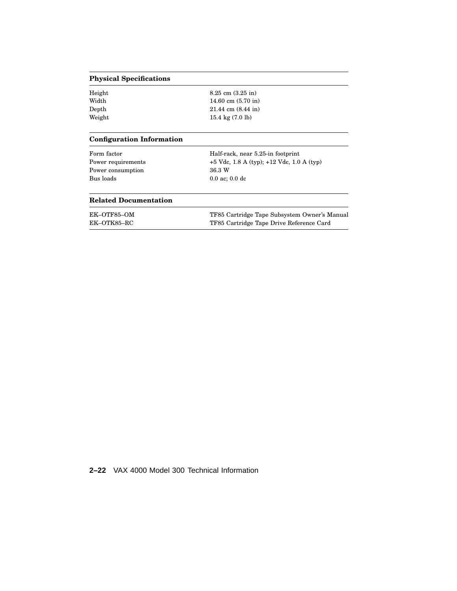### **Physical Specifications**

| Height | $8.25$ cm $(3.25$ in)        |
|--------|------------------------------|
| Width  | 14.60 cm $(5.70 \text{ in})$ |
| Depth  | $21.44$ cm $(8.44$ in)       |
| Weight | 15.4 kg $(7.0 \text{ lb})$   |

### **Configuration Information**

| Form factor<br>Power requirements<br>Power consumption<br>Bus loads | Half-rack, near 5.25-in footprint<br>+5 Vdc, 1.8 A (typ); +12 Vdc, 1.0 A (typ) |  |
|---------------------------------------------------------------------|--------------------------------------------------------------------------------|--|
|                                                                     | 36.3 W                                                                         |  |
|                                                                     | $0.0$ ac; $0.0$ dc                                                             |  |
| <b>Related Documentation</b>                                        |                                                                                |  |
| EK-OTF85-OM                                                         | TF85 Cartridge Tape Subsystem Owner's Manual                                   |  |
| EK-OTK85-RC                                                         | TF85 Cartridge Tape Drive Reference Card                                       |  |

| EK–OTK85–RC | TF85 Cartridge Tape Drive Reference Card |
|-------------|------------------------------------------|
|             |                                          |

# **2–22** VAX 4000 Model 300 Technical Information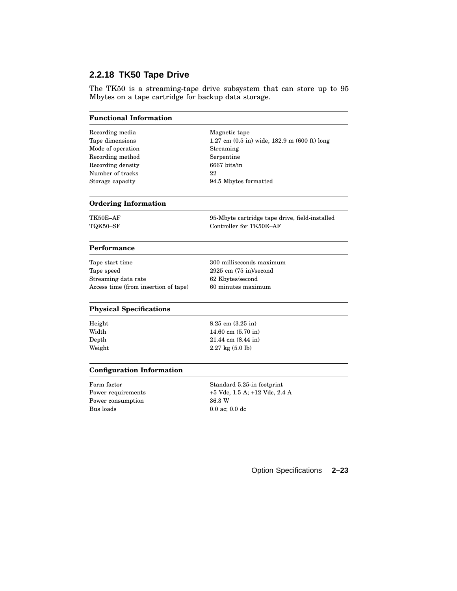# **2.2.18 TK50 Tape Drive**

The TK50 is a streaming-tape drive subsystem that can store up to 95 Mbytes on a tape cartridge for backup data storage.

#### **Functional Information**

| Recording media   | Magnetic tape                                                        |
|-------------------|----------------------------------------------------------------------|
| Tape dimensions   | $1.27$ cm $(0.5 \text{ in})$ wide, $182.9$ m $(600 \text{ ft})$ long |
| Mode of operation | Streaming                                                            |
| Recording method  | Serpentine                                                           |
| Recording density | 6667 bits/in                                                         |
| Number of tracks  | 22                                                                   |
| Storage capacity  | 94.5 Mbytes formatted                                                |
|                   |                                                                      |

#### **Ordering Information**

TK50E–AF 95-Mbyte cartridge tape drive, field-installed TQK50–SF Controller for TK50E–AF

#### **Performance**

Tape start time 300 milliseconds maximum Tape speed 2925 cm (75 in)/second Streaming data rate 62 Kbytes/second Access time (from insertion of tape) 60 minutes maximum

#### **Physical Specifications**

| Height | $8.25$ cm $(3.25$ in)              |
|--------|------------------------------------|
| Width  | 14.60 cm $(5.70 \text{ in})$       |
| Depth  | $21.44$ cm $(8.44$ in)             |
| Weight | $2.27 \text{ kg} (5.0 \text{ lb})$ |

#### **Configuration Information**

Form factor Standard 5.25-in footprint Power consumption 36.3 W Bus loads 0.0 ac; 0.0 dc

Power requirements  $+5$  Vdc, 1.5 A; +12 Vdc, 2.4 A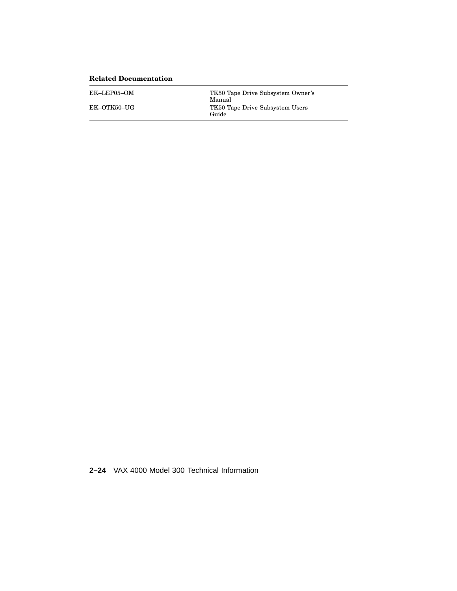| <b>Related Documentation</b> |                                             |
|------------------------------|---------------------------------------------|
| EK–LEP05–OM                  | TK50 Tape Drive Subsystem Owner's<br>Manual |
| EK-OTK50-UG                  | TK50 Tape Drive Subsystem Users<br>Guide    |

**2–24** VAX 4000 Model 300 Technical Information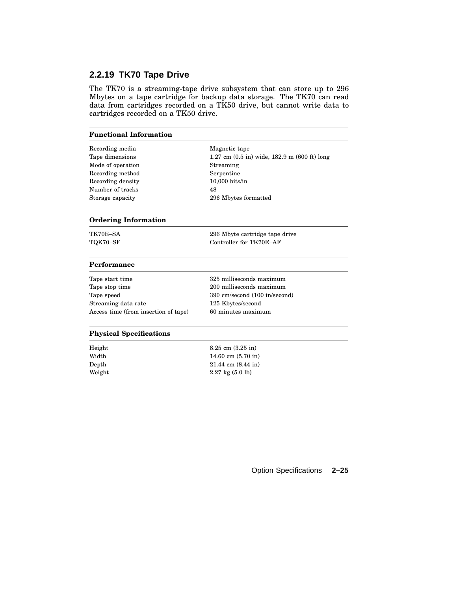# **2.2.19 TK70 Tape Drive**

The TK70 is a streaming-tape drive subsystem that can store up to 296 Mbytes on a tape cartridge for backup data storage. The TK70 can read data from cartridges recorded on a TK50 drive, but cannot write data to cartridges recorded on a TK50 drive.

| <b>Functional Information</b>        |                                                                                    |
|--------------------------------------|------------------------------------------------------------------------------------|
| Recording media                      | Magnetic tape                                                                      |
| Tape dimensions                      | $1.27 \text{ cm } (0.5 \text{ in})$ wide, $182.9 \text{ m } (600 \text{ ft})$ long |
| Mode of operation                    | Streaming                                                                          |
| Recording method                     | Serpentine                                                                         |
| Recording density                    | $10,000$ bits/in                                                                   |
| Number of tracks                     | 48                                                                                 |
| Storage capacity                     | 296 Mbytes formatted                                                               |
| <b>Ordering Information</b>          |                                                                                    |
| TK70E-SA                             | 296 Mbyte cartridge tape drive                                                     |
| TQK70-SF                             | Controller for TK70E-AF                                                            |
| Performance                          |                                                                                    |
| Tape start time                      | 325 milliseconds maximum                                                           |
| Tape stop time                       | 200 milliseconds maximum                                                           |
| Tape speed                           | 390 cm/second (100 in/second)                                                      |
| Streaming data rate                  | 125 Kbytes/second                                                                  |
| Access time (from insertion of tape) | 60 minutes maximum                                                                 |
| <b>Physical Specifications</b>       |                                                                                    |
| Height                               | $8.25$ cm $(3.25$ in)                                                              |
| Width                                | 14.60 cm $(5.70 \text{ in})$                                                       |
| Depth                                | $21.44$ cm $(8.44$ in)                                                             |

Weight  $2.27 \text{ kg} (5.0 \text{ lb})$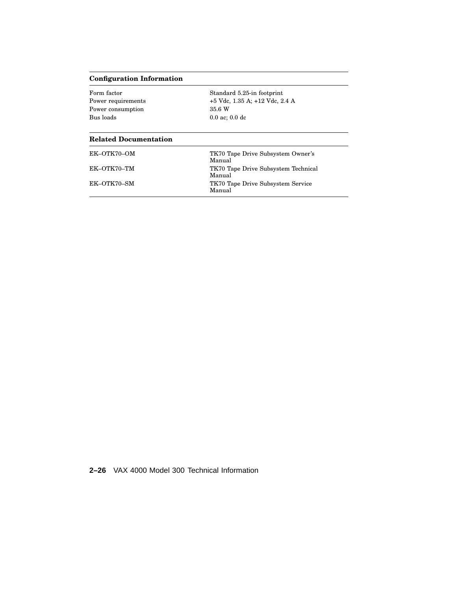# **Configuration Information**

| Form factor<br>Power requirements<br>Power consumption<br>Bus loads | Standard 5.25-in footprint<br>$+5$ Vdc, 1.35 A; $+12$ Vdc, 2.4 A<br>35.6 W<br>$0.0$ ac; $0.0$ dc |
|---------------------------------------------------------------------|--------------------------------------------------------------------------------------------------|
| <b>Related Documentation</b>                                        |                                                                                                  |
| EK-OTK70-OM                                                         | TK70 Tape Drive Subsystem Owner's<br>Manual                                                      |
| EK-OTK70-TM                                                         | TK70 Tape Drive Subsystem Technical<br>Manual                                                    |
| EK-OTK70-SM                                                         | TK70 Tape Drive Subsystem Service<br>Manual                                                      |

**2–26** VAX 4000 Model 300 Technical Information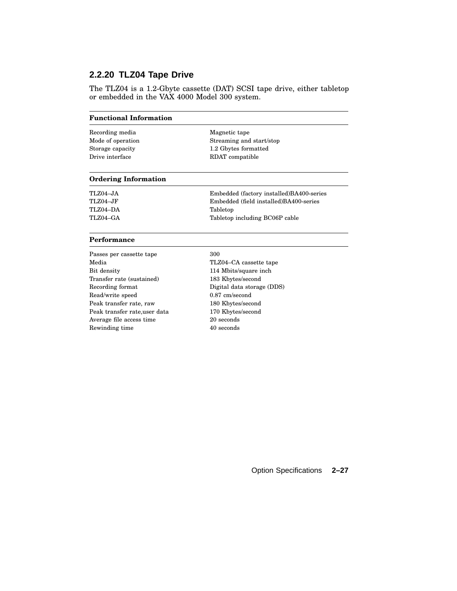# **2.2.20 TLZ04 Tape Drive**

The TLZ04 is a 1.2-Gbyte cassette (DAT) SCSI tape drive, either tabletop or embedded in the VAX 4000 Model 300 system.

Recording media Magnetic tape

Mode of operation Streaming and start/stop Storage capacity 1.2 Gbytes formatted Drive interface RDAT compatible

#### **Ordering Information**

| TLZ04–JA | Embedded (factory installed) BA400-series |
|----------|-------------------------------------------|
| TLZ04–JF | Embedded (field installed)BA400-series    |
| TLZ04-DA | Tabletop                                  |
| TLZ04–GA | Tabletop including BC06P cable            |

#### **Performance**

| Passes per cassette tape      | 300                        |
|-------------------------------|----------------------------|
| Media                         | TLZ04–CA cassette tape     |
| Bit density                   | 114 Mbits/square inch      |
| Transfer rate (sustained)     | 183 Kbytes/second          |
| Recording format              | Digital data storage (DDS) |
| Read/write speed              | $0.87$ cm/second           |
| Peak transfer rate, raw       | 180 Kbytes/second          |
| Peak transfer rate, user data | 170 Kbytes/second          |
| Average file access time      | 20 seconds                 |
| Rewinding time                | 40 seconds                 |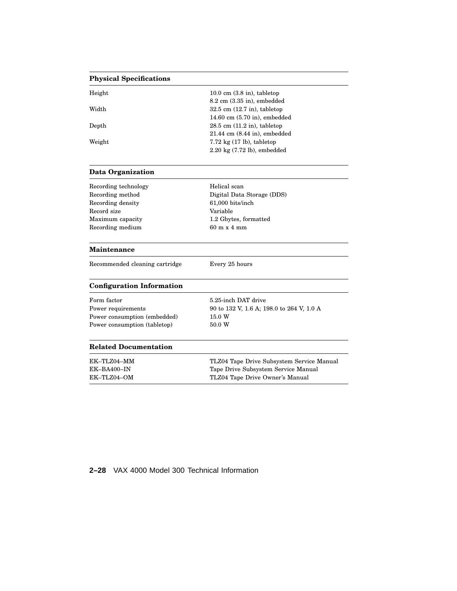# **Physical Specifications**

| Height | $10.0 \text{ cm}$ $(3.8 \text{ in})$ , tabletop |
|--------|-------------------------------------------------|
|        | $8.2 \text{ cm } (3.35 \text{ in})$ , embedded  |
| Width  | $32.5$ cm $(12.7$ in), tabletop                 |
|        | $14.60$ cm $(5.70)$ in), embedded               |
| Depth  | $28.5$ cm $(11.2$ in), tabletop                 |
|        | $21.44$ cm $(8.44$ in), embedded                |
| Weight | $7.72 \text{ kg}$ (17 lb), tabletop             |
|        | $2.20 \text{ kg}$ (7.72 lb), embedded           |
|        |                                                 |

### **Data Organization**

| Recording technology | Helical scan                       |
|----------------------|------------------------------------|
| Recording method     | Digital Data Storage (DDS)         |
| Recording density    | 61,000 bits/inch                   |
| Record size          | Variable                           |
| Maximum capacity     | 1.2 Gbytes, formatted              |
| Recording medium     | $60 \text{ m} \times 4 \text{ mm}$ |

#### **Maintenance**

Recommended cleaning cartridge Every 25 hours

### **Configuration Information**

| Form factor                  | 5.25-inch DAT drive                       |
|------------------------------|-------------------------------------------|
| Power requirements           | 90 to 132 V, 1.6 A; 198.0 to 264 V, 1.0 A |
| Power consumption (embedded) | 15.0 W                                    |
| Power consumption (tabletop) | 50.0 W                                    |

#### **Related Documentation**

| EK-TLZ04-MM | TLZ04 Tape Drive Subsystem Service Manual |
|-------------|-------------------------------------------|
| EK-BA400-IN | Tape Drive Subsystem Service Manual       |
| EK–TLZ04–OM | TLZ04 Tape Drive Owner's Manual           |

# **2–28** VAX 4000 Model 300 Technical Information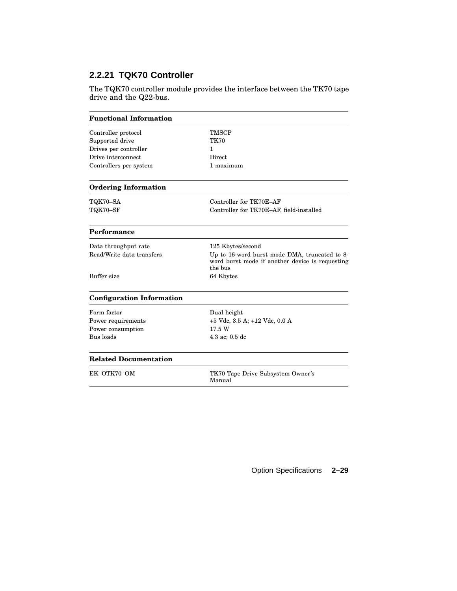# **2.2.21 TQK70 Controller**

The TQK70 controller module provides the interface between the TK70 tape drive and the Q22-bus.

| <b>Functional Information</b>    |                                                                                                             |
|----------------------------------|-------------------------------------------------------------------------------------------------------------|
| Controller protocol              | <b>TMSCP</b>                                                                                                |
| Supported drive                  | <b>TK70</b>                                                                                                 |
| Drives per controller            | 1.                                                                                                          |
| Drive interconnect               | Direct                                                                                                      |
| Controllers per system           | 1 maximum                                                                                                   |
| <b>Ordering Information</b>      |                                                                                                             |
| TQK70-SA                         | Controller for TK70E-AF                                                                                     |
| TQK70-SF                         | Controller for TK70E-AF, field-installed                                                                    |
| Performance                      |                                                                                                             |
| Data throughput rate             | 125 Kbytes/second                                                                                           |
| Read/Write data transfers        | Up to 16-word burst mode DMA, truncated to 8-<br>word burst mode if another device is requesting<br>the bus |
| Buffer size                      | 64 Kbytes                                                                                                   |
| <b>Configuration Information</b> |                                                                                                             |
| Form factor                      | Dual height                                                                                                 |
| Power requirements               | $+5$ Vdc, 3.5 A; $+12$ Vdc, 0.0 A                                                                           |
| Power consumption                | 17.5 W                                                                                                      |
| Bus loads                        | 4.3 ac; $0.5$ dc                                                                                            |
| <b>Related Documentation</b>     |                                                                                                             |
| EK-OTK70-OM                      | TK70 Tape Drive Subsystem Owner's<br>Manual                                                                 |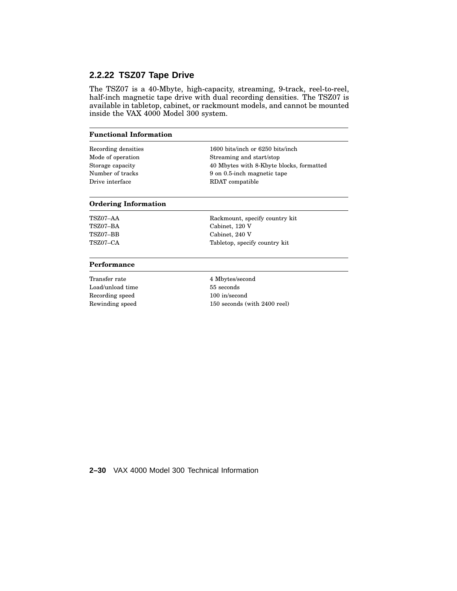## **2.2.22 TSZ07 Tape Drive**

The TSZ07 is a 40-Mbyte, high-capacity, streaming, 9-track, reel-to-reel, half-inch magnetic tape drive with dual recording densities. The TSZ07 is available in tabletop, cabinet, or rackmount models, and cannot be mounted inside the VAX 4000 Model 300 system.

#### **Functional Information**

Drive interface RDAT compatible

Recording densities 1600 bits/inch or 6250 bits/inch Mode of operation Streaming and start/stop Storage capacity 40 Mbytes with 8-Kbyte blocks, formatted Number of tracks 9 on 0.5-inch magnetic tape

#### **Ordering Information**

TSZ07–AA Rackmount, specify country kit TSZ07–BA Cabinet, 120 V TSZ07–BB Cabinet, 240 V TSZ07–CA Tabletop, specify country kit

#### **Performance**

Transfer rate 4 Mbytes/second Load/unload time 55 seconds Recording speed 100 in/second

Rewinding speed 150 seconds (with 2400 reel)

**2–30** VAX 4000 Model 300 Technical Information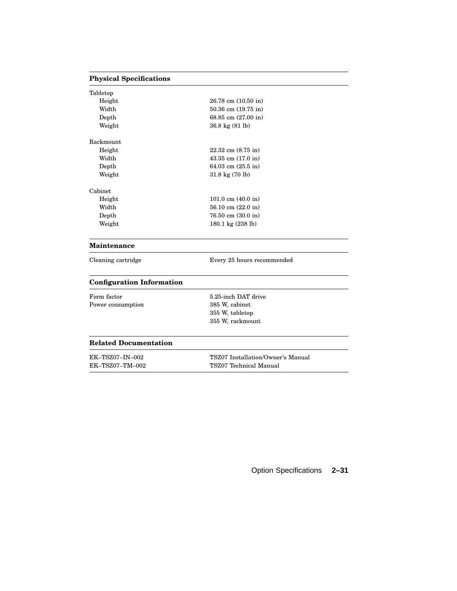### **Physical Specifications**

| Height<br>$26.78$ cm $(10.50)$ in<br>Width<br>$50.36$ cm $(19.75)$ in<br>Depth<br>68.85 cm (27.00 in)<br>Weight<br>36.8 kg (81 lb)<br>Rackmount<br>Height<br>$22.32$ cm $(8.75$ in)<br>Width<br>$43.35$ cm $(17.0 \text{ in})$<br>Depth<br>64.03 cm $(25.5 \text{ in})$<br>Weight<br>$31.8 \text{ kg} (70 \text{ lb})$<br>Cabinet<br>Height<br>101.0 cm $(40.0 \text{ in})$<br>Width<br>56.10 cm $(22.0 \text{ in})$ | Tabletop |                                       |
|----------------------------------------------------------------------------------------------------------------------------------------------------------------------------------------------------------------------------------------------------------------------------------------------------------------------------------------------------------------------------------------------------------------------|----------|---------------------------------------|
|                                                                                                                                                                                                                                                                                                                                                                                                                      |          |                                       |
|                                                                                                                                                                                                                                                                                                                                                                                                                      |          |                                       |
|                                                                                                                                                                                                                                                                                                                                                                                                                      |          |                                       |
|                                                                                                                                                                                                                                                                                                                                                                                                                      |          |                                       |
|                                                                                                                                                                                                                                                                                                                                                                                                                      |          |                                       |
|                                                                                                                                                                                                                                                                                                                                                                                                                      |          |                                       |
|                                                                                                                                                                                                                                                                                                                                                                                                                      |          |                                       |
|                                                                                                                                                                                                                                                                                                                                                                                                                      |          |                                       |
|                                                                                                                                                                                                                                                                                                                                                                                                                      |          |                                       |
|                                                                                                                                                                                                                                                                                                                                                                                                                      |          |                                       |
|                                                                                                                                                                                                                                                                                                                                                                                                                      |          |                                       |
|                                                                                                                                                                                                                                                                                                                                                                                                                      |          |                                       |
|                                                                                                                                                                                                                                                                                                                                                                                                                      | Depth    | $76.50 \text{ cm } (30.0 \text{ in})$ |
| Weight<br>180.1 kg $(238 \text{ lb})$                                                                                                                                                                                                                                                                                                                                                                                |          |                                       |
|                                                                                                                                                                                                                                                                                                                                                                                                                      |          |                                       |

#### **Maintenance**

Cleaning cartridge Every 25 hours recommended

### **Configuration Information**

Form factor 5.25-inch DAT drive<br>Power consumption 385 W, cabinet Power consumption

355 W, tabletop 355 W, rackmount

#### **Related Documentation**

| EK-TSZ07–IN–002 | TSZ07 Installation/Owner's Manual |
|-----------------|-----------------------------------|
| EK–TSZ07–TM–002 | TSZ07 Technical Manual            |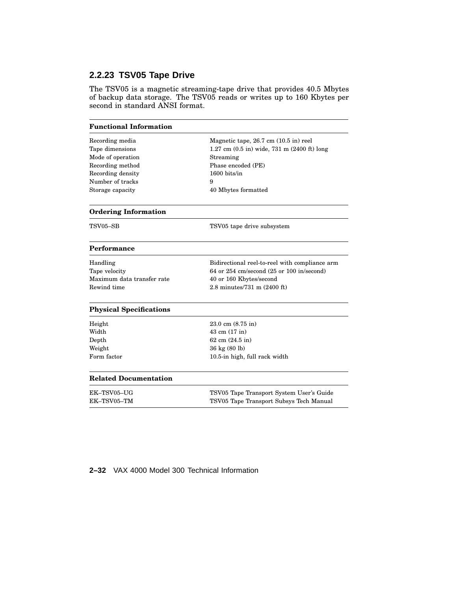# **2.2.23 TSV05 Tape Drive**

The TSV05 is a magnetic streaming-tape drive that provides 40.5 Mbytes of backup data storage. The TSV05 reads or writes up to 160 Kbytes per second in standard ANSI format.

#### **Functional Information**

| Recording media<br>Magnetic tape, 26.7 cm (10.5 in) reel<br>Tape dimensions |                                                                 |
|-----------------------------------------------------------------------------|-----------------------------------------------------------------|
|                                                                             |                                                                 |
|                                                                             | 1.27 cm $(0.5 \text{ in})$ wide, 731 m $(2400 \text{ ft})$ long |
| Mode of operation<br>Streaming                                              |                                                                 |
| Phase encoded (PE)<br>Recording method                                      |                                                                 |
| 1600 bits/in<br>Recording density                                           |                                                                 |
| Number of tracks<br>9                                                       |                                                                 |
| Storage capacity<br>40 Mbytes formatted                                     |                                                                 |
| <b>Ordering Information</b>                                                 |                                                                 |
| TSV05-SB<br>TSV05 tape drive subsystem                                      |                                                                 |
| Performance                                                                 |                                                                 |
| Handling                                                                    | Bidirectional reel-to-reel with compliance arm                  |
| Tape velocity                                                               | 64 or 254 cm/second $(25$ or 100 in/second)                     |
| Maximum data transfer rate<br>40 or 160 Kbytes/second                       |                                                                 |
| Rewind time<br>2.8 minutes/731 m (2400 ft)                                  |                                                                 |
| <b>Physical Specifications</b>                                              |                                                                 |
| Height<br>$23.0 \text{ cm } (8.75 \text{ in})$                              |                                                                 |
| Width<br>43 cm (17 in)                                                      |                                                                 |
|                                                                             |                                                                 |
| 62 cm (24.5 in)                                                             |                                                                 |
| 36 kg (80 lb)                                                               |                                                                 |
| Depth<br>Weight<br>Form factor<br>10.5-in high, full rack width             |                                                                 |
| <b>Related Documentation</b>                                                |                                                                 |
| EK-TSV05-UG                                                                 | TSV05 Tape Transport System User's Guide                        |

#### **2–32** VAX 4000 Model 300 Technical Information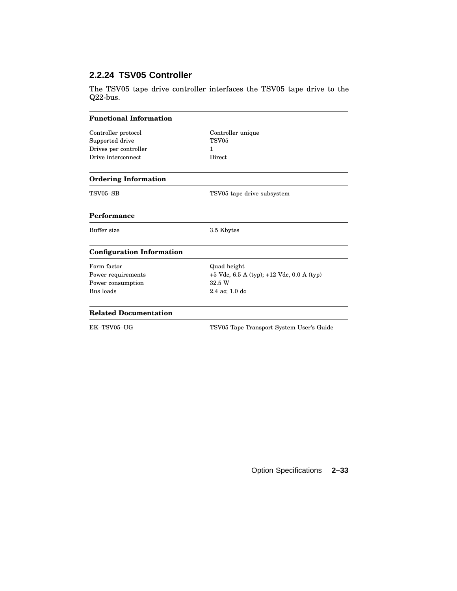# **2.2.24 TSV05 Controller**

The TSV05 tape drive controller interfaces the TSV05 tape drive to the Q22-bus.

| <b>Functional Information</b>          |                                               |
|----------------------------------------|-----------------------------------------------|
| Controller protocol<br>Supported drive | Controller unique<br>TSV <sub>05</sub>        |
| Drives per controller                  | 1                                             |
| Drive interconnect                     | Direct                                        |
| <b>Ordering Information</b>            |                                               |
| TSV05-SB                               | TSV05 tape drive subsystem                    |
| Performance                            |                                               |
| Buffer size                            | 3.5 Kbytes                                    |
| <b>Configuration Information</b>       |                                               |
| Form factor                            | Quad height                                   |
| Power requirements                     | $+5$ Vdc, 6.5 A (typ); $+12$ Vdc, 0.0 A (typ) |
| Power consumption                      | 32.5 W                                        |
| Bus loads                              | $2.4$ ac; 1.0 dc                              |
| <b>Related Documentation</b>           |                                               |
| EK-TSV05-UG                            | TSV05 Tape Transport System User's Guide      |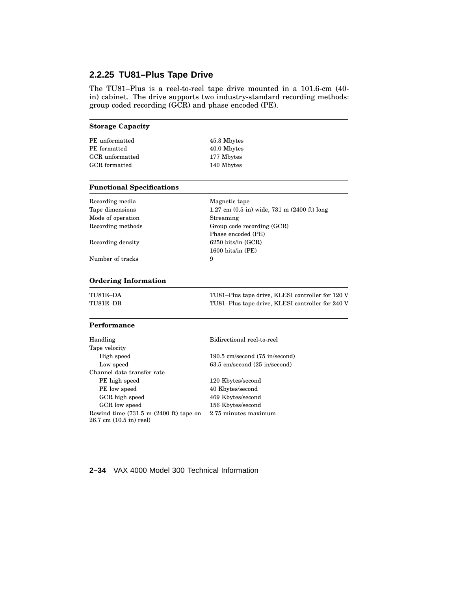# **2.2.25 TU81–Plus Tape Drive**

The TU81–Plus is a reel-to-reel tape drive mounted in a 101.6-cm (40 in) cabinet. The drive supports two industry-standard recording methods: group coded recording (GCR) and phase encoded (PE).

| <b>Storage Capacity</b>          |                                                                 |
|----------------------------------|-----------------------------------------------------------------|
| PE unformatted                   | 45.3 Mbytes                                                     |
| PE formatted                     | 40.0 Mbytes                                                     |
| GCR unformatted                  | 177 Mbytes                                                      |
| GCR formatted                    | 140 Mbytes                                                      |
| <b>Functional Specifications</b> |                                                                 |
| Recording media                  | Magnetic tape                                                   |
| Tape dimensions                  | 1.27 cm $(0.5 \text{ in})$ wide, 731 m $(2400 \text{ ft})$ long |
| Mode of operation                | Streaming                                                       |
| Recording methods                | Group code recording (GCR)                                      |
|                                  | Phase encoded (PE)                                              |
| Recording density                | $6250$ bits/in $(GCR)$                                          |
|                                  | $1600 \text{ bits/in (PE)}$                                     |
| Number of tracks                 | 9                                                               |

#### **Ordering Information**

TU81E–DA TU81–Plus tape drive, KLESI controller for 120 V TU81E–DB TU81–Plus tape drive, KLESI controller for 240 V

 $\overline{\phantom{0}}$ 

### **Performance**

| Handling                                                                                | Bidirectional reel-to-reel     |
|-----------------------------------------------------------------------------------------|--------------------------------|
| Tape velocity                                                                           |                                |
| High speed                                                                              | 190.5 cm/second (75 in/second) |
| Low speed                                                                               | 63.5 cm/second (25 in/second)  |
| Channel data transfer rate                                                              |                                |
| PE high speed                                                                           | 120 Kbytes/second              |
| PE low speed                                                                            | 40 Kbytes/second               |
| GCR high speed                                                                          | 469 Kbytes/second              |
| GCR low speed                                                                           | 156 Kbytes/second              |
| Rewind time $(731.5 \text{ m} (2400 \text{ ft})$ tape on<br>$26.7$ cm $(10.5$ in) reel) | 2.75 minutes maximum           |

### **2–34** VAX 4000 Model 300 Technical Information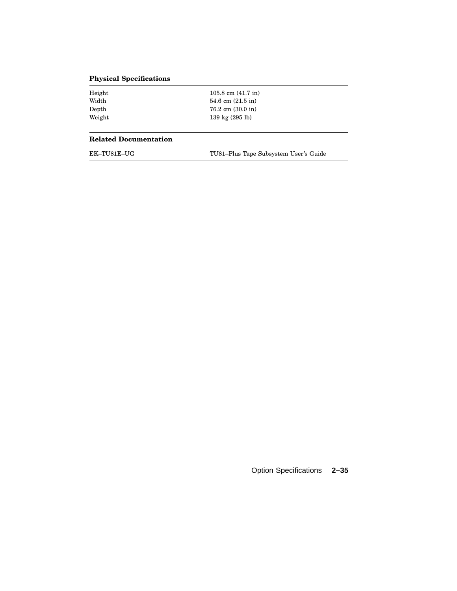# **Physical Specifications**

| Height | $105.8$ cm $(41.7 \text{ in})$       |
|--------|--------------------------------------|
| Width  | 54.6 cm $(21.5 \text{ in})$          |
| Depth  | $76.2 \text{ cm } (30.0 \text{ in})$ |
| Weight | $139 \text{ kg} (295 \text{ lb})$    |
|        |                                      |

#### **Related Documentation**

| EK–TU81E–UG |
|-------------|
|-------------|

TU81–Plus Tape Subsystem User's Guide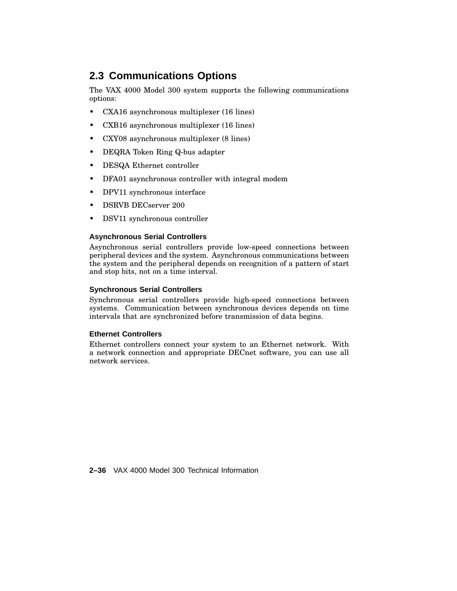# **2.3 Communications Options**

The VAX 4000 Model 300 system supports the following communications options:

- CXA16 asynchronous multiplexer (16 lines)
- CXB16 asynchronous multiplexer (16 lines)
- CXY08 asynchronous multiplexer (8 lines)
- DEQRA Token Ring Q-bus adapter
- DESQA Ethernet controller
- DFA01 asynchronous controller with integral modem
- DPV11 synchronous interface
- DSRVB DECserver 200
- DSV11 synchronous controller

### **Asynchronous Serial Controllers**

Asynchronous serial controllers provide low-speed connections between peripheral devices and the system. Asynchronous communications between the system and the peripheral depends on recognition of a pattern of start and stop bits, not on a time interval.

#### **Synchronous Serial Controllers**

Synchronous serial controllers provide high-speed connections between systems. Communication between synchronous devices depends on time intervals that are synchronized before transmission of data begins.

### **Ethernet Controllers**

Ethernet controllers connect your system to an Ethernet network. With a network connection and appropriate DECnet software, you can use all network services.

**2–36** VAX 4000 Model 300 Technical Information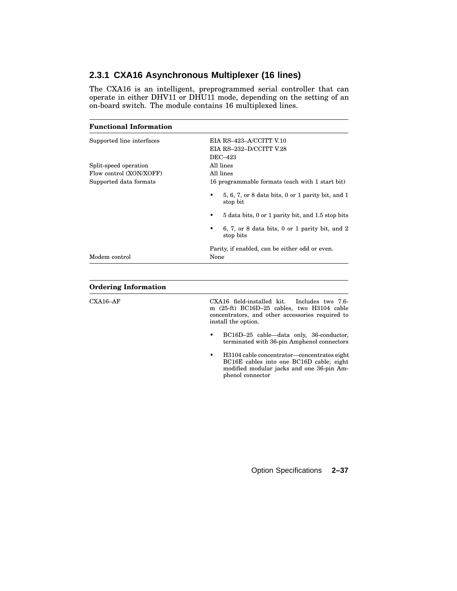# **2.3.1 CXA16 Asynchronous Multiplexer (16 lines)**

The CXA16 is an intelligent, preprogrammed serial controller that can operate in either DHV11 or DHU11 mode, depending on the setting of an on-board switch. The module contains 16 multiplexed lines.

# **Functional Information** Supported line interfaces EIA RS–423–A/CCITT V.10 EIA RS–232–D/CCITT V.28 DEC–423 Split-speed operation All lines Flow control (XON/XOFF) All lines Supported data formats 16 programmable formats (each with 1 start bit) • 5, 6, 7, or 8 data bits, 0 or 1 parity bit, and 1 stop bit • 5 data bits, 0 or 1 parity bit, and 1.5 stop bits • 6, 7, or 8 data bits, 0 or 1 parity bit, and 2 stop bits Parity, if enabled, can be either odd or even. Modem control None

| CXA16 field-installed kit. Includes two 7.6-<br>m $(25-ft)$ BC16D-25 cables, two H3104 cable<br>concentrators, and other accessories required to<br>install the option. |
|-------------------------------------------------------------------------------------------------------------------------------------------------------------------------|
| BC16D-25 cable—data only, 36-conductor,<br>$\bullet$<br>terminated with 36-pin Amphenol connectors                                                                      |
| H3104 cable concentrator—concentrates eight<br>$\bullet$<br>BC16E cables into one BC16D cable; eight<br>modified modular jacks and one 36-pin Am-<br>phenol connector   |
|                                                                                                                                                                         |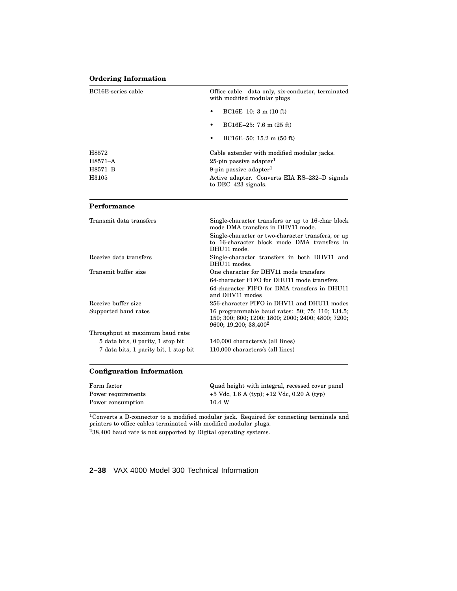#### **Ordering Information**

| BC16E-series cable | Office cable—data only, six-conductor, terminated<br>with modified modular plugs |
|--------------------|----------------------------------------------------------------------------------|
|                    | $BC16E-10: 3 m (10 ft)$<br>٠                                                     |
|                    | $BC16E-25: 7.6 m (25 ft)$<br>٠                                                   |
|                    | $BC16E-50: 15.2 m (50 ft)$<br>٠                                                  |
| H8572              | Cable extender with modified modular jacks.                                      |
| H8571–A            | 25-pin passive adapter <sup>1</sup>                                              |
| H8571-B            | 9-pin passive adapter <sup>1</sup>                                               |
| H3105              | Active adapter. Converts EIA RS-232-D signals<br>to DEC-423 signals.             |

#### **Performance**

| Transmit data transfers               | Single-character transfers or up to 16-char block<br>mode DMA transfers in DHV11 mode.                                                     |
|---------------------------------------|--------------------------------------------------------------------------------------------------------------------------------------------|
|                                       | Single-character or two-character transfers, or up<br>to 16-character block mode DMA transfers in<br>DHU11 mode.                           |
| Receive data transfers                | Single-character transfers in both DHV11 and<br>DHU11 modes.                                                                               |
| Transmit buffer size                  | One character for DHV11 mode transfers                                                                                                     |
|                                       | 64-character FIFO for DHU11 mode transfers                                                                                                 |
|                                       | 64-character FIFO for DMA transfers in DHU11<br>and DHV11 modes                                                                            |
| Receive buffer size                   | 256-character FIFO in DHV11 and DHU11 modes                                                                                                |
| Supported baud rates                  | 16 programmable baud rates: 50; 75; 110; 134.5;<br>150; 300; 600; 1200; 1800; 2000; 2400; 4800; 7200;<br>9600; 19,200; 38,400 <sup>2</sup> |
| Throughput at maximum baud rate:      |                                                                                                                                            |
| 5 data bits, 0 parity, 1 stop bit     | 140,000 characters/s (all lines)                                                                                                           |
| 7 data bits, 1 parity bit, 1 stop bit | 110,000 characters/s (all lines)                                                                                                           |
|                                       |                                                                                                                                            |

#### **Configuration Information**

| Form factor        | Quad height with integral, recessed cover panel |
|--------------------|-------------------------------------------------|
| Power requirements | $+5$ Vdc, 1.6 A (typ); $+12$ Vdc, 0.20 A (typ)  |
| Power consumption  | 10.4 W                                          |

<sup>1</sup>Converts a D-connector to a modified modular jack. Required for connecting terminals and printers to office cables terminated with modified modular plugs.  $238,400$  baud rate is not supported by Digital operating systems.

#### **2–38** VAX 4000 Model 300 Technical Information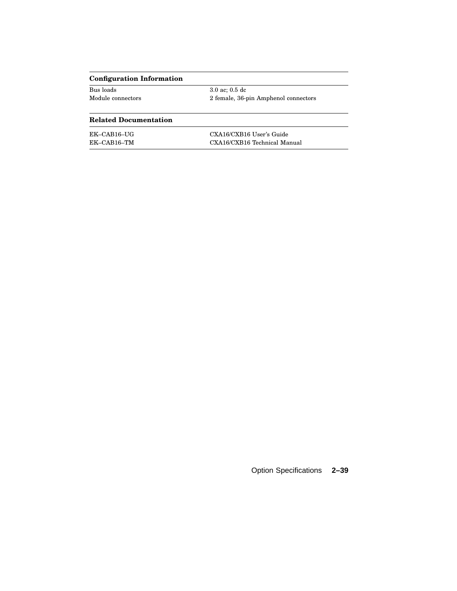# **Configuration Information**

| Bus loads         | $3.0$ ac: $0.5$ dc                   |
|-------------------|--------------------------------------|
| Module connectors | 2 female, 36-pin Amphenol connectors |

# **Related Documentation**

| EK-CAB16-UG | CXA16/CXB16 User's Guide     |
|-------------|------------------------------|
| EK-CAB16-TM | CXA16/CXB16 Technical Manual |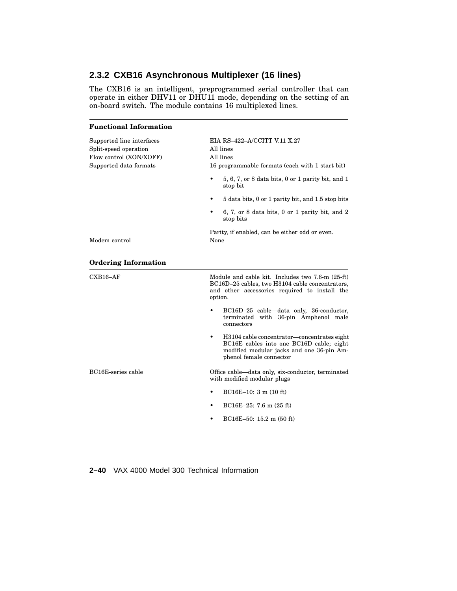# **2.3.2 CXB16 Asynchronous Multiplexer (16 lines)**

The CXB16 is an intelligent, preprogrammed serial controller that can operate in either DHV11 or DHU11 mode, depending on the setting of an on-board switch. The module contains 16 multiplexed lines.

| <b>Functional Information</b>                                                                           |                                                                                                                                                                      |
|---------------------------------------------------------------------------------------------------------|----------------------------------------------------------------------------------------------------------------------------------------------------------------------|
| Supported line interfaces<br>Split-speed operation<br>Flow control (XON/XOFF)<br>Supported data formats | EIA RS-422-A/CCITT V.11 X.27<br>All lines<br>All lines<br>16 programmable formats (each with 1 start bit)                                                            |
|                                                                                                         | $5, 6, 7$ , or 8 data bits, 0 or 1 parity bit, and 1<br>stop bit                                                                                                     |
|                                                                                                         | 5 data bits, 0 or 1 parity bit, and 1.5 stop bits                                                                                                                    |
|                                                                                                         | 6, 7, or 8 data bits, $0$ or 1 parity bit, and 2<br>stop bits                                                                                                        |
| Modem control                                                                                           | Parity, if enabled, can be either odd or even.<br>None                                                                                                               |
| <b>Ordering Information</b>                                                                             |                                                                                                                                                                      |
| $CXB16-AF$                                                                                              | Module and cable kit. Includes two 7.6-m (25-ft)<br>BC16D-25 cables, two H3104 cable concentrators,<br>and other accessories required to install the<br>option.      |
|                                                                                                         | BC16D-25 cable—data only, 36-conductor,<br>terminated with 36-pin Amphenol male<br>connectors                                                                        |
|                                                                                                         | ٠<br>H3104 cable concentrator—concentrates eight<br>BC16E cables into one BC16D cable; eight<br>modified modular jacks and one 36-pin Am-<br>phenol female connector |
| BC16E-series cable                                                                                      | Office cable—data only, six-conductor, terminated<br>with modified modular plugs                                                                                     |
|                                                                                                         | $BC16E-10$ : 3 m (10 ft)                                                                                                                                             |
|                                                                                                         | $BC16E-25$ : 7.6 m $(25$ ft)                                                                                                                                         |
|                                                                                                         | $BC16E-50: 15.2 m (50 ft)$                                                                                                                                           |

**2–40** VAX 4000 Model 300 Technical Information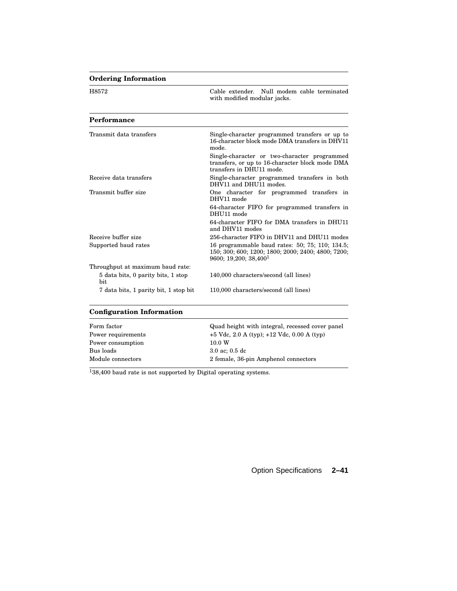# **Ordering Information**

| H8572                                     | Cable extender. Null modem cable terminated<br>with modified modular jacks.                                                                |
|-------------------------------------------|--------------------------------------------------------------------------------------------------------------------------------------------|
| Performance                               |                                                                                                                                            |
| Transmit data transfers                   | Single-character programmed transfers or up to<br>16-character block mode DMA transfers in DHV11<br>mode.                                  |
|                                           | Single-character or two-character programmed<br>transfers, or up to 16-character block mode DMA<br>transfers in DHU11 mode.                |
| Receive data transfers                    | Single-character programmed transfers in both<br>DHV11 and DHU11 modes.                                                                    |
| Transmit buffer size                      | One character for programmed transfers in<br>DHV11 mode                                                                                    |
|                                           | 64-character FIFO for programmed transfers in<br>DHU11 mode                                                                                |
|                                           | 64-character FIFO for DMA transfers in DHU11<br>and DHV11 modes                                                                            |
| Receive buffer size                       | 256-character FIFO in DHV11 and DHU11 modes                                                                                                |
| Supported baud rates                      | 16 programmable baud rates: 50; 75; 110; 134.5;<br>150; 300; 600; 1200; 1800; 2000; 2400; 4800; 7200;<br>9600; 19,200; 38,400 <sup>1</sup> |
| Throughput at maximum baud rate:          |                                                                                                                                            |
| 5 data bits, 0 parity bits, 1 stop<br>bit | 140,000 characters/second (all lines)                                                                                                      |
| 7 data bits, 1 parity bit, 1 stop bit     | 110,000 characters/second (all lines)                                                                                                      |

## **Configuration Information**

| Form factor        | Quad height with integral, recessed cover panel |
|--------------------|-------------------------------------------------|
| Power requirements | $+5$ Vdc, 2.0 A (typ); $+12$ Vdc, 0.00 A (typ)  |
| Power consumption  | 10.0 W                                          |
| Bus loads          | $3.0$ ac: $0.5$ dc                              |
| Module connectors  | 2 female, 36-pin Amphenol connectors            |

 $138,400$  baud rate is not supported by Digital operating systems.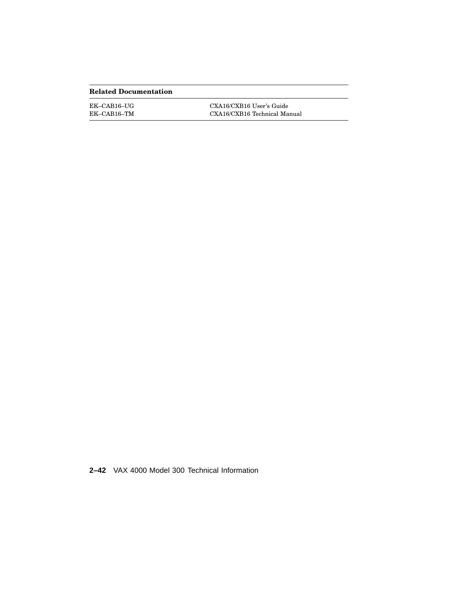### **Related Documentation**

| EK-CAB16-UG | CXA16/CXB16 User's Guide     |
|-------------|------------------------------|
| EK-CAB16-TM | CXA16/CXB16 Technical Manual |

**2–42** VAX 4000 Model 300 Technical Information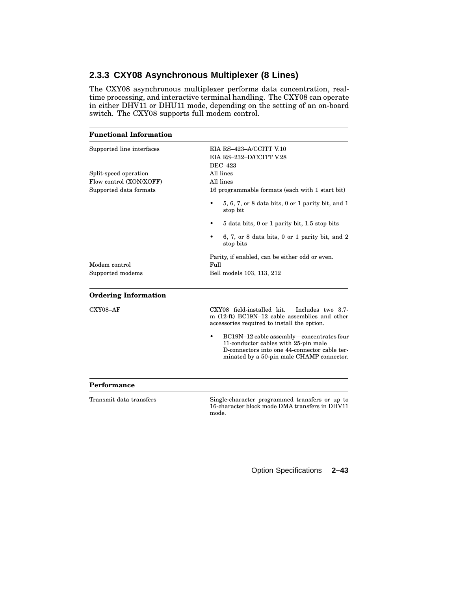# **2.3.3 CXY08 Asynchronous Multiplexer (8 Lines)**

The CXY08 asynchronous multiplexer performs data concentration, realtime processing, and interactive terminal handling. The CXY08 can operate in either DHV11 or DHU11 mode, depending on the setting of an on-board switch. The CXY08 supports full modem control.

| <b>Functional Information</b> |                                                                                                                                                                                 |
|-------------------------------|---------------------------------------------------------------------------------------------------------------------------------------------------------------------------------|
| Supported line interfaces     | EIA RS-423-A/CCITT V.10<br>EIA RS-232-D/CCITT V.28                                                                                                                              |
| Split-speed operation         | DEC-423<br>All lines                                                                                                                                                            |
| Flow control (XON/XOFF)       | All lines                                                                                                                                                                       |
| Supported data formats        | 16 programmable formats (each with 1 start bit)                                                                                                                                 |
|                               | $5, 6, 7$ , or 8 data bits, 0 or 1 parity bit, and 1<br>stop bit                                                                                                                |
|                               | 5 data bits, 0 or 1 parity bit, 1.5 stop bits                                                                                                                                   |
|                               | 6, 7, or 8 data bits, 0 or 1 parity bit, and 2<br>stop bits                                                                                                                     |
| Modem control                 | Parity, if enabled, can be either odd or even.<br>Full                                                                                                                          |
| Supported modems              | Bell models 103, 113, 212                                                                                                                                                       |
| <b>Ordering Information</b>   |                                                                                                                                                                                 |
| $CXY08 - AF$                  | CXY08 field-installed kit.<br>Includes two 3.7-<br>m (12-ft) BC19N-12 cable assemblies and other<br>accessories required to install the option.                                 |
|                               | BC19N-12 cable assembly-concentrates four<br>11-conductor cables with 25-pin male<br>D-connectors into one 44-connector cable ter-<br>minated by a 50-pin male CHAMP connector. |
| Performance                   |                                                                                                                                                                                 |
| Transmit data transfers       | Single-character programmed transfers or up to<br>16-character block mode DMA transfers in DHV11                                                                                |

mode.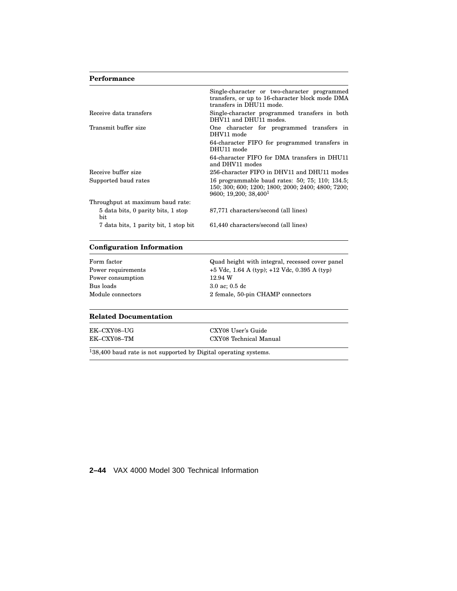### **Performance**

|                                           | Single-character or two-character programmed<br>transfers, or up to 16-character block mode DMA<br>transfers in DHU11 mode.                |
|-------------------------------------------|--------------------------------------------------------------------------------------------------------------------------------------------|
| Receive data transfers                    | Single-character programmed transfers in both<br>DHV11 and DHU11 modes.                                                                    |
| Transmit buffer size                      | One character for programmed transfers in<br>DHV11 mode                                                                                    |
|                                           | 64-character FIFO for programmed transfers in<br>DHU11 mode                                                                                |
|                                           | 64-character FIFO for DMA transfers in DHU11<br>and DHV11 modes                                                                            |
| Receive buffer size                       | 256-character FIFO in DHV11 and DHU11 modes                                                                                                |
| Supported baud rates                      | 16 programmable baud rates: 50; 75; 110; 134.5;<br>150; 300; 600; 1200; 1800; 2000; 2400; 4800; 7200;<br>9600; 19,200; 38,400 <sup>1</sup> |
| Throughput at maximum baud rate:          |                                                                                                                                            |
| 5 data bits, 0 parity bits, 1 stop<br>bit | 87,771 characters/second (all lines)                                                                                                       |
| 7 data bits, 1 parity bit, 1 stop bit     | 61,440 characters/second (all lines)                                                                                                       |
|                                           |                                                                                                                                            |

### **Configuration Information**

| Form factor        | Quad height with integral, recessed cover panel  |
|--------------------|--------------------------------------------------|
| Power requirements | $+5$ Vdc, 1.64 A (typ); $+12$ Vdc, 0.395 A (typ) |
| Power consumption  | 12.94 W                                          |
| Bus loads          | $3.0$ ac; $0.5$ dc                               |
| Module connectors  | 2 female, 50-pin CHAMP connectors                |
|                    |                                                  |

### **Related Documentation**

EK–CXY08–UG CXY08 User's Guide<br>EK–CXY08–TM CXY08 Technical Mar CXY08 Technical Manual

 $138,400$  baud rate is not supported by Digital operating systems.

## **2–44** VAX 4000 Model 300 Technical Information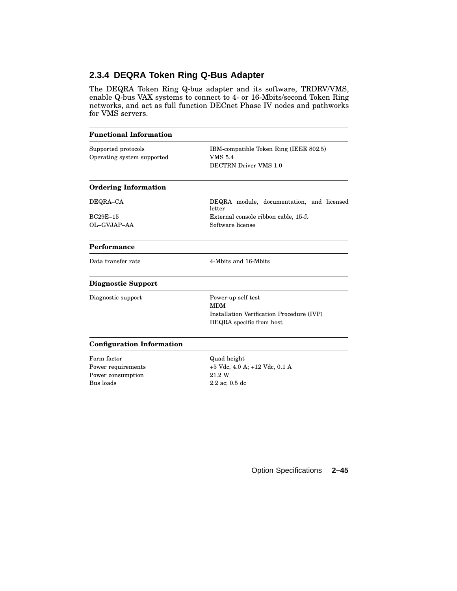# **2.3.4 DEQRA Token Ring Q-Bus Adapter**

The DEQRA Token Ring Q-bus adapter and its software, TRDRV/VMS, enable Q-bus VAX systems to connect to 4- or 16-Mbits/second Token Ring networks, and act as full function DECnet Phase IV nodes and pathworks for VMS servers.

| <b>Functional Information</b>                                       |                                                                                                           |
|---------------------------------------------------------------------|-----------------------------------------------------------------------------------------------------------|
| Supported protocols<br>Operating system supported                   | IBM-compatible Token Ring (IEEE 802.5)<br><b>VMS 5.4</b><br>DECTRN Driver VMS 1.0                         |
| <b>Ordering Information</b>                                         |                                                                                                           |
| DEQRA-CA                                                            | DEQRA module, documentation, and licensed<br>letter                                                       |
| $BC29E-15$<br>OL-GVJAP-AA                                           | External console ribbon cable, 15-ft<br>Software license                                                  |
| Performance                                                         |                                                                                                           |
| Data transfer rate                                                  | 4-Mbits and 16-Mbits                                                                                      |
| <b>Diagnostic Support</b>                                           |                                                                                                           |
| Diagnostic support                                                  | Power-up self test<br><b>MDM</b><br>Installation Verification Procedure (IVP)<br>DEQRA specific from host |
| <b>Configuration Information</b>                                    |                                                                                                           |
| Form factor<br>Power requirements<br>Power consumption<br>Bus loads | Quad height<br>+5 Vdc, 4.0 A; +12 Vdc, 0.1 A<br>21.2 W<br>$2.2$ ac; 0.5 dc                                |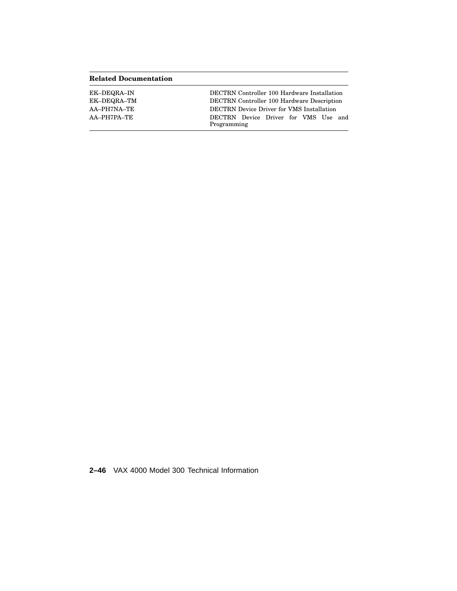### **Related Documentation**

| EK-DEQRA-IN | <b>DECTRN</b> Controller 100 Hardware Installation |
|-------------|----------------------------------------------------|
| EK-DEQRA-TM | <b>DECTRN</b> Controller 100 Hardware Description  |
| AA–PH7NA–TE | <b>DECTRN</b> Device Driver for VMS Installation   |
| AA–PH7PA–TE | DECTRN Device Driver for VMS Use and               |
|             | Programming                                        |

**2–46** VAX 4000 Model 300 Technical Information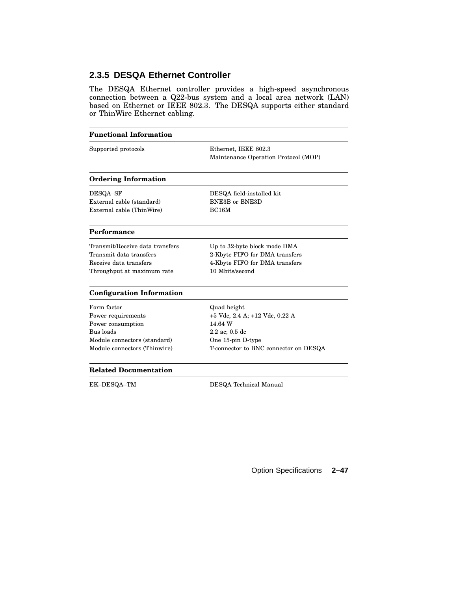# **2.3.5 DESQA Ethernet Controller**

The DESQA Ethernet controller provides a high-speed asynchronous connection between a Q22-bus system and a local area network (LAN) based on Ethernet or IEEE 802.3. The DESQA supports either standard or ThinWire Ethernet cabling.

| <b>Functional Information</b>    |                                       |
|----------------------------------|---------------------------------------|
| Supported protocols              | Ethernet, IEEE 802.3                  |
|                                  | Maintenance Operation Protocol (MOP)  |
| <b>Ordering Information</b>      |                                       |
| DESQA-SF                         | DESQA field-installed kit             |
| External cable (standard)        | <b>BNE3B or BNE3D</b>                 |
| External cable (ThinWire)        | <b>BC16M</b>                          |
| Performance                      |                                       |
| Transmit/Receive data transfers  | Up to 32-byte block mode DMA          |
| Transmit data transfers          | 2-Kbyte FIFO for DMA transfers        |
| Receive data transfers           | 4-Kbyte FIFO for DMA transfers        |
| Throughput at maximum rate       | 10 Mbits/second                       |
| <b>Configuration Information</b> |                                       |
| Form factor                      | Quad height                           |
| Power requirements               | +5 Vdc, 2.4 A; +12 Vdc, 0.22 A        |
| Power consumption                | 14.64 W                               |
| Bus loads                        | $2.2$ ac; 0.5 dc                      |
| Module connectors (standard)     | One 15-pin D-type                     |
| Module connectors (Thinwire)     | T-connector to BNC connector on DESQA |
| <b>Related Documentation</b>     |                                       |
| EK-DESQA-TM                      | DESQA Technical Manual                |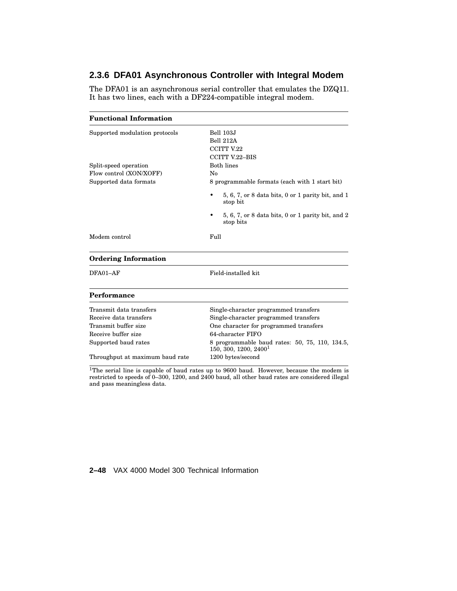# **2.3.6 DFA01 Asynchronous Controller with Integral Modem**

The DFA01 is an asynchronous serial controller that emulates the DZQ11. It has two lines, each with a DF224-compatible integral modem.

| <b>Functional Information</b>   |                                                                                     |  |
|---------------------------------|-------------------------------------------------------------------------------------|--|
| Supported modulation protocols  | Bell 103J                                                                           |  |
|                                 | <b>Bell 212A</b>                                                                    |  |
|                                 | <b>CCITT V.22</b>                                                                   |  |
|                                 | <b>CCITT V.22-BIS</b>                                                               |  |
| Split-speed operation           | <b>Both lines</b>                                                                   |  |
| Flow control (XON/XOFF)         | No                                                                                  |  |
| Supported data formats          | 8 programmable formats (each with 1 start bit)                                      |  |
|                                 | $5, 6, 7$ , or 8 data bits, 0 or 1 parity bit, and 1<br>stop bit                    |  |
|                                 | 5, 6, 7, or 8 data bits, 0 or 1 parity bit, and 2<br>stop bits                      |  |
| Modem control                   | Full                                                                                |  |
| <b>Ordering Information</b>     |                                                                                     |  |
| DFA01-AF                        | Field-installed kit                                                                 |  |
| Performance                     |                                                                                     |  |
| Transmit data transfers         | Single-character programmed transfers                                               |  |
| Receive data transfers          | Single-character programmed transfers                                               |  |
| Transmit buffer size            | One character for programmed transfers                                              |  |
| Receive buffer size             | 64-character FIFO                                                                   |  |
| Supported baud rates            | 8 programmable baud rates: 50, 75, 110, 134.5,<br>150, 300, 1200, 2400 <sup>1</sup> |  |
| Throughput at maximum baud rate | 1200 bytes/second                                                                   |  |

<sup>1</sup>The serial line is capable of baud rates up to  $9600$  baud. However, because the modem is restricted to speeds of 0–300, 1200, and 2400 baud, all other baud rates are considered illegal and pass meaningless data.

**2–48** VAX 4000 Model 300 Technical Information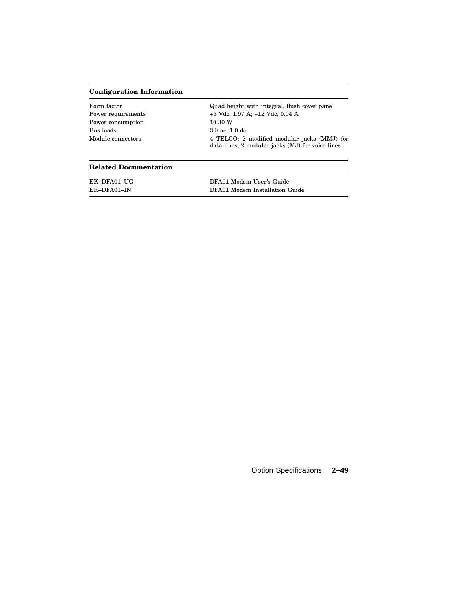### **Configuration Information**

| Form factor        | Quad height with integral, flush cover panel                                                    |
|--------------------|-------------------------------------------------------------------------------------------------|
| Power requirements | $+5$ Vdc, 1.97 A; $+12$ Vdc, 0.04 A                                                             |
| Power consumption  | 10.30 W                                                                                         |
| Bus loads          | $3.0$ ac: 1.0 dc                                                                                |
| Module connectors  | 4 TELCO: 2 modified modular jacks (MMJ) for<br>data lines; 2 modular jacks (MJ) for voice lines |

#### **Related Documentation**

| EK-DFA01-UG | DFA01 Modem User's Guide       |
|-------------|--------------------------------|
| EK-DFA01-IN | DFA01 Modem Installation Guide |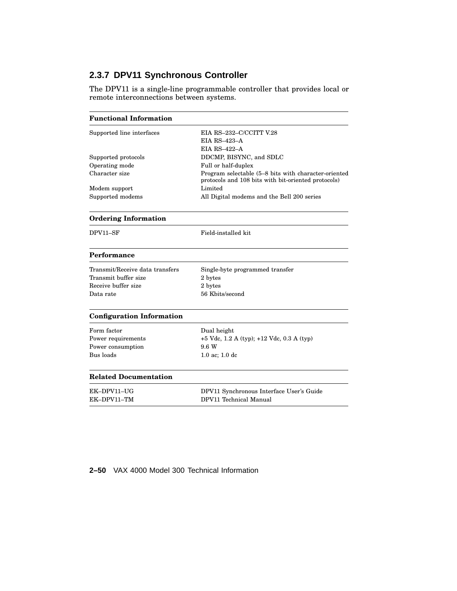# **2.3.7 DPV11 Synchronous Controller**

The DPV11 is a single-line programmable controller that provides local or remote interconnections between systems.

| <b>Functional Information</b>    |                                                                                                             |
|----------------------------------|-------------------------------------------------------------------------------------------------------------|
| Supported line interfaces        | EIA RS-232-C/CCITT V.28                                                                                     |
|                                  | <b>EIA RS-423-A</b>                                                                                         |
|                                  | <b>EIA RS-422-A</b>                                                                                         |
| Supported protocols              | DDCMP, BISYNC, and SDLC                                                                                     |
| Operating mode                   | Full or half-duplex                                                                                         |
| Character size                   | Program selectable (5–8 bits with character-oriented<br>protocols and 108 bits with bit-oriented protocols) |
| Modem support                    | Limited                                                                                                     |
| Supported modems                 | All Digital modems and the Bell 200 series                                                                  |
| <b>Ordering Information</b>      |                                                                                                             |
| DPV11-SF                         | Field-installed kit                                                                                         |
| Performance                      |                                                                                                             |
| Transmit/Receive data transfers  | Single-byte programmed transfer                                                                             |
| Transmit buffer size             | 2 bytes                                                                                                     |
| Receive buffer size              | 2 bytes                                                                                                     |
| Data rate                        | 56 Kbits/second                                                                                             |
| <b>Configuration Information</b> |                                                                                                             |
| Form factor                      | Dual height                                                                                                 |
| Power requirements               | $+5$ Vdc, 1.2 A (typ); $+12$ Vdc, 0.3 A (typ)                                                               |
| Power consumption                | 9.6 W                                                                                                       |
| Bus loads                        | 1.0 ac; 1.0 dc                                                                                              |
| <b>Related Documentation</b>     |                                                                                                             |
| EK-DPV11-UG                      | DPV11 Synchronous Interface User's Guide                                                                    |
| EK-DPV11-TM                      | DPV11 Technical Manual                                                                                      |

### **2–50** VAX 4000 Model 300 Technical Information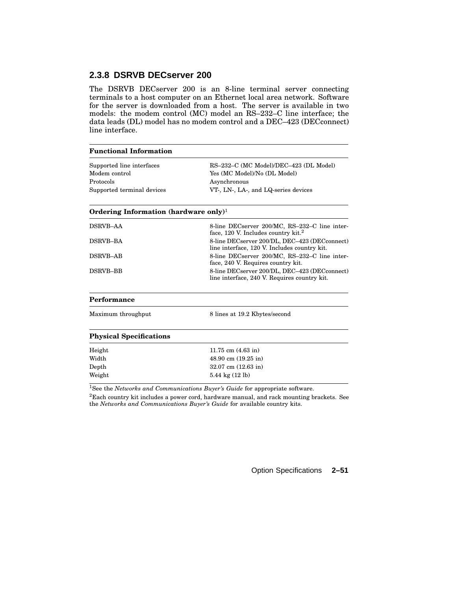### **2.3.8 DSRVB DECserver 200**

The DSRVB DECserver 200 is an 8-line terminal server connecting terminals to a host computer on an Ethernet local area network. Software for the server is downloaded from a host. The server is available in two models: the modem control (MC) model an RS–232–C line interface; the data leads (DL) model has no modem control and a DEC–423 (DECconnect) line interface.

#### **Functional Information**

| Supported line interfaces  | RS-232-C (MC Model)/DEC-423 (DL Model) |
|----------------------------|----------------------------------------|
| Modem control              | Yes (MC Model)/No (DL Model)           |
| Protocols                  | Asynchronous                           |
| Supported terminal devices | VT, LN, LA, and LQ-series devices      |

#### **Ordering Information (hardware only)**<sup>1</sup>

| <b>DSRVB-AA</b> | 8-line DECserver 200/MC, RS-232-C line inter-<br>face, 120 V. Includes country kit. <sup>2</sup> |
|-----------------|--------------------------------------------------------------------------------------------------|
| DSRVB-BA        | 8-line DECserver 200/DL, DEC-423 (DECconnect)<br>line interface, 120 V. Includes country kit.    |
| DSRVB-AB        | 8-line DECserver 200/MC, RS-232-C line inter-<br>face, 240 V. Requires country kit.              |
| DSRVB-BB        | 8-line DECserver 200/DL, DEC-423 (DECconnect)<br>line interface, 240 V. Requires country kit.    |
|                 |                                                                                                  |

#### **Performance**

| Maximum throughput |  |
|--------------------|--|
|                    |  |

8 lines at 19.2 Kbytes/second

#### **Physical Specifications**

| Height | 11.75 cm $(4.63 \text{ in})$           |
|--------|----------------------------------------|
| Width  | $48.90 \text{ cm } (19.25 \text{ in})$ |
| Depth  | $32.07$ cm $(12.63)$ in                |
| Weight | $5.44 \text{ kg} (12 \text{ lb})$      |
|        |                                        |

<sup>1</sup>See the *Networks and Communications Buyer's Guide* for appropriate software.

<sup>2</sup>Each country kit includes a power cord, hardware manual, and rack mounting brackets. See the *Networks and Communications Buyer's Guide* for available country kits.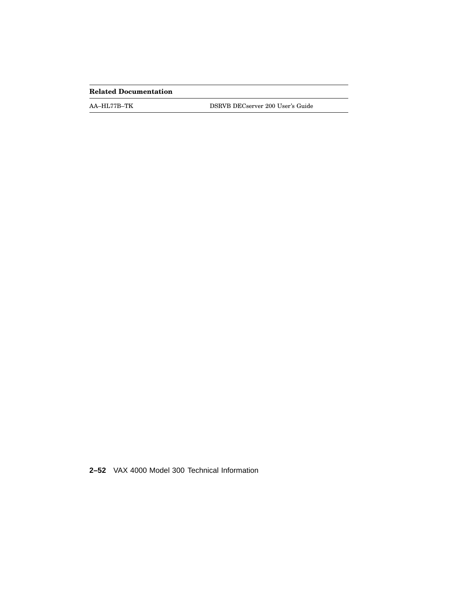### **Related Documentation**

AA–HL77B–TK DSRVB DECserver 200 User's Guide

**2–52** VAX 4000 Model 300 Technical Information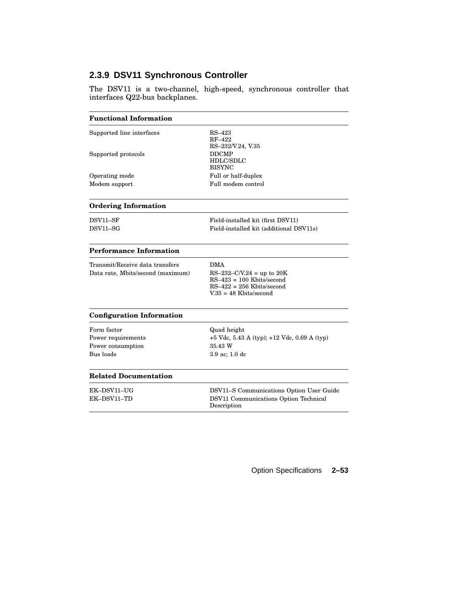### **2.3.9 DSV11 Synchronous Controller**

The DSV11 is a two-channel, high-speed, synchronous controller that interfaces Q22-bus backplanes.

| <b>Functional Information</b> |                                            |  |
|-------------------------------|--------------------------------------------|--|
| Supported line interfaces     | $RS-423$<br>RF-422<br>RS-232/V.24, V.35    |  |
| Supported protocols           | <b>DDCMP</b><br>HDLC/SDLC<br><b>BISYNC</b> |  |
| Operating mode                | Full or half-duplex                        |  |
| Modem support                 | Full modem control                         |  |
| <b>Ordering Information</b>   |                                            |  |

| DSV11–SF                        | Field-installed kit (first DSV11)       |
|---------------------------------|-----------------------------------------|
| $\mathop{\rm DSV11\text{--}SG}$ | Field-installed kit (additional DSV11s) |

#### **Performance Information**

| Transmit/Receive data transfers<br>Data rate, Mbits/second (maximum) | DMA<br>$RS-232-C/V.24 = up to 20K$<br>$RS-423 = 100$ Kbits/second<br>$RS-422 = 256$ Kbits/second<br>$V.35 = 48$ Kbits/second |
|----------------------------------------------------------------------|------------------------------------------------------------------------------------------------------------------------------|
|----------------------------------------------------------------------|------------------------------------------------------------------------------------------------------------------------------|

### **Configuration Information**

| Form factor        |
|--------------------|
| Power requirements |
| Power consumption  |
| Bus loads          |

Quad height +5 Vdc, 5.43 A (typ); +12 Vdc, 0.69 A (typ)  $35.43\ \rm{W}$  $3.9$ ac;  $1.0~\rm{dc}$ 

#### **Related Documentation**

| EK–DSV11–UG | DSV11–S Communications Option User Guide             |
|-------------|------------------------------------------------------|
| EK–DSV11–TD | DSV11 Communications Option Technical<br>Description |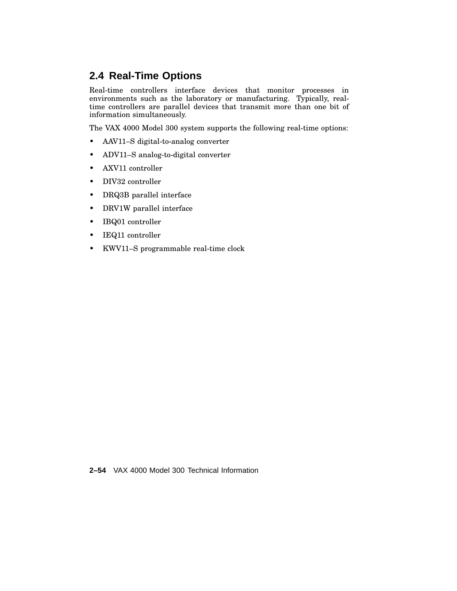# **2.4 Real-Time Options**

Real-time controllers interface devices that monitor processes in environments such as the laboratory or manufacturing. Typically, realtime controllers are parallel devices that transmit more than one bit of information simultaneously.

The VAX 4000 Model 300 system supports the following real-time options:

- AAV11–S digital-to-analog converter
- ADV11–S analog-to-digital converter
- AXV11 controller
- DIV32 controller
- DRQ3B parallel interface
- DRV1W parallel interface
- IBQ01 controller
- IEQ11 controller
- KWV11–S programmable real-time clock

**2–54** VAX 4000 Model 300 Technical Information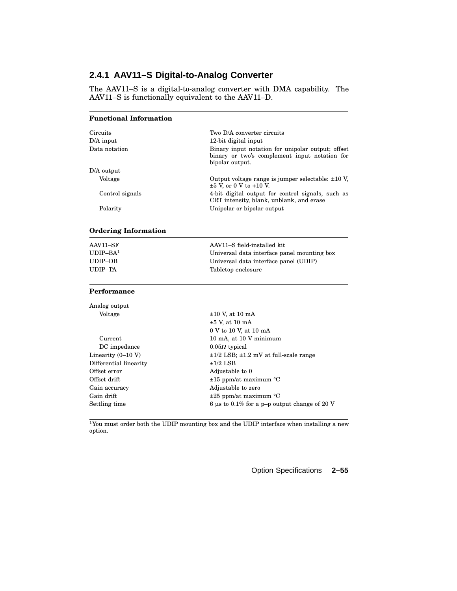### **2.4.1 AAV11–S Digital-to-Analog Converter**

The AAV11–S is a digital-to-analog converter with DMA capability. The AAV11–S is functionally equivalent to the AAV11–D.

| <b>Functional Information</b> |                                                                                                                       |
|-------------------------------|-----------------------------------------------------------------------------------------------------------------------|
| Circuits                      | Two D/A converter circuits                                                                                            |
| $D/A$ input                   | 12-bit digital input                                                                                                  |
| Data notation                 | Binary input notation for unipolar output; offset<br>binary or two's complement input notation for<br>bipolar output. |
| $D/A$ output                  |                                                                                                                       |
| Voltage                       | Output voltage range is jumper selectable: $\pm 10$ V,<br>$\pm 5$ V, or 0 V to +10 V.                                 |
| Control signals               | 4-bit digital output for control signals, such as<br>CRT intensity, blank, unblank, and erase                         |
| Polarity                      | Unipolar or bipolar output                                                                                            |

### **Ordering Information**

| AAV11–SF<br>$UDIP-BA1$ | AAV11-S field-installed kit<br>Universal data interface panel mounting box |
|------------------------|----------------------------------------------------------------------------|
| UDIP–DB                | Universal data interface panel (UDIP)                                      |
| UDIP–TA                | Tabletop enclosure                                                         |

#### **Performance**

| Analog output          |                                                 |
|------------------------|-------------------------------------------------|
| Voltage                | $\pm 10$ V, at 10 mA                            |
|                        | $\pm 5$ V, at 10 mA                             |
|                        | 0 V to 10 V, at 10 mA                           |
| Current                | 10 mA, at 10 V minimum                          |
| DC impedance           | $0.05\Omega$ typical                            |
| Linearity $(0-10 V)$   | $\pm 1/2$ LSB; $\pm 1.2$ mV at full-scale range |
| Differential linearity | $\pm 1/2$ LSB                                   |
| Offset error           | Adjustable to 0                                 |
| Offset drift           | $\pm 15$ ppm/at maximum $\degree$ C             |
| Gain accuracy          | Adjustable to zero                              |
| Gain drift             | $\pm 25$ ppm/at maximum °C                      |
| Settling time          | 6 us to 0.1% for a p-p output change of 20 V    |

<sup>1</sup>You must order both the UDIP mounting box and the UDIP interface when installing a new option.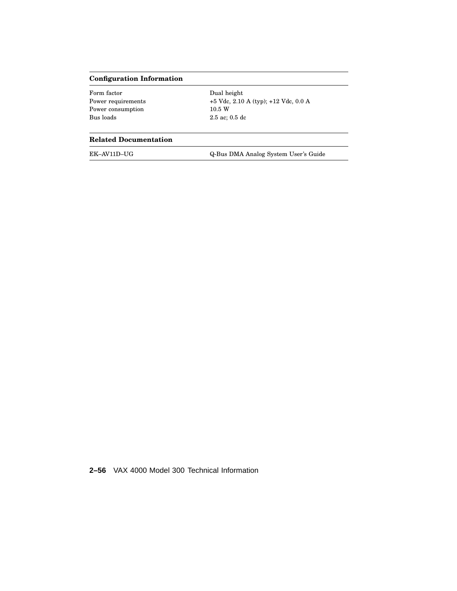#### **Configuration Information**

Form factor Dual height Power consumption Bus loads 2.5 ac; 0.5 dc

Power requirements  $$\rm +5$  Vdc,  $2.10$  A (typ);  $+12$  Vdc,  $0.0$  A Power consumption  $10.5~\rm{W}$ 

### **Related Documentation**

EK–AV11D–UG Q-Bus DMA Analog System User's Guide

**2–56** VAX 4000 Model 300 Technical Information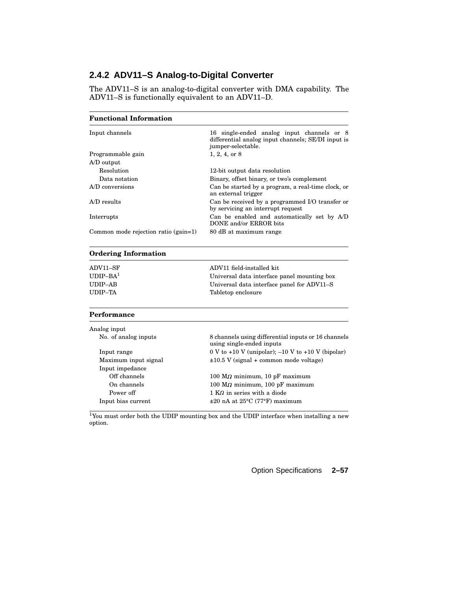### **2.4.2 ADV11–S Analog-to-Digital Converter**

The ADV11–S is an analog-to-digital converter with DMA capability. The ADV11–S is functionally equivalent to an ADV11–D.

| <b>Functional Information</b>        |                                                                                                                        |
|--------------------------------------|------------------------------------------------------------------------------------------------------------------------|
| Input channels                       | 16 single-ended analog input channels or 8<br>differential analog input channels; SE/DI input is<br>jumper-selectable. |
| Programmable gain                    | $1, 2, 4,$ or $8$                                                                                                      |
| A/D output                           |                                                                                                                        |
| Resolution                           | 12-bit output data resolution                                                                                          |
| Data notation                        | Binary, offset binary, or two's complement                                                                             |
| A/D conversions                      | Can be started by a program, a real-time clock, or<br>an external trigger                                              |
| $A/D$ results                        | Can be received by a programmed I/O transfer or<br>by servicing an interrupt request                                   |
| Interrupts                           | Can be enabled and automatically set by A/D<br>DONE and/or ERROR bits                                                  |
| Common mode rejection ratio (gain=1) | 80 dB at maximum range                                                                                                 |

### **Ordering Information**

| ADV11–SF   | ADV11 field-installed kit                   |
|------------|---------------------------------------------|
| $UDIP-BA1$ | Universal data interface panel mounting box |
| UDIP–AB    | Universal data interface panel for ADV11–S  |
| UDIP–TA    | Tabletop enclosure                          |

#### **Performance**

| 8 channels using differential inputs or 16 channels<br>using single-ended inputs |
|----------------------------------------------------------------------------------|
| 0 V to +10 V (unipolar); $-10$ V to +10 V (bipolar)                              |
| $\pm 10.5$ V (signal + common mode voltage)                                      |
|                                                                                  |
| $100$ M $\Omega$ minimum, 10 pF maximum                                          |
| $100$ M $\Omega$ minimum, $100$ pF maximum                                       |
| $1 K\Omega$ in series with a diode                                               |
| $\pm 20$ nA at 25 $\rm{^{\circ}C}$ (77 $\rm{^{\circ}F}$ ) maximum                |
|                                                                                  |

<sup>1</sup>You must order both the UDIP mounting box and the UDIP interface when installing a new option.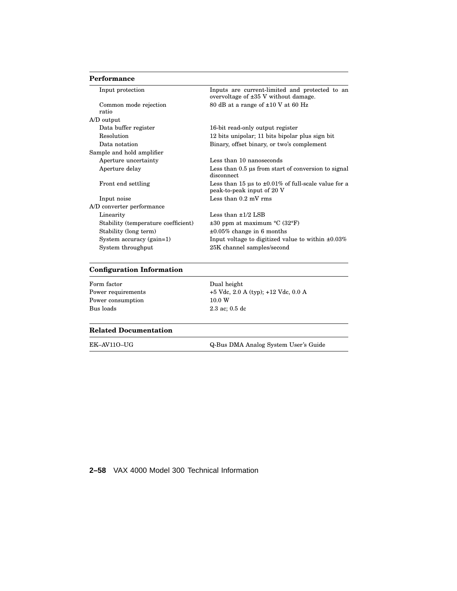#### **Performance**

| Input protection                    | Inputs are current-limited and protected to an<br>overvoltage of $\pm 35$ V without damage. |
|-------------------------------------|---------------------------------------------------------------------------------------------|
| Common mode rejection               | 80 dB at a range of $\pm 10$ V at 60 Hz                                                     |
| ratio                               |                                                                                             |
| A/D output                          |                                                                                             |
| Data buffer register                | 16-bit read-only output register                                                            |
| Resolution                          | 12 bits unipolar; 11 bits bipolar plus sign bit                                             |
| Data notation                       | Binary, offset binary, or two's complement                                                  |
| Sample and hold amplifier           |                                                                                             |
| Aperture uncertainty                | Less than 10 nanoseconds                                                                    |
| Aperture delay                      | Less than 0.5 us from start of conversion to signal<br>disconnect.                          |
| Front end settling                  | Less than 15 us to $\pm 0.01\%$ of full-scale value for a<br>peak-to-peak input of 20 V     |
| Input noise                         | Less than $0.2$ mV rms                                                                      |
| A/D converter performance           |                                                                                             |
| Linearity                           | Less than $\pm 1/2$ LSB                                                                     |
| Stability (temperature coefficient) | $\pm 30$ ppm at maximum °C (32°F)                                                           |
| Stability (long term)               | $\pm 0.05\%$ change in 6 months                                                             |
| System accuracy (gain=1)            | Input voltage to digitized value to within $\pm 0.03\%$                                     |
| System throughput                   | 25K channel samples/second                                                                  |
|                                     |                                                                                             |

#### **Configuration Information**

Form factor Dual height Power consumption Bus loads 2.3 ac; 0.5 dc

Power requirements  $+5$  Vdc, 2.0 A (typ); +12 Vdc, 0.0 A<br>Power consumption  $10.0$  W

#### **Related Documentation**

EK–AV11O–UG Q-Bus DMA Analog System User's Guide

**2–58** VAX 4000 Model 300 Technical Information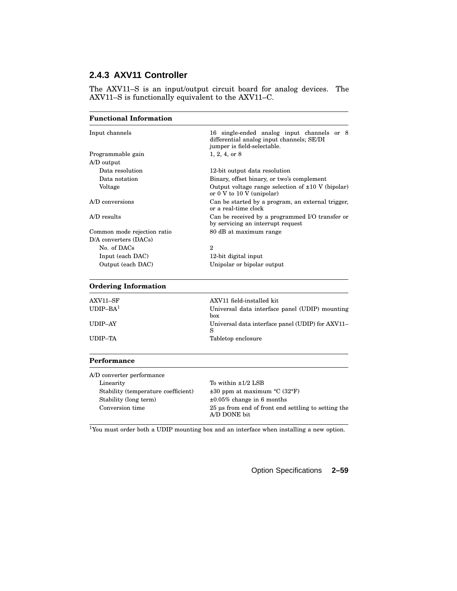# **2.4.3 AXV11 Controller**

The AXV11–S is an input/output circuit board for analog devices. The AXV11–S is functionally equivalent to the AXV11–C.

| <b>Functional Information</b> |                                                                                                                        |
|-------------------------------|------------------------------------------------------------------------------------------------------------------------|
| Input channels                | 16 single-ended analog input channels or 8<br>differential analog input channels; SE/DI<br>jumper is field-selectable. |
| Programmable gain             | $1, 2, 4,$ or $8$                                                                                                      |
| A/D output                    |                                                                                                                        |
| Data resolution               | 12-bit output data resolution                                                                                          |
| Data notation                 | Binary, offset binary, or two's complement                                                                             |
| Voltage                       | Output voltage range selection of $\pm 10$ V (bipolar)<br>or $0 \nabla$ to $10 \nabla$ (unipolar)                      |
| A/D conversions               | Can be started by a program, an external trigger,<br>or a real-time clock                                              |
| $A/D$ results                 | Can be received by a programmed I/O transfer or<br>by servicing an interrupt request                                   |
| Common mode rejection ratio   | 80 dB at maximum range                                                                                                 |
| $D/A$ converters $(DACs)$     |                                                                                                                        |
| No. of DACs                   | $\mathbf{2}$                                                                                                           |
| Input (each DAC)              | 12-bit digital input                                                                                                   |
| Output (each DAC)             | Unipolar or bipolar output                                                                                             |

### **Ordering Information**

| AXV11–SF   | AXV11 field-installed kit                        |
|------------|--------------------------------------------------|
| $UDIP-BA1$ | Universal data interface panel (UDIP) mounting   |
|            | hox                                              |
| UDIP–AY    | Universal data interface panel (UDIP) for AXV11– |
|            | S                                                |
| UDIP–TA    | Tabletop enclosure                               |
|            |                                                  |

#### **Performance**

| A/D converter performance           |                                                                     |
|-------------------------------------|---------------------------------------------------------------------|
| Linearity                           | To within $\pm 1/2$ LSB                                             |
| Stability (temperature coefficient) | $\pm 30$ ppm at maximum °C (32°F)                                   |
| Stability (long term)               | $\pm 0.05\%$ change in 6 months                                     |
| Conversion time                     | 25 us from end of front end settling to setting the<br>A/D DONE bit |

<sup>1</sup>You must order both a UDIP mounting box and an interface when installing a new option.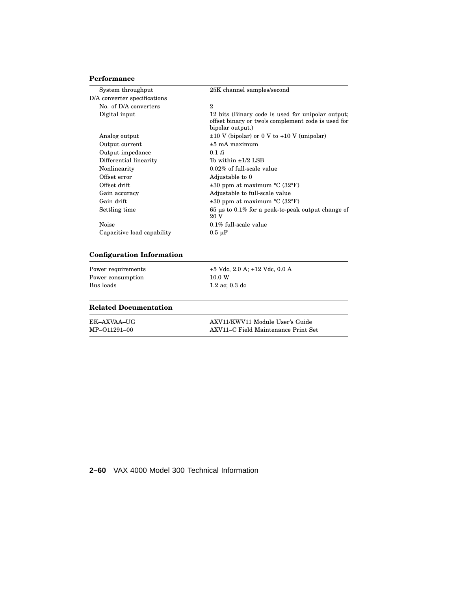#### **Performance**

| 25K channel samples/second                                                                                                  |
|-----------------------------------------------------------------------------------------------------------------------------|
|                                                                                                                             |
| $\overline{2}$                                                                                                              |
| 12 bits (Binary code is used for unipolar output;<br>offset binary or two's complement code is used for<br>bipolar output.) |
| $\pm 10$ V (bipolar) or 0 V to +10 V (unipolar)                                                                             |
| $±5$ mA maximum                                                                                                             |
| $0.1 \Omega$                                                                                                                |
| To within $\pm 1/2$ LSB                                                                                                     |
| $0.02\%$ of full-scale value                                                                                                |
| Adjustable to 0                                                                                                             |
| $\pm 30$ ppm at maximum °C (32°F)                                                                                           |
| Adjustable to full-scale value                                                                                              |
| $\pm 30$ ppm at maximum °C (32°F)                                                                                           |
| $65 \text{ }\mu\text{s}$ to $0.1\%$ for a peak-to-peak output change of<br>20 V                                             |
| $0.1\%$ full-scale value                                                                                                    |
| $0.5 \mu F$                                                                                                                 |
|                                                                                                                             |

### **Configuration Information**

Power consumption Bus loads 1.2 ac; 0.3 dc

Power requirements  $+5$  Vdc, 2.0 A; +12 Vdc, 0.0 A<br>Power consumption  $10.0$  W

### **Related Documentation**

| <b>EK-AXVAA-UG</b> | AXV11/KWV11 Module User's Guide     |
|--------------------|-------------------------------------|
| MP-011291-00       | AXV11–C Field Maintenance Print Set |

**2–60** VAX 4000 Model 300 Technical Information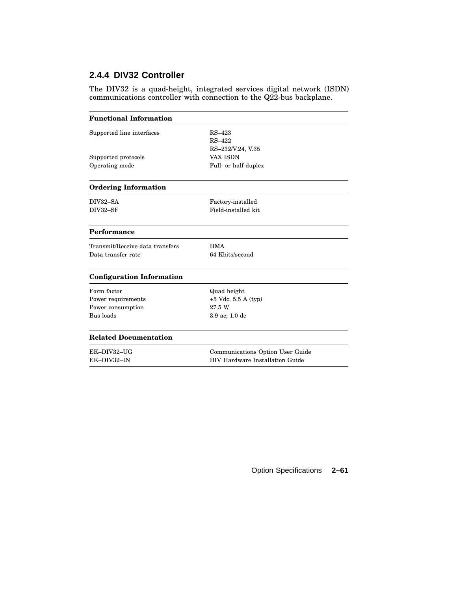# **2.4.4 DIV32 Controller**

The DIV32 is a quad-height, integrated services digital network (ISDN) communications controller with connection to the Q22-bus backplane.

| <b>Functional Information</b>    |                                  |
|----------------------------------|----------------------------------|
| Supported line interfaces        | $RS-423$                         |
|                                  | $RS-422$                         |
|                                  | RS-232/V.24, V.35                |
| Supported protocols              | <b>VAX ISDN</b>                  |
| Operating mode                   | Full- or half-duplex             |
| <b>Ordering Information</b>      |                                  |
| DIV32-SA                         | Factory-installed                |
| DIV32-SF                         | Field-installed kit              |
| Performance                      |                                  |
| Transmit/Receive data transfers  | <b>DMA</b>                       |
| Data transfer rate               | 64 Kbits/second                  |
| <b>Configuration Information</b> |                                  |
| Form factor                      | Quad height                      |
| Power requirements               | $+5$ Vdc, 5.5 A (typ)            |
| Power consumption                | 27.5 W                           |
| Bus loads                        | 3.9 ac; 1.0 dc                   |
| <b>Related Documentation</b>     |                                  |
| EK-DIV32-UG                      | Communications Option User Guide |
| EK-DIV32-IN                      | DIV Hardware Installation Guide  |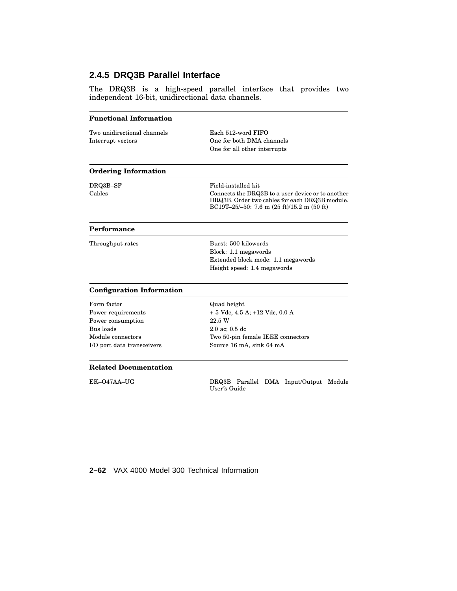# **2.4.5 DRQ3B Parallel Interface**

The DRQ3B is a high-speed parallel interface that provides two independent 16-bit, unidirectional data channels.

| Each 512-word FIFO<br>One for both DMA channels<br>One for all other interrupts                                                                                             |
|-----------------------------------------------------------------------------------------------------------------------------------------------------------------------------|
|                                                                                                                                                                             |
| Field-installed kit.<br>Connects the DRQ3B to a user device or to another<br>DRQ3B. Order two cables for each DRQ3B module.<br>BC19T-25/-50: 7.6 m $(25 ft)/15.2 m (50 ft)$ |
|                                                                                                                                                                             |
| Burst: 500 kilowords<br>Block: 1.1 megawords<br>Extended block mode: 1.1 megawords<br>Height speed: 1.4 megawords                                                           |
|                                                                                                                                                                             |
| Quad height<br>$+ 5$ Vdc, 4.5 A; $+12$ Vdc, 0.0 A<br>22.5 W<br>$2.0$ ac; $0.5$ dc<br>Two 50-pin female IEEE connectors<br>Source 16 mA, sink 64 mA                          |
|                                                                                                                                                                             |
| DRQ3B Parallel DMA Input/Output<br>Module<br>User's Guide                                                                                                                   |
|                                                                                                                                                                             |

### **2–62** VAX 4000 Model 300 Technical Information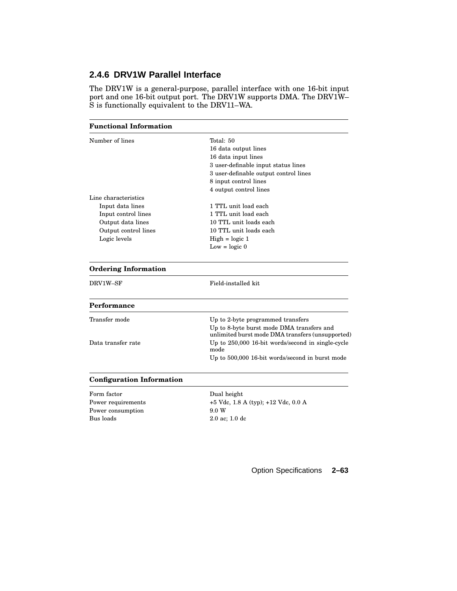### **2.4.6 DRV1W Parallel Interface**

The DRV1W is a general-purpose, parallel interface with one 16-bit input port and one 16-bit output port. The DRV1W supports DMA. The DRV1W– S is functionally equivalent to the DRV11–WA.

### **Functional Information** Number of lines Total: 50 16 data output lines 16 data input lines 3 user-definable input status lines 3 user-definable output control lines 8 input control lines 4 output control lines Line characteristics Input data lines 1 TTL unit load each Input control lines 1 TTL unit load each Output data lines 10 TTL unit loads each Output control lines 10 TTL unit loads each Logic levels  $\qquad \qquad$  High = logic 1 Low  $=$  logic  $0$ **Ordering Information** DRV1W–SF Field-installed kit **Performance** Transfer mode Up to 2-byte programmed transfers Up to 8-byte burst mode DMA transfers and unlimited burst mode DMA transfers (unsupported) Data transfer rate Up to 250,000 16-bit words/second in single-cycle mode Up to 500,000 16-bit words/second in burst mode **Configuration Information**

Form factor Dual height Power requirements +5 Vdc, 1.8 A (typ); +12 Vdc, 0.0 A Power consumption 9.0 W Bus loads 2.0 ac; 1.0 dc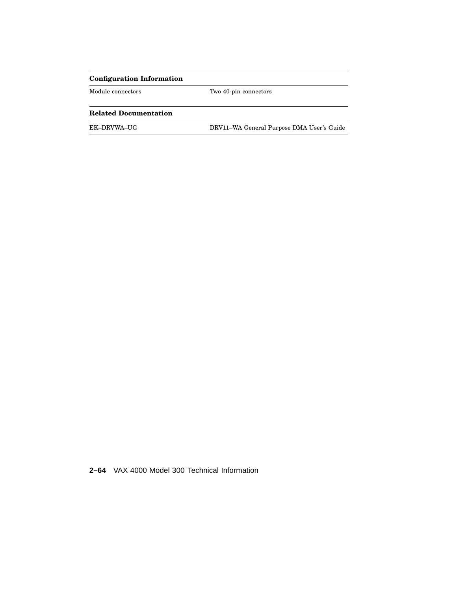### **Configuration Information**

Module connectors Two 40-pin connectors

### **Related Documentation**

EK–DRVWA–UG DRV11–WA General Purpose DMA User's Guide

**2–64** VAX 4000 Model 300 Technical Information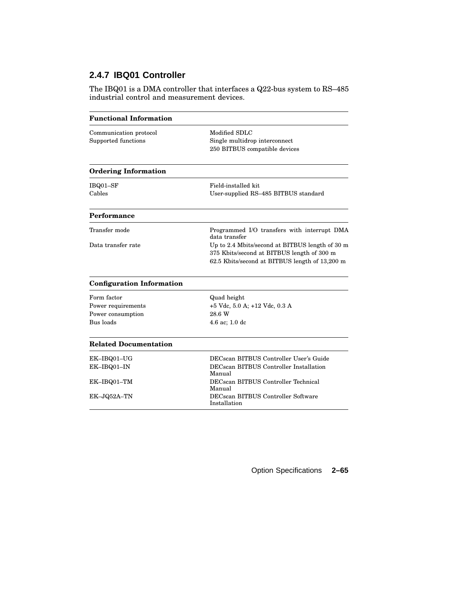# **2.4.7 IBQ01 Controller**

The IBQ01 is a DMA controller that interfaces a Q22-bus system to RS–485 industrial control and measurement devices.

| <b>Functional Information</b>                                       |                                                                                                                                                               |
|---------------------------------------------------------------------|---------------------------------------------------------------------------------------------------------------------------------------------------------------|
| Communication protocol<br>Supported functions                       | Modified SDLC<br>Single multidrop interconnect<br>250 BITBUS compatible devices                                                                               |
| <b>Ordering Information</b>                                         |                                                                                                                                                               |
| IBQ01-SF<br>Cables                                                  | Field-installed kit<br>User-supplied RS-485 BITBUS standard                                                                                                   |
| Performance                                                         |                                                                                                                                                               |
| Transfer mode<br>Data transfer rate                                 | Programmed I/O transfers with interrupt DMA<br>data transfer<br>Up to 2.4 Mbits/second at BITBUS length of 30 m<br>375 Kbits/second at BITBUS length of 300 m |
| <b>Configuration Information</b>                                    | 62.5 Kbits/second at BITBUS length of 13,200 m                                                                                                                |
| Form factor<br>Power requirements<br>Power consumption<br>Bus loads | Quad height<br>+5 Vdc, 5.0 A; +12 Vdc, 0.3 A<br>28.6 W<br>$4.6$ ac; $1.0$ dc                                                                                  |
| <b>Related Documentation</b>                                        |                                                                                                                                                               |
| EK-IBQ01-UG<br>EK-IBQ01-IN                                          | DECscan BITBUS Controller User's Guide<br><b>DECscan BITBUS Controller Installation</b><br>Manual                                                             |
| EK-IBQ01-TM                                                         | DECscan BITBUS Controller Technical<br>Manual                                                                                                                 |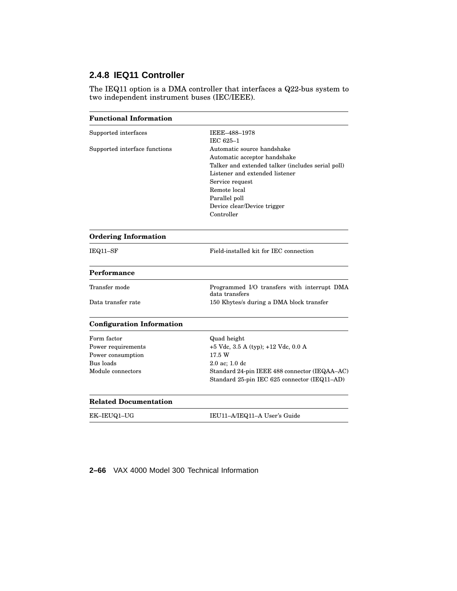# **2.4.8 IEQ11 Controller**

The IEQ11 option is a DMA controller that interfaces a Q22-bus system to two independent instrument buses (IEC/IEEE).

| <b>Functional Information</b>    |                                                               |
|----------------------------------|---------------------------------------------------------------|
| Supported interfaces             | IEEE-488-1978                                                 |
|                                  | IEC 625-1                                                     |
| Supported interface functions    | Automatic source handshake                                    |
|                                  | Automatic acceptor handshake                                  |
|                                  | Talker and extended talker (includes serial poll)             |
|                                  | Listener and extended listener                                |
|                                  | Service request                                               |
|                                  | Remote local                                                  |
|                                  | Parallel poll                                                 |
|                                  | Device clear/Device trigger                                   |
|                                  | Controller                                                    |
| <b>Ordering Information</b>      |                                                               |
| IEQ11-SF                         | Field-installed kit for IEC connection                        |
| Performance                      |                                                               |
| Transfer mode                    | Programmed I/O transfers with interrupt DMA<br>data transfers |
| Data transfer rate               | 150 Kbytes/s during a DMA block transfer                      |
| <b>Configuration Information</b> |                                                               |
| Form factor                      | Quad height                                                   |
| Power requirements               | $+5$ Vdc, 3.5 A (typ); $+12$ Vdc, 0.0 A                       |
| Power consumption                | 17.5 W                                                        |
| Bus loads                        | $2.0$ ac; $1.0$ dc                                            |
| Module connectors                | Standard 24-pin IEEE 488 connector (IEQAA-AC)                 |
|                                  | Standard 25-pin IEC 625 connector (IEQ11-AD)                  |
| <b>Related Documentation</b>     |                                                               |
| EK-IEUQ1-UG                      | IEU11-A/IEQ11-A User's Guide                                  |
|                                  |                                                               |

**2–66** VAX 4000 Model 300 Technical Information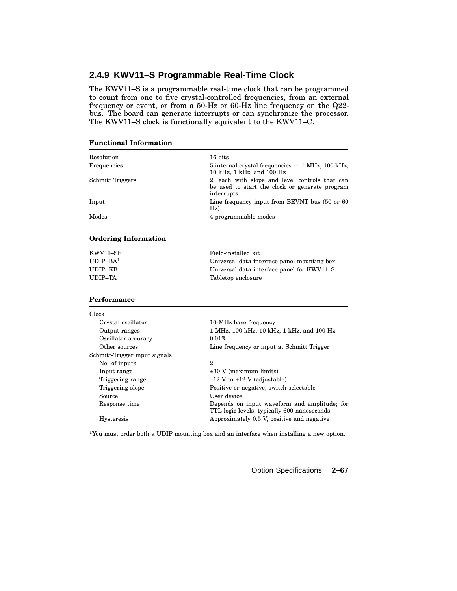### **2.4.9 KWV11–S Programmable Real-Time Clock**

The KWV11–S is a programmable real-time clock that can be programmed to count from one to five crystal-controlled frequencies, from an external frequency or event, or from a 50-Hz or 60-Hz line frequency on the Q22 bus. The board can generate interrupts or can synchronize the processor. The KWV11–S clock is functionally equivalent to the KWV11–C.

| <b>Functional Information</b> |                                                                                                                |
|-------------------------------|----------------------------------------------------------------------------------------------------------------|
| Resolution                    | 16 hits                                                                                                        |
| Frequencies                   | $5$ internal crystal frequencies $-1$ MHz, 100 kHz,<br>10 kHz, 1 kHz, and 100 Hz                               |
| <b>Schmitt Triggers</b>       | 2, each with slope and level controls that can<br>be used to start the clock or generate program<br>interrupts |
| Input                         | Line frequency input from BEVNT bus (50 or 60)<br>Hz)                                                          |
| Modes                         | 4 programmable modes                                                                                           |
| <b>Ordering Information</b>   |                                                                                                                |
| KWV11-SF                      | Field-installed kit                                                                                            |
| $IDIP-BA1$                    | Universal data interface panel mounting box                                                                    |
| UDIP-KB                       | Universal data interface panel for KWV11-S                                                                     |
| UDIP-TA                       | Tabletop enclosure                                                                                             |
| Performance                   |                                                                                                                |
| Clock                         |                                                                                                                |
| Crystal oscillator            | 10-MHz base frequency                                                                                          |
| Output ranges                 | 1 MHz, 100 kHz, 10 kHz, 1 kHz, and 100 Hz                                                                      |
| Oscillator accuracy           | 0.01%                                                                                                          |
| Other sources                 | Line frequency or input at Schmitt Trigger                                                                     |
| Schmitt-Trigger input signals |                                                                                                                |
| No. of inputs                 | $\mathbf{2}$                                                                                                   |
| Input range                   | $\pm 30$ V (maximum limits)                                                                                    |
| Triggering range              | $-12$ V to $+12$ V (adjustable)                                                                                |
| Triggering slope              | Positive or negative, switch-selectable                                                                        |
| Source                        | User device                                                                                                    |
| Response time                 | Depends on input waveform and amplitude; for<br>TTL logic levels, typically 600 nanoseconds                    |
| Hysteresis                    | Approximately 0.5 V, positive and negative                                                                     |

<sup>1</sup>You must order both a UDIP mounting box and an interface when installing a new option.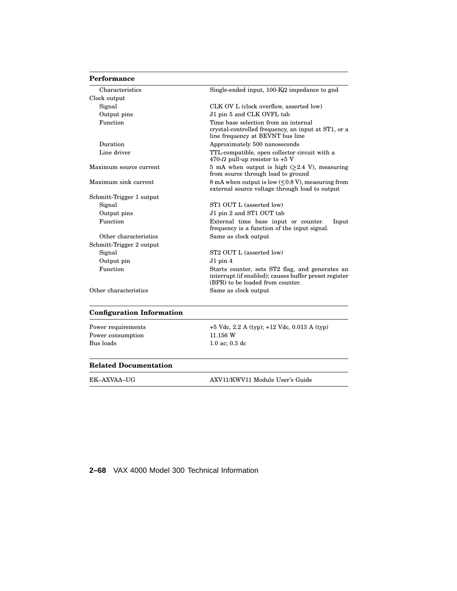### **Performance**

| Characteristics          | Single-ended input, $100 - K\Omega$ impedance to gnd                                                                                         |
|--------------------------|----------------------------------------------------------------------------------------------------------------------------------------------|
| Clock output             |                                                                                                                                              |
| Signal                   | CLK OV L (clock overflow, asserted low)                                                                                                      |
| Output pins              | J1 pin 5 and CLK OVFL tab                                                                                                                    |
| Function                 | Time base selection from an internal<br>crystal-controlled frequency, an input at ST1, or a<br>line frequency at BEVNT bus line              |
| Duration                 | Approximately 500 nanoseconds                                                                                                                |
| Line driver              | TTL-compatible, open collector circuit with a<br>470- $\Omega$ pull-up resistor to +5 V                                                      |
| Maximum source current   | 5 mA when output is high $(\geq 2.4 \text{ V})$ , measuring<br>from source through load to ground                                            |
| Maximum sink current     | 8 mA when output is low (<0.8 V), measuring from<br>external source voltage through load to output                                           |
| Schmitt-Trigger 1 output |                                                                                                                                              |
| Signal                   | ST1 OUT L (asserted low)                                                                                                                     |
| Output pins              | J1 pin 2 and ST1 OUT tab                                                                                                                     |
| Function                 | External time base input or counter.<br>Input<br>frequency is a function of the input signal.                                                |
| Other characteristics    | Same as clock output                                                                                                                         |
| Schmitt-Trigger 2 output |                                                                                                                                              |
| Signal                   | ST2 OUT L (asserted low)                                                                                                                     |
| Output pin               | $J1$ pin 4                                                                                                                                   |
| Function                 | Starts counter, sets ST2 flag, and generates an<br>interrupt (if enabled); causes buffer preset register<br>(BPR) to be loaded from counter. |
| Other characteristics    | Same as clock output                                                                                                                         |

### **Configuration Information**

| Power requirements |
|--------------------|
| Power consumption  |
| Bus loads          |

+5 Vdc, 2.2 A (typ); +12 Vdc, 0.013 A (typ)  $11.156~\mathrm{W}$  $1.0$ ac;  $0.3~\mathrm{dc}$ 

### **Related Documentation**

EK–AXVAA–UG AXV11/KWV11 Module User's Guide

**2–68** VAX 4000 Model 300 Technical Information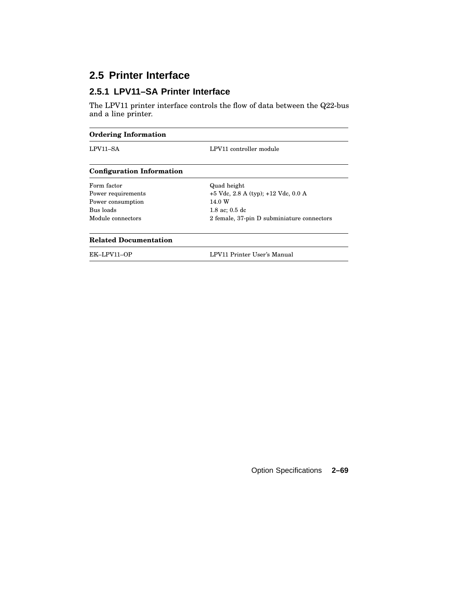# **2.5 Printer Interface**

### **2.5.1 LPV11–SA Printer Interface**

The LPV11 printer interface controls the flow of data between the Q22-bus and a line printer.

| <b>Ordering Information</b>      |                                            |
|----------------------------------|--------------------------------------------|
| LPV11-SA                         | LPV11 controller module                    |
| <b>Configuration Information</b> |                                            |
| Form factor                      | Quad height                                |
| Power requirements               | $+5$ Vdc, 2.8 A (typ); $+12$ Vdc, 0.0 A    |
| Power consumption                | 14.0 W                                     |
| Bus loads                        | $1.8$ ac; $0.5$ dc                         |
| Module connectors                | 2 female, 37-pin D subminiature connectors |
| <b>Related Documentation</b>     |                                            |
| EK-LPV11-OP                      | LPV11 Printer User's Manual                |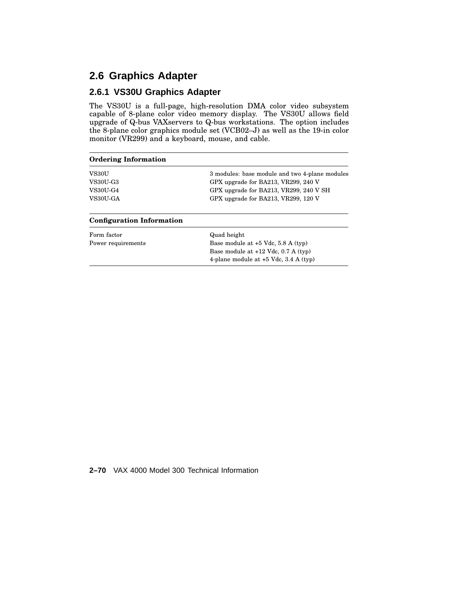# **2.6 Graphics Adapter**

### **2.6.1 VS30U Graphics Adapter**

The VS30U is a full-page, high-resolution DMA color video subsystem capable of 8-plane color video memory display. The VS30U allows field upgrade of Q-bus VAXservers to Q-bus workstations. The option includes the 8-plane color graphics module set (VCB02–J) as well as the 19-in color monitor (VR299) and a keyboard, mouse, and cable.

| <b>Ordering Information</b>      |                                                |
|----------------------------------|------------------------------------------------|
| VS30U                            | 3 modules: base module and two 4-plane modules |
| <b>VS30U-G3</b>                  | GPX upgrade for BA213, VR299, 240 V            |
| <b>VS30U-G4</b>                  | GPX upgrade for BA213, VR299, 240 V SH         |
| VS30U-GA                         | GPX upgrade for BA213, VR299, 120 V            |
| <b>Configuration Information</b> |                                                |
| Form factor                      | Quad height                                    |
| Power requirements               | Base module at $+5$ Vdc, 5.8 A (typ)           |
|                                  | Base module at $+12$ Vdc, 0.7 A (typ)          |
|                                  | 4-plane module at $+5$ Vdc, 3.4 A (typ)        |

**2–70** VAX 4000 Model 300 Technical Information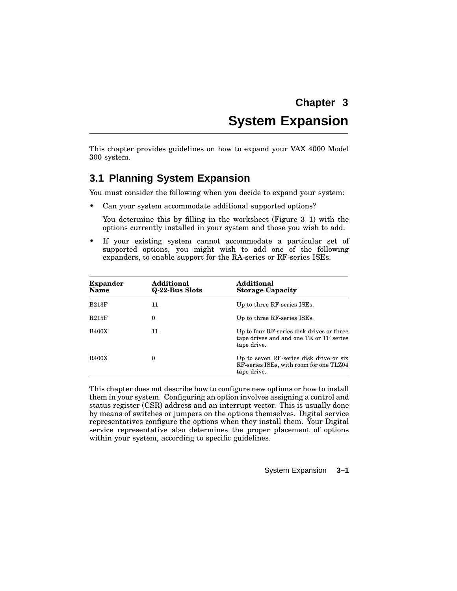# **Chapter 3 System Expansion**

This chapter provides guidelines on how to expand your VAX 4000 Model 300 system.

# **3.1 Planning System Expansion**

You must consider the following when you decide to expand your system:

• Can your system accommodate additional supported options?

You determine this by filling in the worksheet (Figure 3–1) with the options currently installed in your system and those you wish to add.

If your existing system cannot accommodate a particular set of supported options, you might wish to add one of the following expanders, to enable support for the RA-series or RF-series ISEs.

| <b>Expander</b><br>Name | Additional<br>Q-22-Bus Slots | Additional<br><b>Storage Capacity</b>                                                               |
|-------------------------|------------------------------|-----------------------------------------------------------------------------------------------------|
| <b>B213F</b>            | 11                           | Up to three RF-series ISEs.                                                                         |
| R215F                   | $\Omega$                     | Up to three RF-series ISEs.                                                                         |
| <b>B400X</b>            | 11                           | Up to four RF-series disk drives or three<br>tape drives and and one TK or TF series<br>tape drive. |
| <b>R400X</b>            | $\theta$                     | Up to seven RF-series disk drive or six<br>RF-series ISEs, with room for one TLZ04<br>tape drive.   |

This chapter does not describe how to configure new options or how to install them in your system. Configuring an option involves assigning a control and status register (CSR) address and an interrupt vector. This is usually done by means of switches or jumpers on the options themselves. Digital service representatives configure the options when they install them. Your Digital service representative also determines the proper placement of options within your system, according to specific guidelines.

### System Expansion **3–1**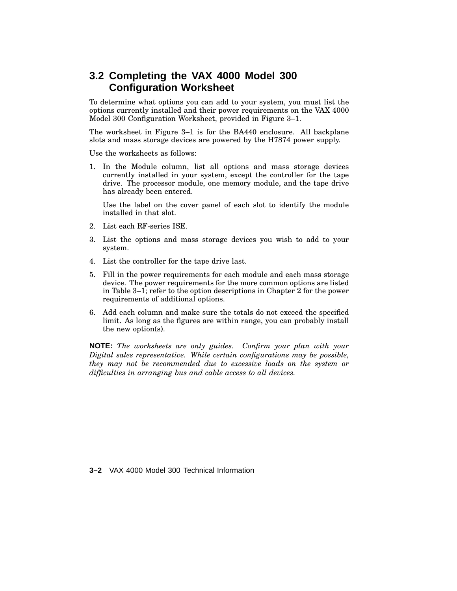# **3.2 Completing the VAX 4000 Model 300 Configuration Worksheet**

To determine what options you can add to your system, you must list the options currently installed and their power requirements on the VAX 4000 Model 300 Configuration Worksheet, provided in Figure 3–1.

The worksheet in Figure 3–1 is for the BA440 enclosure. All backplane slots and mass storage devices are powered by the H7874 power supply.

Use the worksheets as follows:

1. In the Module column, list all options and mass storage devices currently installed in your system, except the controller for the tape drive. The processor module, one memory module, and the tape drive has already been entered.

Use the label on the cover panel of each slot to identify the module installed in that slot.

- 2. List each RF-series ISE.
- 3. List the options and mass storage devices you wish to add to your system.
- 4. List the controller for the tape drive last.
- 5. Fill in the power requirements for each module and each mass storage device. The power requirements for the more common options are listed in Table 3–1; refer to the option descriptions in Chapter 2 for the power requirements of additional options.
- 6. Add each column and make sure the totals do not exceed the specified limit. As long as the figures are within range, you can probably install the new option(s).

**NOTE:** *The worksheets are only guides. Confirm your plan with your Digital sales representative. While certain configurations may be possible, they may not be recommended due to excessive loads on the system or difficulties in arranging bus and cable access to all devices.*

**3–2** VAX 4000 Model 300 Technical Information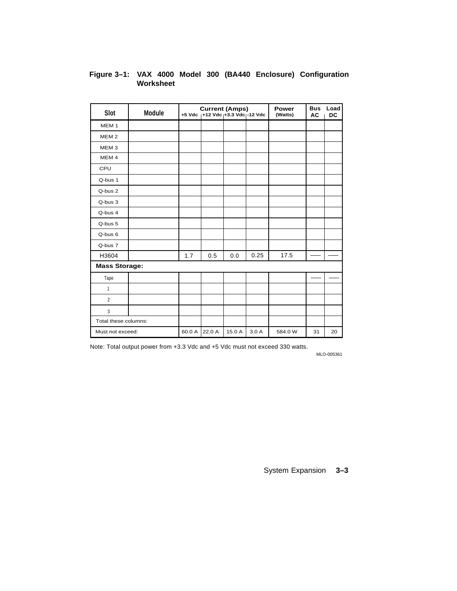| Slot                 | Module |        | <b>Current (Amps)</b><br>+5 Vdc 1+12 Vdc 1+3.3 Vdc 1-12 Vdc |        |      | Power<br>(Watts) | <b>Bus</b><br><b>AC</b> | Load<br>DC |
|----------------------|--------|--------|-------------------------------------------------------------|--------|------|------------------|-------------------------|------------|
| MEM <sub>1</sub>     |        |        |                                                             |        |      |                  |                         |            |
| MEM <sub>2</sub>     |        |        |                                                             |        |      |                  |                         |            |
| MEM <sub>3</sub>     |        |        |                                                             |        |      |                  |                         |            |
| MEM <sub>4</sub>     |        |        |                                                             |        |      |                  |                         |            |
| CPU                  |        |        |                                                             |        |      |                  |                         |            |
| Q-bus 1              |        |        |                                                             |        |      |                  |                         |            |
| Q-bus 2              |        |        |                                                             |        |      |                  |                         |            |
| Q-bus 3              |        |        |                                                             |        |      |                  |                         |            |
| Q-bus 4              |        |        |                                                             |        |      |                  |                         |            |
| Q-bus 5              |        |        |                                                             |        |      |                  |                         |            |
| Q-bus 6              |        |        |                                                             |        |      |                  |                         |            |
| Q-bus 7              |        |        |                                                             |        |      |                  |                         |            |
| H3604                |        | 1.7    | 0.5                                                         | 0.0    | 0.25 | 17.5             |                         |            |
| <b>Mass Storage:</b> |        |        |                                                             |        |      |                  |                         |            |
| Tape                 |        |        |                                                             |        |      |                  |                         |            |
| 1                    |        |        |                                                             |        |      |                  |                         |            |
| $\overline{2}$       |        |        |                                                             |        |      |                  |                         |            |
| 3                    |        |        |                                                             |        |      |                  |                         |            |
| Total these columns: |        |        |                                                             |        |      |                  |                         |            |
| Must not exceed:     |        | 60.0 A | 22.0 A                                                      | 15.0 A | 3.0A | 584.0 W          | 31                      | 20         |

### **Figure 3–1: VAX 4000 Model 300 (BA440 Enclosure) Configuration Worksheet**

Note: Total output power from +3.3 Vdc and +5 Vdc must not exceed 330 watts.

MLO-005361

System Expansion **3–3**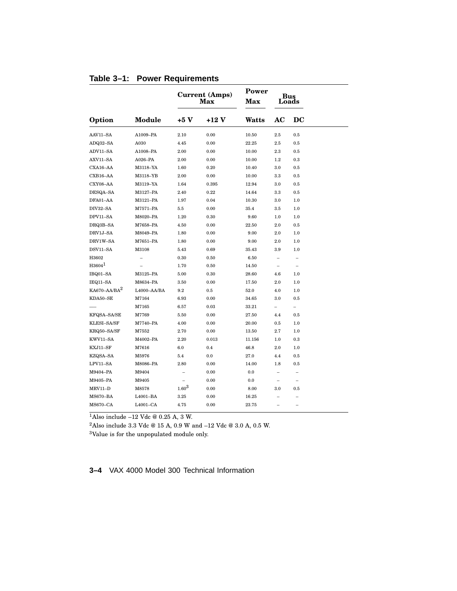|                          |               |                          | <b>Current (Amps)</b><br><b>Max</b> | Power<br>Max |                   | sus<br>oads              |  |
|--------------------------|---------------|--------------------------|-------------------------------------|--------------|-------------------|--------------------------|--|
| Option                   | <b>Module</b> | $+5V$                    | $+12V$                              | Watts        | AC                | DC                       |  |
| AAV11-SA                 | A1009-PA      | 2.10                     | 0.00                                | 10.50        | $2.5\,$           | 0.5                      |  |
| ADQ32-SA                 | A030          | 4.45                     | 0.00                                | 22.25        | $2.5\,$           | 0.5                      |  |
| ADV11-SA                 | A1008-PA      | 2.00                     | 0.00                                | 10.00        | 2.3               | 0.5                      |  |
| AXV11-SA                 | $A026-PA$     | 2.00                     | 0.00                                | 10.00        | 1.2               | 0.3                      |  |
| CXA16-AA                 | M3118-YA      | 1.60                     | 0.20                                | 10.40        | 3.0               | 0.5                      |  |
| CXB16-AA                 | M3118-YB      | 2.00                     | 0.00                                | 10.00        | 3.3               | 0.5                      |  |
| CXY08-AA                 | M3119-YA      | 1.64                     | 0.395                               | 12.94        | 3.0               | 0.5                      |  |
| DESQA-SA                 | M3127-PA      | 2.40                     | 0.22                                | 14.64        | 3.3               | 0.5                      |  |
| DFA01-AA                 | M3121-PA      | 1.97                     | 0.04                                | 10.30        | 3.0               | 1.0                      |  |
| DIV32-SA                 | M7571-PA      | 5.5                      | 0.00                                | 35.4         | 3.5               | 1.0                      |  |
| DPV11-SA                 | M8020-PA      | 1.20                     | 0.30                                | 9.60         | 1.0               | 1.0                      |  |
| DRQ3B-SA                 | M7658-PA      | 4.50                     | 0.00                                | 22.50        | 2.0               | 0.5                      |  |
| DRV1J-SA                 | M8049-PA      | 1.80                     | 0.00                                | 9.00         | 2.0               | 1.0                      |  |
| DRV1W-SA                 | M7651-PA      | 1.80                     | 0.00                                | 9.00         | 2.0               | 1.0                      |  |
| DSV11-SA                 | M3108         | 5.43                     | 0.69                                | 35.43        | 3.9               | 1.0                      |  |
| H3602                    |               | 0.30                     | 0.50                                | 6.50         | $\overline{a}$    | $\overline{\phantom{0}}$ |  |
| $H3604^1$                |               | 1.70                     | 0.50                                | 14.50        | $\qquad \qquad -$ | $\qquad \qquad -$        |  |
| IBQ01-SA                 | M3125-PA      | 5.00                     | 0.30                                | 28.60        | 4.6               | 1.0                      |  |
| IEQ11-SA                 | M8634-PA      | 3.50                     | 0.00                                | 17.50        | 2.0               | 1.0                      |  |
| KA670-AA/BA <sup>2</sup> | L4000-AA/BA   | 9.2                      | $0.5\,$                             | 52.0         | 4.0               | 1.0                      |  |
| KDA50-SE                 | M7164         | 6.93                     | 0.00                                | 34.65        | 3.0               | 0.5                      |  |
|                          | M7165         | 6.57                     | 0.03                                | 33.21        | $\overline{a}$    | -                        |  |
| KFQSA-SA/SE              | M7769         | 5.50                     | 0.00                                | 27.50        | 4.4               | 0.5                      |  |
| KLESI-SA/SF              | M7740-PA      | 4.00                     | 0.00                                | 20.00        | $0.5\,$           | 1.0                      |  |
| KRQ50-SA/SF              | M7552         | 2.70                     | 0.00                                | 13.50        | 2.7               | 1.0                      |  |
| KWV11-SA                 | M4002-PA      | 2.20                     | 0.013                               | 11.156       | 1.0               | 0.3                      |  |
| KXJ11-SF                 | M7616         | 6.0                      | 0.4                                 | 46.8         | 2.0               | 1.0                      |  |
| KZQSA-SA                 | M5976         | 5.4                      | 0.0                                 | 27.0         | 4.4               | 0.5                      |  |
| LPV11-SA                 | M8086-PA      | 2.80                     | 0.00                                | 14.00        | 1.8               | 0.5                      |  |
| M9404-PA                 | M9404         | $\overline{\phantom{0}}$ | 0.00                                | 0.0          | -                 |                          |  |
| M9405-PA                 | M9405         | $\overline{a}$           | 0.00                                | 0.0          | $\overline{a}$    | $\overline{\phantom{0}}$ |  |
| MRV11-D                  | M8578         | $1.60^{3}$               | 0.00                                | 8.00         | 3.0               | 0.5                      |  |
| <b>MS670-BA</b>          | L4001-BA      | 3.25                     | 0.00                                | 16.25        |                   |                          |  |
| <b>MS670-CA</b>          | $L4001-CA$    | 4.75                     | 0.00                                | 23.75        |                   |                          |  |

### **Table 3–1: Power Requirements**

 $1$ Also include -12 Vdc @ 0.25 A, 3 W.

 $^2\text{Also}$  include 3.3 Vdc @ 15 A, 0.9 W and –12 Vdc @ 3.0 A, 0.5 W.

<sup>3</sup>Value is for the unpopulated module only.

**3–4** VAX 4000 Model 300 Technical Information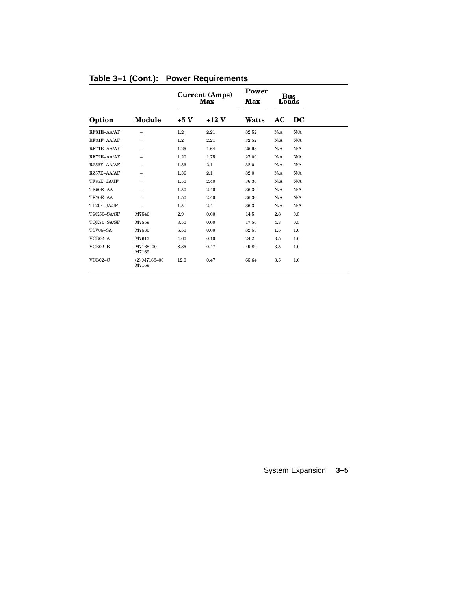|             |                          | Current (Amps)<br>Max |        | Power<br>Max | <b>Bus</b><br>Loads |                                   |
|-------------|--------------------------|-----------------------|--------|--------------|---------------------|-----------------------------------|
| Option      | Module                   | $+5V$                 | $+12V$ | Watts        | AC                  | $\overline{\mathbf{D}\mathbf{C}}$ |
| RF31E-AA/AF |                          | 1.2                   | 2.21   | 32.52        | N/A                 | N/A                               |
| RF31F-AA/AF | $\overline{\phantom{0}}$ | 1.2                   | 2.21   | 32.52        | N/A                 | N/A                               |
| RF71E-AA/AF | $\overline{\phantom{0}}$ | 1.25                  | 1.64   | 25.93        | N/A                 | N/A                               |
| RF72E-AA/AF |                          | 1.20                  | 1.75   | 27.00        | N/A                 | N/A                               |
| RZ56E-AA/AF |                          | 1.36                  | 2.1    | 32.0         | N/A                 | N/A                               |
| RZ57E-AA/AF | $\overline{\phantom{0}}$ | 1.36                  | 2.1    | 32.0         | N/A                 | N/A                               |
| TF85E-JA/JF |                          | 1.50                  | 2.40   | 36.30        | N/A                 | N/A                               |
| TK50E-AA    | $\overline{\phantom{0}}$ | 1.50                  | 2.40   | 36.30        | N/A                 | N/A                               |
| TK70E-AA    |                          | 1.50                  | 2.40   | 36.30        | N/A                 | N/A                               |
| TLZ04-JA/JF | $\overline{\phantom{0}}$ | 1.5                   | 2.4    | 36.3         | N/A                 | N/A                               |
| TQK50-SA/SF | M7546                    | 2.9                   | 0.00   | 14.5         | 2.8                 | 0.5                               |
| TQK70-SA/SF | M7559                    | 3.50                  | 0.00   | 17.50        | 4.3                 | 0.5                               |
| TSV05-SA    | M7530                    | 6.50                  | 0.00   | 32.50        | 1.5                 | 1.0                               |
| VCB02-A     | M7615                    | 4.60                  | 0.10   | 24.2         | 3.5                 | 1.0                               |
| $VCB02-B$   | M7168-00<br>M7169        | 8.85                  | 0.47   | 49.89        | 3.5                 | 1.0                               |
| $VCB02-C$   | $(2)$ M7168-00<br>M7169  | 12.0                  | 0.47   | 65.64        | 3.5                 | 1.0                               |

**Table 3–1 (Cont.): Power Requirements**

## System Expansion **3–5**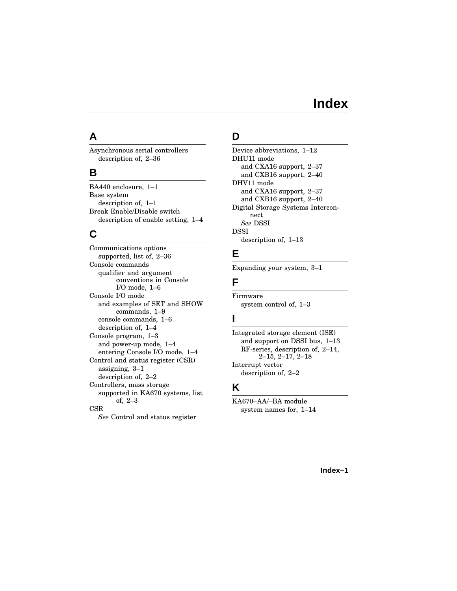# **Index**

# **A**

Asynchronous serial controllers description of, 2–36

### **B**

BA440 enclosure, 1–1 Base system description of, 1–1 Break Enable/Disable switch description of enable setting, 1–4

# **C**

Communications options supported, list of, 2–36 Console commands qualifier and argument conventions in Console I/O mode, 1–6 Console I/O mode and examples of SET and SHOW commands, 1–9 console commands, 1–6 description of, 1–4 Console program, 1–3 and power-up mode, 1–4 entering Console I/O mode, 1–4 Control and status register (CSR) assigning, 3–1 description of, 2–2 Controllers, mass storage supported in KA670 systems, list of, 2–3 CSR *See* Control and status register

# **D**

Device abbreviations, 1–12 DHU11 mode and CXA16 support, 2–37 and CXB16 support, 2–40 DHV11 mode and CXA16 support, 2–37 and CXB16 support, 2–40 Digital Storage Systems Interconnect *See* DSSI DSSI description of, 1–13

# **E**

Expanding your system, 3–1

### **F**

Firmware system control of, 1–3

# **I**

Integrated storage element (ISE) and support on DSSI bus, 1–13 RF-series, description of, 2–14, 2–15, 2–17, 2–18 Interrupt vector description of, 2–2

### **K**

KA670–AA/–BA module system names for, 1–14

#### **Index–1**